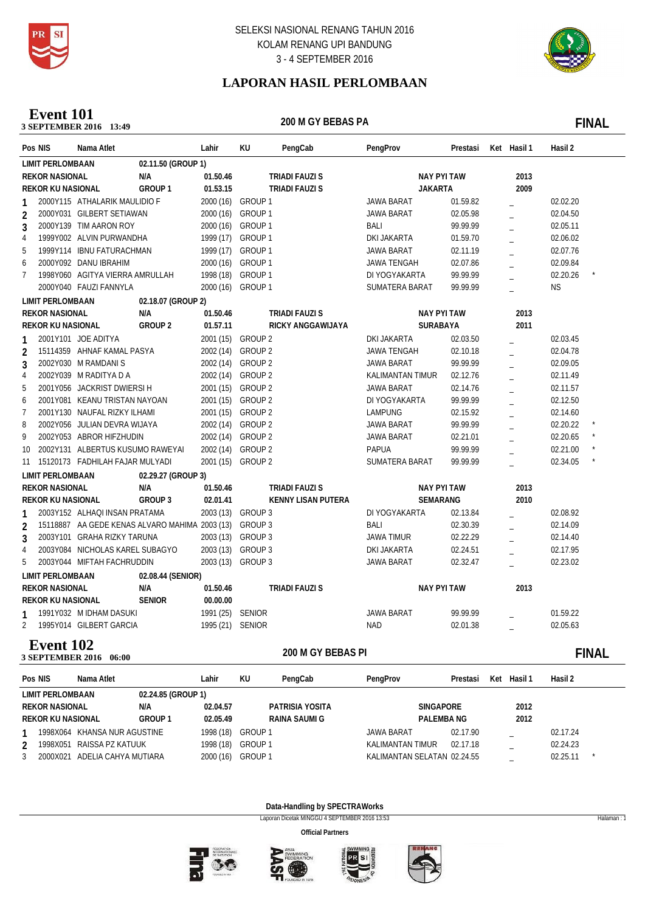



# **LAPORAN HASIL PERLOMBAAN**

### **200 M GY BEBASE 2016** 13:49 **Event 101**

200 M GY BEBAS PA **FINAL** 

|                | Pos NIS                  | Nama Atlet                       |                                                        | Lahir            | KU                 | PengCab                   | PengProv                | Prestasi             | Ket Hasil 1 | Hasil 2   |              |
|----------------|--------------------------|----------------------------------|--------------------------------------------------------|------------------|--------------------|---------------------------|-------------------------|----------------------|-------------|-----------|--------------|
|                | <b>LIMIT PERLOMBAAN</b>  |                                  | 02.11.50 (GROUP 1)                                     |                  |                    |                           |                         |                      |             |           |              |
|                | <b>REKOR NASIONAL</b>    |                                  | N/A                                                    | 01.50.46         |                    | <b>TRIADI FAUZI S</b>     | <b>NAY PYI TAW</b>      |                      | 2013        |           |              |
|                | <b>REKOR KU NASIONAL</b> |                                  | GROUP <sub>1</sub>                                     | 01.53.15         |                    | <b>TRIADI FAUZI S</b>     | <b>JAKARTA</b>          |                      | 2009        |           |              |
| 1              |                          | 2000Y115 ATHALARIK MAULIDIO F    |                                                        | 2000 (16)        | GROUP 1            |                           | <b>JAWA BARAT</b>       | 01.59.82             |             | 02.02.20  |              |
| $\overline{2}$ |                          | 2000Y031 GILBERT SETIAWAN        |                                                        | 2000 (16)        | GROUP 1            |                           | <b>JAWA BARAT</b>       | 02.05.98             |             | 02.04.50  |              |
| 3              |                          | 2000Y139 TIM AARON ROY           |                                                        |                  | 2000 (16) GROUP 1  |                           | BALI                    | 99.99.99             |             | 02.05.11  |              |
| 4              |                          | 1999Y002 ALVIN PURWANDHA         |                                                        |                  | 1999 (17) GROUP 1  |                           | DKI JAKARTA             | 01.59.70             |             | 02.06.02  |              |
| 5              |                          | 1999Y114 IBNU FATURACHMAN        |                                                        | 1999 (17)        | GROUP 1            |                           | <b>JAWA BARAT</b>       | 02.11.19             |             | 02.07.76  |              |
| 6              |                          | 2000Y092 DANU IBRAHIM            |                                                        | 2000 (16)        | GROUP 1            |                           | <b>JAWA TENGAH</b>      | 02.07.86             |             | 02.09.84  |              |
| 7              |                          | 1998Y060 AGITYA VIERRA AMRULLAH  |                                                        | 1998 (18)        | GROUP 1            |                           | DI YOGYAKARTA           | 99.99.99             |             | 02.20.26  |              |
|                |                          | 2000Y040 FAUZI FANNYLA           |                                                        | 2000 (16)        | GROUP 1            |                           | SUMATERA BARAT          | 99.99.99             |             | <b>NS</b> |              |
|                | <b>LIMIT PERLOMBAAN</b>  |                                  | 02.18.07 (GROUP 2)                                     |                  |                    |                           |                         |                      |             |           |              |
|                | <b>REKOR NASIONAL</b>    |                                  | N/A                                                    | 01.50.46         |                    | <b>TRIADI FAUZI S</b>     | <b>NAY PYI TAW</b>      |                      | 2013        |           |              |
|                | REKOR KU NASIONAL        |                                  | <b>GROUP 2</b>                                         | 01.57.11         |                    | <b>RICKY ANGGAWIJAYA</b>  | SURABAYA                |                      | 2011        |           |              |
|                |                          | 2001Y101 JOE ADITYA              |                                                        |                  | 2001 (15) GROUP 2  |                           | DKI JAKARTA             | 02.03.50             |             | 02.03.45  |              |
| 2              |                          | 15114359 AHNAF KAMAL PASYA       |                                                        | 2002 (14)        | GROUP <sub>2</sub> |                           | <b>JAWA TENGAH</b>      | 02.10.18             |             | 02.04.78  |              |
| 3              |                          | 2002Y030 M RAMDANIS              |                                                        |                  | 2002 (14) GROUP 2  |                           | JAWA BARAT              | 99.99.99             |             | 02.09.05  |              |
| 4              |                          | 2002Y039 M RADITYA D A           |                                                        |                  | 2002 (14) GROUP 2  |                           | <b>KALIMANTAN TIMUR</b> | 02.12.76             |             | 02.11.49  |              |
| 5              |                          | 2001Y056 JACKRIST DWIERSI H      |                                                        |                  | 2001 (15) GROUP 2  |                           | <b>JAWA BARAT</b>       | 02.14.76             |             | 02.11.57  |              |
| 6              |                          | 2001Y081 KEANU TRISTAN NAYOAN    |                                                        |                  | 2001 (15) GROUP 2  |                           | DI YOGYAKARTA           | 99.99.99             |             | 02.12.50  |              |
| $\overline{7}$ |                          | 2001Y130 NAUFAL RIZKY ILHAMI     |                                                        |                  | 2001 (15) GROUP 2  |                           | LAMPUNG                 | 02.15.92             |             | 02.14.60  |              |
| 8              |                          | 2002Y056 JULIAN DEVRA WIJAYA     |                                                        |                  | 2002 (14) GROUP 2  |                           | JAWA BARAT              | 99.99.99             |             | 02.20.22  |              |
| 9              |                          | 2002Y053 ABROR HIFZHUDIN         |                                                        |                  | 2002 (14) GROUP 2  |                           | JAWA BARAT              | 02.21.01             |             | 02.20.65  |              |
| 10             |                          | 2002Y131 ALBERTUS KUSUMO RAWEYAI |                                                        | 2002 (14)        | GROUP <sub>2</sub> |                           | <b>PAPUA</b>            | 99.99.99             |             | 02.21.00  |              |
| 11             |                          | 15120173 FADHILAH FAJAR MULYADI  |                                                        | 2001 (15)        | GROUP <sub>2</sub> |                           | SUMATERA BARAT          | 99.99.99             |             | 02.34.05  |              |
|                | <b>LIMIT PERLOMBAAN</b>  |                                  | 02.29.27 (GROUP 3)                                     |                  |                    |                           |                         |                      |             |           |              |
|                | <b>REKOR NASIONAL</b>    |                                  | N/A                                                    | 01.50.46         |                    | <b>TRIADI FAUZI S</b>     | <b>NAY PYI TAW</b>      |                      | 2013        |           |              |
|                | <b>REKOR KU NASIONAL</b> |                                  | <b>GROUP 3</b>                                         | 02.01.41         |                    | <b>KENNY LISAN PUTERA</b> | SEMARANG                |                      | 2010        |           |              |
|                |                          | 2003Y152 ALHAQI INSAN PRATAMA    |                                                        |                  | 2003 (13) GROUP 3  |                           | DI YOGYAKARTA           | 02.13.84             |             | 02.08.92  |              |
| $\overline{2}$ |                          |                                  | 15118887 AA GEDE KENAS ALVARO MAHIMA 2003 (13) GROUP 3 |                  |                    |                           | <b>BALI</b>             | 02.30.39             |             | 02.14.09  |              |
| 3              |                          | 2003Y101 GRAHA RIZKY TARUNA      |                                                        |                  | 2003 (13) GROUP 3  |                           | <b>JAWA TIMUR</b>       | 02.22.29             |             | 02.14.40  |              |
| 4              |                          | 2003Y084 NICHOLAS KAREL SUBAGYO  |                                                        |                  | 2003 (13) GROUP 3  |                           | DKI JAKARTA             | 02.24.51             |             | 02.17.95  |              |
| 5              |                          | 2003Y044 MIFTAH FACHRUDDIN       |                                                        |                  | 2003 (13) GROUP 3  |                           | <b>JAWA BARAT</b>       | 02.32.47             |             | 02.23.02  |              |
|                | <b>LIMIT PERLOMBAAN</b>  |                                  | 02.08.44 (SENIOR)                                      |                  |                    |                           |                         |                      |             |           |              |
|                | <b>REKOR NASIONAL</b>    |                                  | N/A                                                    | 01.50.46         |                    | <b>TRIADI FAUZI S</b>     | <b>NAY PYI TAW</b>      |                      | 2013        |           |              |
|                | <b>REKOR KU NASIONAL</b> |                                  | <b>SENIOR</b>                                          | 00.00.00         |                    |                           |                         |                      |             |           |              |
| 1              |                          | 1991Y032 M IDHAM DASUKI          |                                                        | 1991 (25) SENIOR |                    |                           | JAWA BARAT              | 99.99.99             |             | 01.59.22  |              |
| $\overline{2}$ |                          | 1995Y014 GILBERT GARCIA          |                                                        | 1995 (21) SENIOR |                    |                           | <b>NAD</b>              | 02.01.38             |             | 02.05.63  |              |
|                |                          |                                  |                                                        |                  |                    |                           |                         |                      |             |           |              |
|                | <b>Event 102</b>         | 3 SEPTEMBER 2016 06:00           |                                                        |                  |                    | 200 M GY BEBAS PI         |                         |                      |             |           | <b>FINAL</b> |
|                | Pos NIS                  | Nama Atlet                       |                                                        | Lahir            | KU                 | PengCab                   | PengProv                | Prestasi Ket Hasil 1 |             | Hasil 2   |              |

| POS NIS |                          | nama Auet                    |                    | Lanır     | KU.     | Penguap         | <b>PengProv</b>             | Presiasi | <b>Ket</b> | - Hasil I | Hasil Z  |  |
|---------|--------------------------|------------------------------|--------------------|-----------|---------|-----------------|-----------------------------|----------|------------|-----------|----------|--|
|         | LIMIT PERLOMBAAN         |                              | 02.24.85 (GROUP 1) |           |         |                 |                             |          |            |           |          |  |
|         | <b>REKOR NASIONAL</b>    |                              | N/A                | 02.04.57  |         | PATRISIA YOSITA | <b>SINGAPORE</b>            |          |            | 2012      |          |  |
|         | <b>REKOR KU NASIONAL</b> |                              | <b>GROUP 1</b>     | 02.05.49  |         | RAINA SAUMI G   | <b>PALEMBANG</b>            |          |            | 2012      |          |  |
|         |                          | 1998X064 KHANSA NUR AGUSTINE |                    | 1998 (18) | GROUP 1 |                 | JAWA BARAT                  | 02.17.90 |            |           | 02.17.24 |  |
|         | 1998X051                 | RAISSA PZ KATUUK             |                    | 1998 (18) | GROUP 1 |                 | KALIMANTAN TIMUR            | 02.17.18 |            |           | 02.24.23 |  |
|         | 2000X021                 | ADELIA CAHYA MUTIARA         |                    | 2000 (16) | GROUP 1 |                 | KALIMANTAN SELATAN 02.24.55 |          |            |           | 02.25.11 |  |
|         |                          |                              |                    |           |         |                 |                             |          |            |           |          |  |

**Data-Handling by SPECTRAWorks**

Laporan Dicetak MINGGU 4 SEPTEMBER 2016 13:53 Halaman : 1







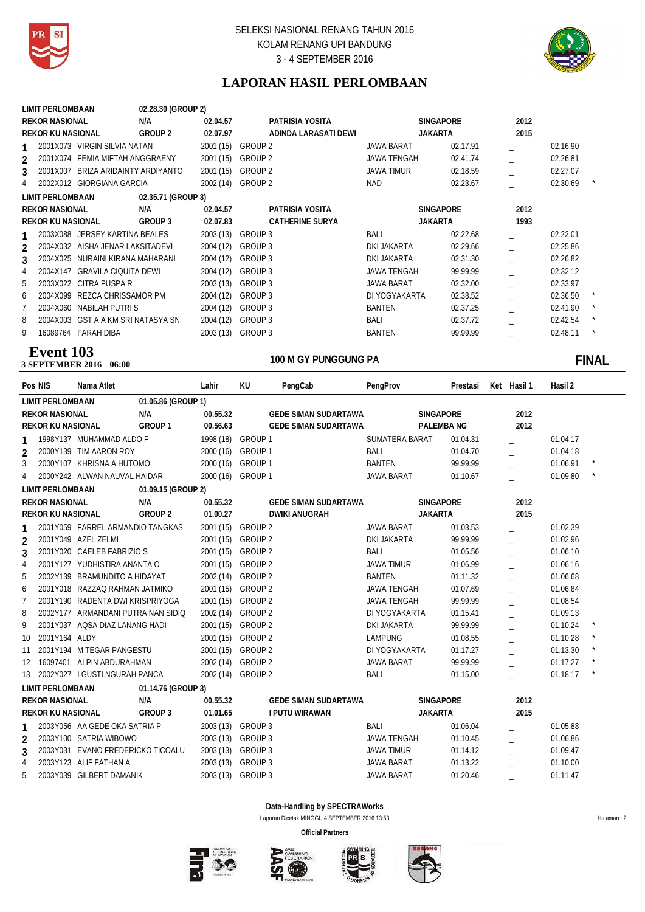



# **LAPORAN HASIL PERLOMBAAN**

|                | <b>LIMIT PERLOMBAAN</b>                 | 02.28.30 (GROUP 2) |           |                        |                   |                  |      |          |              |
|----------------|-----------------------------------------|--------------------|-----------|------------------------|-------------------|------------------|------|----------|--------------|
|                | <b>REKOR NASIONAL</b>                   | N/A                | 02.04.57  | PATRISIA YOSITA        |                   | <b>SINGAPORE</b> | 2012 |          |              |
|                | <b>REKOR KU NASIONAL</b>                | <b>GROUP 2</b>     | 02.07.97  | ADINDA LARASATI DEWI   | <b>JAKARTA</b>    |                  | 2015 |          |              |
|                | VIRGIN SILVIA NATAN<br>2001X073         |                    | 2001(15)  | GROUP 2                | <b>JAWA BARAT</b> | 02.17.91         |      | 02.16.90 |              |
| $\mathfrak{p}$ | 2001X074 FEMIA MIFTAH ANGGRAENY         |                    | 2001 (15) | GROUP 2                | JAWA TENGAH       | 02.41.74         |      | 02.26.81 |              |
| 3              | 2001X007<br>BRIZA ARIDAINTY ARDIYANTO   |                    | 2001(15)  | GROUP <sub>2</sub>     | <b>JAWA TIMUR</b> | 02.18.59         |      | 02.27.07 |              |
|                | 2002X012<br><b>GIORGIANA GARCIA</b>     |                    | 2002 (14) | GROUP 2                | <b>NAD</b>        | 02.23.67         |      | 02.30.69 |              |
|                | <b>LIMIT PERLOMBAAN</b>                 | 02.35.71 (GROUP 3) |           |                        |                   |                  |      |          |              |
|                | <b>REKOR NASIONAL</b>                   | N/A                | 02.04.57  | PATRISIA YOSITA        |                   | <b>SINGAPORE</b> | 2012 |          |              |
|                | <b>REKOR KU NASIONAL</b>                | GROUP 3            | 02.07.83  | <b>CATHERINE SURYA</b> | <b>JAKARTA</b>    |                  | 1993 |          |              |
|                | JERSEY KARTINA BEALES<br>2003X088       |                    | 2003 (13) | GROUP 3                | <b>BALI</b>       | 02.22.68         |      | 02.22.01 |              |
| $\mathfrak{p}$ | 2004X032<br>AISHA JENAR LAKSITADEVI     |                    | 2004 (12) | GROUP 3                | DKI JAKARTA       | 02.29.66         |      | 02.25.86 |              |
| 3              | 2004X025<br>NURAINI KIRANA MAHARANI     |                    | 2004 (12) | GROUP 3                | DKI JAKARTA       | 02.31.30         |      | 02.26.82 |              |
| 4              | 2004X147<br><b>GRAVILA CIQUITA DEWI</b> |                    | 2004 (12) | GROUP 3                | JAWA TENGAH       | 99.99.99         |      | 02.32.12 |              |
| 5              | 2003X022<br>CITRA PUSPA R               |                    | 2003(13)  | GROUP 3                | <b>JAWA BARAT</b> | 02.32.00         |      | 02.33.97 |              |
| 6              | 2004X099<br>REZCA CHRISSAMOR PM         |                    | 2004 (12) | GROUP 3                | DI YOGYAKARTA     | 02.38.52         |      | 02.36.50 |              |
|                | NABILAH PUTRI S<br>2004X060             |                    | 2004 (12) | GROUP 3                | <b>BANTEN</b>     | 02.37.25         |      | 02.41.90 | $\star$      |
| 8              | 2004X003<br>GST A A KM SRI NATASYA SN   |                    | 2004 (12) | GROUP 3                | BALI              | 02.37.72         |      | 02.42.54 | $\star$      |
| 9              | <b>FARAH DIBA</b><br>16089764           |                    | 2003 (13) | GROUP 3                | <b>BANTEN</b>     | 99.99.99         |      | 02.48.11 | $\pmb{\ast}$ |
|                |                                         |                    |           |                        |                   |                  |      |          |              |

### **100 M GY PUNGGUNG PA 3 SEPTEMBER 2016** 06:00 **Event 103**

# 100 M GY PUNGGUNG PA **FINAL**

| Pos NIS                  | Nama Atlet                         |                    | Lahir     | KU                 | PengCab                     | PengProv           |                  | Prestasi | Ket Hasil 1 | Hasil 2  |         |
|--------------------------|------------------------------------|--------------------|-----------|--------------------|-----------------------------|--------------------|------------------|----------|-------------|----------|---------|
| <b>LIMIT PERLOMBAAN</b>  |                                    | 01.05.86 (GROUP 1) |           |                    |                             |                    |                  |          |             |          |         |
| <b>REKOR NASIONAL</b>    |                                    | N/A                | 00.55.32  |                    | <b>GEDE SIMAN SUDARTAWA</b> |                    | SINGAPORE        |          | 2012        |          |         |
| REKOR KU NASIONAL        |                                    | GROUP 1            | 00.56.63  |                    | <b>GEDE SIMAN SUDARTAWA</b> |                    | <b>PALEMBANG</b> |          | 2012        |          |         |
|                          | 1998Y137 MUHAMMAD ALDO F           |                    | 1998 (18) | GROUP 1            |                             | SUMATERA BARAT     |                  | 01.04.31 |             | 01.04.17 |         |
| 2                        | 2000Y139 TIM AARON ROY             |                    | 2000 (16) | GROUP 1            |                             | BALI               |                  | 01.04.70 |             | 01.04.18 |         |
| 3                        | 2000Y107 KHRISNA A HUTOMO          |                    |           | 2000 (16) GROUP 1  |                             | <b>BANTEN</b>      |                  | 99.99.99 |             | 01.06.91 |         |
| 4                        | 2000Y242 ALWAN NAUVAL HAIDAR       |                    |           | 2000 (16) GROUP 1  |                             | <b>JAWA BARAT</b>  |                  | 01.10.67 |             | 01.09.80 |         |
| <b>LIMIT PERLOMBAAN</b>  |                                    | 01.09.15 (GROUP 2) |           |                    |                             |                    |                  |          |             |          |         |
| <b>REKOR NASIONAL</b>    |                                    | N/A                | 00.55.32  |                    | <b>GEDE SIMAN SUDARTAWA</b> |                    | <b>SINGAPORE</b> |          | 2012        |          |         |
| <b>REKOR KU NASIONAL</b> |                                    | <b>GROUP 2</b>     | 01.00.27  |                    | <b>DWIKI ANUGRAH</b>        |                    | <b>JAKARTA</b>   |          | 2015        |          |         |
| 1                        | 2001Y059 FARREL ARMANDIO TANGKAS   |                    |           | 2001 (15) GROUP 2  |                             | <b>JAWA BARAT</b>  |                  | 01.03.53 |             | 01.02.39 |         |
| 2                        | 2001Y049 AZEL ZELMI                |                    |           | 2001 (15) GROUP 2  |                             | <b>DKI JAKARTA</b> |                  | 99.99.99 |             | 01.02.96 |         |
| 3                        | 2001Y020 CAELEB FABRIZIO S         |                    | 2001 (15) | <b>GROUP 2</b>     |                             | BALI               |                  | 01.05.56 |             | 01.06.10 |         |
| 4                        | 2001Y127 YUDHISTIRA ANANTA O       |                    | 2001 (15) | <b>GROUP 2</b>     |                             | <b>JAWA TIMUR</b>  |                  | 01.06.99 |             | 01.06.16 |         |
| 5                        | 2002Y139 BRAMUNDITO A HIDAYAT      |                    | 2002 (14) | GROUP <sub>2</sub> |                             | <b>BANTEN</b>      |                  | 01.11.32 |             | 01.06.68 |         |
| 6                        | 2001Y018 RAZZAQ RAHMAN JATMIKO     |                    | 2001 (15) | GROUP <sub>2</sub> |                             | <b>JAWA TENGAH</b> |                  | 01.07.69 |             | 01.06.84 |         |
| 7                        | 2001Y190 RADENTA DWI KRISPRIYOGA   |                    | 2001 (15) | GROUP <sub>2</sub> |                             | <b>JAWA TENGAH</b> |                  | 99.99.99 |             | 01.08.54 |         |
| 8                        | 2002Y177 ARMANDANI PUTRA NAN SIDIO |                    | 2002 (14) | GROUP <sub>2</sub> |                             | DI YOGYAKARTA      |                  | 01.15.41 |             | 01.09.13 |         |
| 9                        | 2001Y037 AQSA DIAZ LANANG HADI     |                    | 2001 (15) | GROUP <sub>2</sub> |                             | DKI JAKARTA        |                  | 99.99.99 |             | 01.10.24 | $\star$ |
| 2001Y164 ALDY<br>10      |                                    |                    | 2001 (15) | GROUP <sub>2</sub> |                             | <b>LAMPUNG</b>     |                  | 01.08.55 |             | 01.10.28 | $\star$ |
| 11                       | 2001Y194 M TEGAR PANGESTU          |                    | 2001 (15) | GROUP <sub>2</sub> |                             | DI YOGYAKARTA      |                  | 01.17.27 |             | 01.13.30 | $\star$ |
| 12                       | 16097401 ALPIN ABDURAHMAN          |                    | 2002 (14) | GROUP <sub>2</sub> |                             | <b>JAWA BARAT</b>  |                  | 99.99.99 |             | 01.17.27 |         |
| 13                       | 2002Y027 I GUSTI NGURAH PANCA      |                    |           | 2002 (14) GROUP 2  |                             | BALI               |                  | 01.15.00 |             | 01.18.17 | $\star$ |
| <b>LIMIT PERLOMBAAN</b>  |                                    | 01.14.76 (GROUP 3) |           |                    |                             |                    |                  |          |             |          |         |
| <b>REKOR NASIONAL</b>    |                                    | N/A                | 00.55.32  |                    | <b>GEDE SIMAN SUDARTAWA</b> |                    | <b>SINGAPORE</b> |          | 2012        |          |         |
| <b>REKOR KU NASIONAL</b> |                                    | GROUP 3            | 01.01.65  |                    | <b>I PUTU WIRAWAN</b>       |                    | <b>JAKARTA</b>   |          | 2015        |          |         |
|                          | 2003Y056 AA GEDE OKA SATRIA P      |                    | 2003 (13) | GROUP 3            |                             | BALI               |                  | 01.06.04 |             | 01.05.88 |         |
| $\overline{2}$           | 2003Y100 SATRIA WIBOWO             |                    | 2003 (13) | GROUP 3            |                             | <b>JAWA TENGAH</b> |                  | 01.10.45 |             | 01.06.86 |         |
| 3                        | 2003Y031 EVANO FREDERICKO TICOALU  |                    | 2003 (13) | GROUP 3            |                             | <b>JAWA TIMUR</b>  |                  | 01.14.12 |             | 01.09.47 |         |
| $\overline{4}$           | 2003Y123 ALIF FATHAN A             |                    | 2003 (13) | GROUP 3            |                             | <b>JAWA BARAT</b>  |                  | 01.13.22 |             | 01.10.00 |         |
| 5                        | 2003Y039 GILBERT DAMANIK           |                    | 2003 (13) | GROUP 3            |                             | <b>JAWA BARAT</b>  |                  | 01.20.46 |             | 01.11.47 |         |

**Data-Handling by SPECTRAWorks**

Laporan Dicetak MINGGU 4 SEPTEMBER 2016 13:53 Halaman : 2







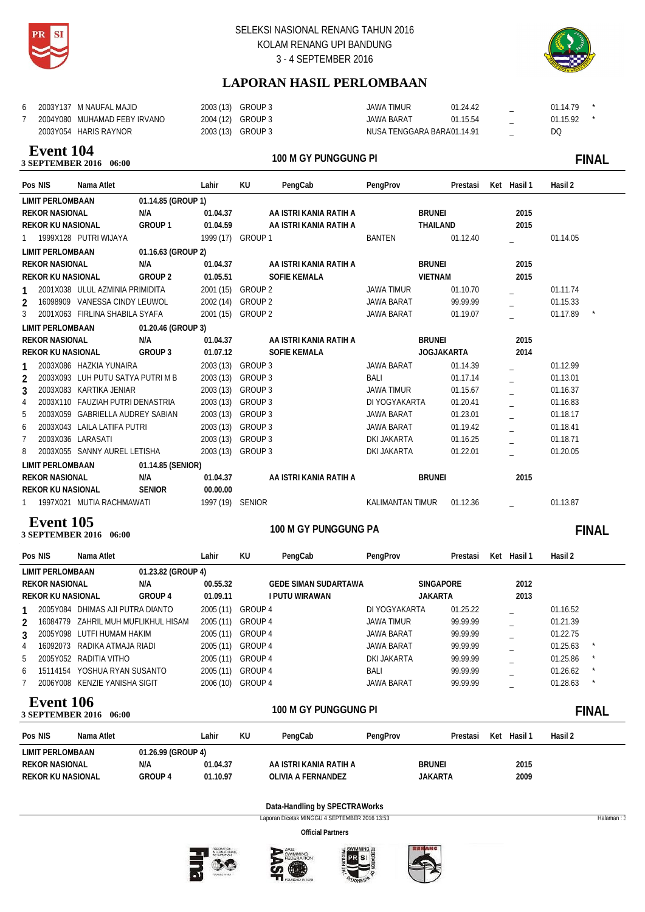



# **LAPORAN HASIL PERLOMBAAN**

|  | 2003Y137 M NAUFAL MAJID      | 2003 (13) GROUP 3 | JAWA TIMUR                 | 01.24.42 | - | 01.14.79 |  |
|--|------------------------------|-------------------|----------------------------|----------|---|----------|--|
|  | 2004Y080 MUHAMAD FEBY IRVANO | 2004 (12) GROUP 3 | JAWA BARAT                 | 01.15.54 |   | 01.15.92 |  |
|  | 2003Y054 HARIS RAYNOR        | 2003 (13) GROUP 3 | NUSA TENGGARA BARA01.14.91 |          |   | DQ       |  |

### **100 M GHE PUNCE 2016** 06:00 **Event 104**

### 100 M GY PUNGGUNG PI **FINALL STATE**

| Pos NIS                  | Nama Atlet                        |                    | Lahir             | KU             | PengCab                | PengProv                |                   | Prestasi | Ket Hasil 1 | Hasil 2  |  |
|--------------------------|-----------------------------------|--------------------|-------------------|----------------|------------------------|-------------------------|-------------------|----------|-------------|----------|--|
| <b>LIMIT PERLOMBAAN</b>  |                                   | 01.14.85 (GROUP 1) |                   |                |                        |                         |                   |          |             |          |  |
| <b>REKOR NASIONAL</b>    |                                   | N/A                | 01.04.37          |                | AA ISTRI KANIA RATIH A |                         | <b>BRUNEI</b>     |          | 2015        |          |  |
| <b>REKOR KU NASIONAL</b> |                                   | GROUP 1            | 01.04.59          |                | AA ISTRI KANIA RATIH A |                         | THAILAND          |          | 2015        |          |  |
|                          | 1 1999X128 PUTRI WIJAYA           |                    | 1999 (17) GROUP 1 |                |                        | <b>BANTEN</b>           |                   | 01.12.40 |             | 01.14.05 |  |
| <b>LIMIT PERLOMBAAN</b>  |                                   | 01.16.63 (GROUP 2) |                   |                |                        |                         |                   |          |             |          |  |
| <b>REKOR NASIONAL</b>    |                                   | N/A                | 01.04.37          |                | AA ISTRI KANIA RATIH A |                         | <b>BRUNEI</b>     |          | 2015        |          |  |
| <b>REKOR KU NASIONAL</b> |                                   | GROUP 2            | 01.05.51          |                | <b>SOFIE KEMALA</b>    |                         | <b>VIETNAM</b>    |          | 2015        |          |  |
|                          | 2001X038 ULUL AZMINIA PRIMIDITA   |                    | 2001 (15) GROUP 2 |                |                        | <b>JAWA TIMUR</b>       |                   | 01.10.70 |             | 01.11.74 |  |
| $\mathfrak{p}$           | 16098909 VANESSA CINDY LEUWOL     |                    | 2002 (14)         | GROUP 2        |                        | <b>JAWA BARAT</b>       |                   | 99.99.99 |             | 01.15.33 |  |
| 3                        | 2001X063 FIRLINA SHABILA SYAFA    |                    | 2001 (15) GROUP 2 |                |                        | <b>JAWA BARAT</b>       |                   | 01.19.07 |             | 01.17.89 |  |
| <b>LIMIT PERLOMBAAN</b>  |                                   | 01.20.46 (GROUP 3) |                   |                |                        |                         |                   |          |             |          |  |
| <b>REKOR NASIONAL</b>    |                                   | N/A                | 01.04.37          |                | AA ISTRI KANIA RATIH A |                         | <b>BRUNEI</b>     |          | 2015        |          |  |
| <b>REKOR KU NASIONAL</b> |                                   | GROUP 3            | 01.07.12          |                | <b>SOFIE KEMALA</b>    |                         | <b>JOGJAKARTA</b> |          | 2014        |          |  |
|                          | 2003X086 HAZKIA YUNAIRA           |                    | 2003(13)          | GROUP 3        |                        | <b>JAWA BARAT</b>       |                   | 01.14.39 |             | 01.12.99 |  |
| $\overline{2}$           | 2003X093 LUH PUTU SATYA PUTRI M B |                    | 2003(13)          | GROUP 3        |                        | BALI                    |                   | 01.17.14 |             | 01.13.01 |  |
| 3                        | 2003X083 KARTIKA JENIAR           |                    | 2003(13)          | <b>GROUP 3</b> |                        | <b>JAWA TIMUR</b>       |                   | 01.15.67 |             | 01.16.37 |  |
| 4                        | 2003X110 FAUZIAH PUTRI DENASTRIA  |                    | 2003(13)          | GROUP 3        |                        | DI YOGYAKARTA           |                   | 01.20.41 |             | 01.16.83 |  |
| 5                        | 2003X059 GABRIELLA AUDREY SABIAN  |                    | 2003(13)          | GROUP 3        |                        | <b>JAWA BARAT</b>       |                   | 01.23.01 |             | 01.18.17 |  |
| 6                        | 2003X043 LAILA LATIFA PUTRI       |                    | 2003(13)          | GROUP 3        |                        | JAWA BARAT              |                   | 01.19.42 |             | 01.18.41 |  |
| 7                        | 2003X036 LARASATI                 |                    | 2003 (13)         | GROUP 3        |                        | <b>DKI JAKARTA</b>      |                   | 01.16.25 |             | 01.18.71 |  |
| 8                        | 2003X055 SANNY AUREL LETISHA      |                    | 2003 (13) GROUP 3 |                |                        | <b>DKI JAKARTA</b>      |                   | 01.22.01 |             | 01.20.05 |  |
| <b>LIMIT PERLOMBAAN</b>  |                                   | 01.14.85 (SENIOR)  |                   |                |                        |                         |                   |          |             |          |  |
| <b>REKOR NASIONAL</b>    |                                   | N/A                | 01.04.37          |                | AA ISTRI KANIA RATIH A |                         | <b>BRUNEI</b>     |          | 2015        |          |  |
| <b>REKOR KU NASIONAL</b> |                                   | <b>SENIOR</b>      | 00.00.00          |                |                        |                         |                   |          |             |          |  |
|                          | 1997X021 MUTIA RACHMAWATI         |                    | 1997 (19) SENIOR  |                |                        | <b>KALIMANTAN TIMUR</b> |                   | 01.12.36 |             | 01.13.87 |  |

### **100 M GY PUNCE PART 2016** 06:00 **Event 105**

100 M GY PUNGGUNG PA **FINAL** 

| Pos NIS                              | Nama Atlet                       |                    | Lahir     | KU             | PengCab                     | PengProv      | Prestasi         | Ket | Hasil 1 | Hasil 2  |              |
|--------------------------------------|----------------------------------|--------------------|-----------|----------------|-----------------------------|---------------|------------------|-----|---------|----------|--------------|
| <b>LIMIT PERLOMBAAN</b>              |                                  | 01.23.82 (GROUP 4) |           |                |                             |               |                  |     |         |          |              |
| <b>REKOR NASIONAL</b>                |                                  | N/A                | 00.55.32  |                | <b>GEDE SIMAN SUDARTAWA</b> |               | <b>SINGAPORE</b> |     | 2012    |          |              |
| <b>REKOR KU NASIONAL</b>             |                                  | GROUP 4            | 01.09.11  |                | I PUTU WIRAWAN              |               | <b>JAKARTA</b>   |     | 2013    |          |              |
|                                      | 2005Y084 DHIMAS AJI PUTRA DIANTO |                    | 2005(11)  | <b>GROUP 4</b> |                             | DI YOGYAKARTA | 01.25.22         |     |         | 01.16.52 |              |
| 16084779<br>$\mathfrak{p}$           | ZAHRIL MUH MUFLIKHUL HISAM       |                    | 2005(11)  | <b>GROUP 4</b> |                             | JAWA TIMUR    | 99.99.99         |     |         | 01.21.39 |              |
| 3                                    | 2005Y098 LUTFI HUMAM HAKIM       |                    | 2005(11)  | <b>GROUP 4</b> |                             | JAWA BARAT    | 99.99.99         |     |         | 01.22.75 |              |
| 16092073<br>4                        | RADIKA ATMAJA RIADI              |                    | 2005(11)  | <b>GROUP 4</b> |                             | JAWA BARAT    | 99.99.99         |     |         | 01.25.63 |              |
| 5<br>2005Y052                        | RADITIA VITHO                    |                    | 2005 (11) | <b>GROUP 4</b> |                             | DKI JAKARTA   | 99.99.99         |     |         | 01.25.86 |              |
| 15114154<br>6                        | YOSHUA RYAN SUSANTO              |                    | 2005 (11) | <b>GROUP 4</b> |                             | <b>BALI</b>   | 99.99.99         |     |         | 01.26.62 | $\star$      |
| 2006Y008                             | KENZIE YANISHA SIGIT             |                    | 2006 (10) | <b>GROUP 4</b> |                             | JAWA BARAT    | 99.99.99         |     |         | 01.28.63 | $\star$      |
| Event 106<br><b>3 SEPTEMBER 2016</b> | 06:00                            |                    |           |                | 100 M GY PUNGGUNG PI        |               |                  |     |         |          | <b>FINAL</b> |
| Pos NIS                              | Nama Atlet                       |                    | Lahir     | KU             | PengCab                     | PengProv      | Prestasi         | Ket | Hasil 1 | Hasil 2  |              |
| <b>LIMIT PERLOMBAAN</b>              |                                  | 01.26.99 (GROUP 4) |           |                |                             |               |                  |     |         |          |              |
| <b>REKOR NASIONAL</b>                |                                  | N/A                | 01.04.37  |                | AA ISTRI KANIA RATIH A      |               | <b>BRUNEI</b>    |     | 2015    |          |              |

**Data-Handling by SPECTRAWorks**

Laporan Dicetak MINGGU 4 SEPTEMBER 2016 13:53 Halaman : 3

**Official Partners**



**GROUP 4**



**REKOR KU NASIONAL 01.10.97 OLIVIA A FERNANDEZ JAKARTA 2009**





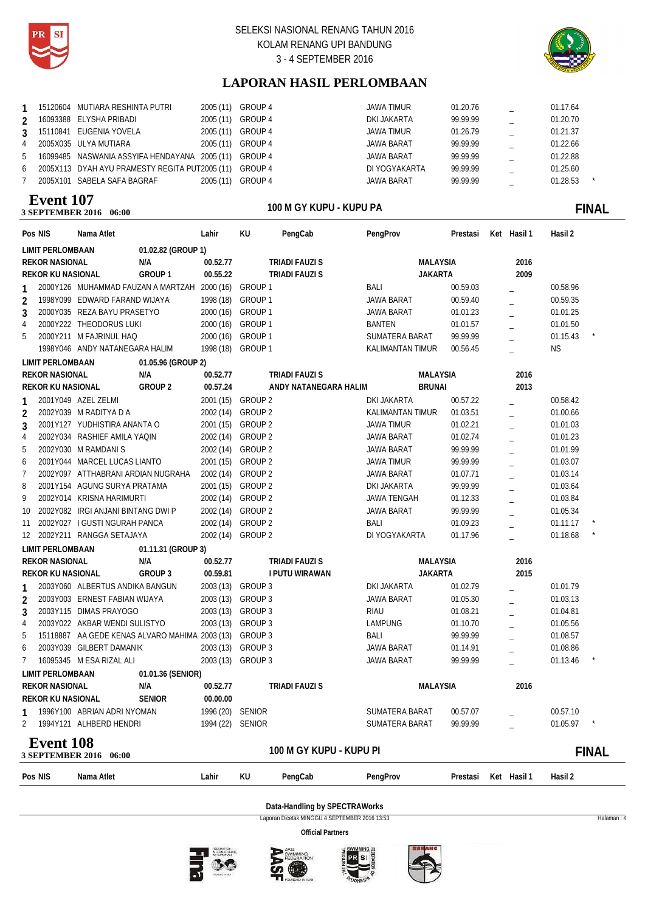



# **LAPORAN HASIL PERLOMBAAN**

|                | 15120604 MUTIARA RESHINTA PUTRI                        |           | 2005 (11) GROUP 4 | JAWA TIMUR        | 01.20.76 | 01.17.64            |
|----------------|--------------------------------------------------------|-----------|-------------------|-------------------|----------|---------------------|
| $\mathfrak{D}$ | 16093388 ELYSHA PRIBADI                                |           | 2005 (11) GROUP 4 | DKI JAKARTA       | 99.99.99 | 01.20.70            |
| $\mathbf{3}$   | 15110841 EUGENIA YOVELA                                |           | 2005 (11) GROUP 4 | <b>JAWA TIMUR</b> | 01.26.79 | 01.21.37            |
| 4              | 2005X035 ULYA MUTIARA                                  |           | 2005 (11) GROUP 4 | <b>JAWA BARAT</b> | 99.99.99 | 01.22.66            |
| 5              | 16099485 NASWANIA ASSYIFA HENDAYANA 2005 (11) GROUP 4  |           |                   | <b>JAWA BARAT</b> | 99.99.99 | 01.22.88            |
| 6              | 2005X113 DYAH AYU PRAMESTY REGITA PUT2005 (11) GROUP 4 |           |                   | DI YOGYAKARTA     | 99.99.99 | 01.25.60            |
|                | 2005X101 SABELA SAFA BAGRAF                            | 2005 (11) | GROUP 4           | JAWA BARAT        | 99.99.99 | 01.28.53<br>$\star$ |

### **100 SEPTEMBER 2016** 06:00 **Event 107**

# 100 M GY KUPU - KUPU PA **CONSERVERSITY CONSERVERSITY OF THE FINAL**

|                | Pos NIS                  | Nama Atlet                         |                                                        | Lahir             | KU                 | PengCab                 | PengProv                | Prestasi | Ket Hasil 1    | Hasil 2   |              |
|----------------|--------------------------|------------------------------------|--------------------------------------------------------|-------------------|--------------------|-------------------------|-------------------------|----------|----------------|-----------|--------------|
|                | <b>LIMIT PERLOMBAAN</b>  |                                    | 01.02.82 (GROUP 1)                                     |                   |                    |                         |                         |          |                |           |              |
|                | <b>REKOR NASIONAL</b>    |                                    | N/A                                                    | 00.52.77          |                    | <b>TRIADI FAUZI S</b>   | <b>MALAYSIA</b>         |          | 2016           |           |              |
|                | REKOR KU NASIONAL        |                                    | GROUP <sub>1</sub>                                     | 00.55.22          |                    | <b>TRIADI FAUZI S</b>   | <b>JAKARTA</b>          |          | 2009           |           |              |
| 1              |                          |                                    | 2000Y126 MUHAMMAD FAUZAN A MARTZAH 2000 (16)           |                   | GROUP 1            |                         | BALI                    | 00.59.03 |                | 00.58.96  |              |
| 2              |                          | 1998Y099 EDWARD FARAND WIJAYA      |                                                        | 1998 (18)         | GROUP 1            |                         | <b>JAWA BARAT</b>       | 00.59.40 |                | 00.59.35  |              |
| 3              |                          | 2000Y035 REZA BAYU PRASETYO        |                                                        | 2000 (16)         | GROUP 1            |                         | <b>JAWA BARAT</b>       | 01.01.23 | $\overline{a}$ | 01.01.25  |              |
| 4              |                          | 2000Y222 THEODORUS LUKI            |                                                        | 2000 (16)         | GROUP 1            |                         | <b>BANTEN</b>           | 01.01.57 |                | 01.01.50  |              |
| 5              |                          | 2000Y211 M FAJRINUL HAQ            |                                                        | 2000 (16)         | GROUP 1            |                         | SUMATERA BARAT          | 99.99.99 |                | 01.15.43  |              |
|                |                          | 1998Y046 ANDY NATANEGARA HALIM     |                                                        | 1998 (18) GROUP 1 |                    |                         | <b>KALIMANTAN TIMUR</b> | 00.56.45 | $\overline{a}$ | <b>NS</b> |              |
|                | <b>LIMIT PERLOMBAAN</b>  |                                    | 01.05.96 (GROUP 2)                                     |                   |                    |                         |                         |          |                |           |              |
|                | <b>REKOR NASIONAL</b>    |                                    | N/A                                                    | 00.52.77          |                    | TRIADI FAUZI S          | <b>MALAYSIA</b>         |          | 2016           |           |              |
|                | <b>REKOR KU NASIONAL</b> |                                    | GROUP <sub>2</sub>                                     | 00.57.24          |                    | ANDY NATANEGARA HALIM   | <b>BRUNAI</b>           |          | 2013           |           |              |
| 1              |                          | 2001Y049 AZEL ZELMI                |                                                        | 2001 (15) GROUP 2 |                    |                         | DKI JAKARTA             | 00.57.22 |                | 00.58.42  |              |
| $\overline{2}$ |                          | 2002Y039 M RADITYA D A             |                                                        | 2002 (14) GROUP 2 |                    |                         | <b>KALIMANTAN TIMUR</b> | 01.03.51 |                | 01.00.66  |              |
| 3              |                          | 2001Y127 YUDHISTIRA ANANTA O       |                                                        | 2001 (15)         | <b>GROUP 2</b>     |                         | <b>JAWA TIMUR</b>       | 01.02.21 | $\overline{a}$ | 01.01.03  |              |
| 4              |                          | 2002Y034 RASHIEF AMILA YAQIN       |                                                        | 2002 (14) GROUP 2 |                    |                         | <b>JAWA BARAT</b>       | 01.02.74 |                | 01.01.23  |              |
| 5              |                          | 2002Y030 M RAMDANIS                |                                                        | 2002 (14) GROUP 2 |                    |                         | <b>JAWA BARAT</b>       | 99.99.99 | $\overline{a}$ | 01.01.99  |              |
| 6              |                          | 2001Y044 MARCEL LUCAS LIANTO       |                                                        | 2001 (15)         | GROUP 2            |                         | <b>JAWA TIMUR</b>       | 99.99.99 |                | 01.03.07  |              |
| 7              |                          | 2002Y097 ATTHABRANI ARDIAN NUGRAHA |                                                        | 2002 (14) GROUP 2 |                    |                         | <b>JAWA BARAT</b>       | 01.07.71 |                | 01.03.14  |              |
| 8              |                          | 2001Y154 AGUNG SURYA PRATAMA       |                                                        | 2001 (15) GROUP 2 |                    |                         | <b>DKI JAKARTA</b>      | 99.99.99 |                | 01.03.64  |              |
| 9              |                          | 2002Y014 KRISNA HARIMURTI          |                                                        | 2002 (14)         | GROUP 2            |                         | <b>JAWA TENGAH</b>      | 01.12.33 | $\equiv$       | 01.03.84  |              |
| 10             |                          | 2002Y082 IRGI ANJANI BINTANG DWI P |                                                        | 2002 (14)         | GROUP 2            |                         | <b>JAWA BARAT</b>       | 99.99.99 |                | 01.05.34  |              |
| 11             |                          | 2002Y027 I GUSTI NGURAH PANCA      |                                                        | 2002 (14)         | GROUP 2            |                         | <b>BALI</b>             | 01.09.23 |                | 01.11.17  |              |
| 12             |                          | 2002Y211 RANGGA SETAJAYA           |                                                        | 2002 (14)         | GROUP <sub>2</sub> |                         | DI YOGYAKARTA           | 01.17.96 |                | 01.18.68  |              |
|                | <b>LIMIT PERLOMBAAN</b>  |                                    | 01.11.31 (GROUP 3)                                     |                   |                    |                         |                         |          |                |           |              |
|                | <b>REKOR NASIONAL</b>    |                                    | N/A                                                    | 00.52.77          |                    | <b>TRIADI FAUZI S</b>   | <b>MALAYSIA</b>         |          | 2016           |           |              |
|                | <b>REKOR KU NASIONAL</b> |                                    | GROUP 3                                                | 00.59.81          |                    | I PUTU WIRAWAN          | <b>JAKARTA</b>          |          | 2015           |           |              |
| 1              |                          | 2003Y060 ALBERTUS ANDIKA BANGUN    |                                                        | 2003 (13) GROUP 3 |                    |                         | <b>DKI JAKARTA</b>      | 01.02.79 |                | 01.01.79  |              |
| $\overline{2}$ |                          | 2003Y003 ERNEST FABIAN WIJAYA      |                                                        | 2003 (13) GROUP 3 |                    |                         | <b>JAWA BARAT</b>       | 01.05.30 |                | 01.03.13  |              |
| 3              |                          | 2003Y115 DIMAS PRAYOGO             |                                                        | 2003 (13)         | GROUP 3            |                         | <b>RIAU</b>             | 01.08.21 | $\overline{a}$ | 01.04.81  |              |
| 4              |                          | 2003Y022 AKBAR WENDI SULISTYO      |                                                        | 2003 (13)         | GROUP 3            |                         | <b>LAMPUNG</b>          | 01.10.70 |                | 01.05.56  |              |
| 5              |                          |                                    | 15118887 AA GEDE KENAS ALVARO MAHIMA 2003 (13) GROUP 3 |                   |                    |                         | <b>BALI</b>             | 99.99.99 |                | 01.08.57  |              |
| 6              |                          | 2003Y039 GILBERT DAMANIK           |                                                        | 2003 (13)         | GROUP 3            |                         | JAWA BARAT              | 01.14.91 |                | 01.08.86  |              |
| 7              |                          | 16095345 M ESA RIZAL ALI           |                                                        | 2003 (13) GROUP 3 |                    |                         | <b>JAWA BARAT</b>       | 99.99.99 |                | 01.13.46  |              |
|                | <b>LIMIT PERLOMBAAN</b>  |                                    | 01.01.36 (SENIOR)                                      |                   |                    |                         |                         |          |                |           |              |
|                | <b>REKOR NASIONAL</b>    |                                    | N/A                                                    | 00.52.77          |                    | <b>TRIADI FAUZI S</b>   | <b>MALAYSIA</b>         |          | 2016           |           |              |
|                | <b>REKOR KU NASIONAL</b> |                                    | <b>SENIOR</b>                                          | 00.00.00          |                    |                         |                         |          |                |           |              |
| 1              |                          | 1996Y100 ABRIAN ADRI NYOMAN        |                                                        | 1996 (20)         | <b>SENIOR</b>      |                         | SUMATERA BARAT          | 00.57.07 |                | 00.57.10  |              |
| 2              |                          | 1994Y121 ALHBERD HENDRI            |                                                        | 1994 (22) SENIOR  |                    |                         | <b>SUMATERA BARAT</b>   | 99.99.99 |                | 01.05.97  |              |
|                | <b>Event 108</b>         |                                    |                                                        |                   |                    |                         |                         |          |                |           |              |
|                |                          | 3 SEPTEMBER 2016 06:00             |                                                        |                   |                    | 100 M GY KUPU - KUPU PI |                         |          |                |           | <b>FINAL</b> |
|                |                          |                                    |                                                        |                   |                    |                         |                         |          |                |           |              |
|                | Pos NIS                  | Nama Atlet                         |                                                        | Lahir             | KU                 | PengCab                 | PengProv                | Prestasi | Ket Hasil 1    | Hasil 2   |              |

### **Data-Handling by SPECTRAWorks**

Laporan Dicetak MINGGU 4 SEPTEMBER 2016 13:53 Halaman : 4







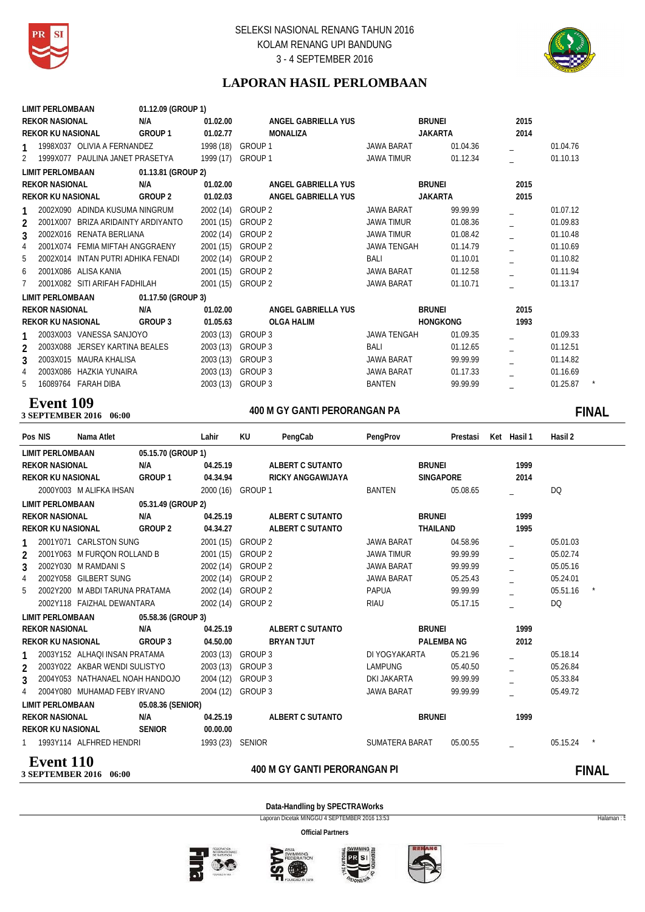



# **LAPORAN HASIL PERLOMBAAN**

| <b>LIMIT PERLOMBAAN</b>                              | 01.12.09 (GROUP 1)  |                     |                    |                 |      |          |
|------------------------------------------------------|---------------------|---------------------|--------------------|-----------------|------|----------|
| <b>REKOR NASIONAL</b>                                | N/A<br>01.02.00     | ANGEL GABRIELLA YUS | <b>BRUNEI</b>      |                 | 2015 |          |
| <b>REKOR KU NASIONAL</b>                             | GROUP 1<br>01.02.77 | MONALIZA            | <b>JAKARTA</b>     |                 | 2014 |          |
| 1998X037 OLIVIA A FERNANDEZ<br>1                     |                     | 1998 (18) GROUP 1   | <b>JAWA BARAT</b>  | 01.04.36        |      | 01.04.76 |
| 1999X077 PAULINA JANET PRASETYA<br>$\overline{2}$    |                     | 1999 (17) GROUP 1   | <b>JAWA TIMUR</b>  | 01.12.34        |      | 01.10.13 |
| <b>LIMIT PERLOMBAAN</b>                              | 01.13.81 (GROUP 2)  |                     |                    |                 |      |          |
| <b>REKOR NASIONAL</b>                                | N/A<br>01.02.00     | ANGEL GABRIELLA YUS | <b>BRUNEI</b>      |                 | 2015 |          |
| <b>REKOR KU NASIONAL</b>                             | GROUP 2<br>01.02.03 | ANGEL GABRIELLA YUS | <b>JAKARTA</b>     |                 | 2015 |          |
| 2002X090 ADINDA KUSUMA NINGRUM<br>1                  |                     | 2002 (14) GROUP 2   | <b>JAWA BARAT</b>  | 99.99.99        |      | 01.07.12 |
| 2001X007 BRIZA ARIDAINTY ARDIYANTO<br>$\overline{2}$ | 2001 (15)           | GROUP 2             | <b>JAWA TIMUR</b>  | 01.08.36        |      | 01.09.83 |
| 2002X016 RENATA BERLIANA<br>3                        | 2002 (14)           | GROUP 2             | <b>JAWA TIMUR</b>  | 01.08.42        |      | 01.10.48 |
| 4<br>2001X074 FEMIA MIFTAH ANGGRAENY                 | 2001 (15)           | GROUP 2             | <b>JAWA TENGAH</b> | 01.14.79        |      | 01.10.69 |
| 5<br>2002X014 INTAN PUTRI ADHIKA FENADI              | 2002 (14)           | GROUP 2             | BALI               | 01.10.01        |      | 01.10.82 |
| 2001X086 ALISA KANIA<br>6                            | 2001 (15)           | GROUP 2             | <b>JAWA BARAT</b>  | 01.12.58        |      | 01.11.94 |
| 7<br>2001X082 SITI ARIFAH FADHILAH                   |                     | 2001 (15) GROUP 2   | JAWA BARAT         | 01.10.71        |      | 01.13.17 |
| LIMIT PERLOMBAAN                                     | 01.17.50 (GROUP 3)  |                     |                    |                 |      |          |
| <b>REKOR NASIONAL</b>                                | N/A<br>01.02.00     | ANGEL GABRIELLA YUS | BRUNEI             |                 | 2015 |          |
| <b>REKOR KU NASIONAL</b>                             | GROUP 3<br>01.05.63 | OLGA HALIM          |                    | <b>HONGKONG</b> | 1993 |          |
| 2003X003 VANESSA SANJOYO<br>1                        |                     | 2003 (13) GROUP 3   | <b>JAWA TENGAH</b> | 01.09.35        |      | 01.09.33 |
| 2003X088 JERSEY KARTINA BEALES<br>$\mathfrak{p}$     | 2003 (13)           | GROUP 3             | BALI               | 01.12.65        |      | 01.12.51 |
| 2003X015 MAURA KHALISA<br>3                          | 2003 (13)           | GROUP 3             | JAWA BARAT         | 99.99.99        |      | 01.14.82 |
| 4<br>2003X086 HAZKIA YUNAIRA                         | 2003 (13)           | GROUP 3             | <b>JAWA BARAT</b>  | 01.17.33        |      | 01.16.69 |
| 5<br>16089764 FARAH DIBA                             | 2003 (13)           | GROUP 3             | <b>BANTEN</b>      | 99.99.99        |      | 01.25.87 |
|                                                      |                     |                     |                    |                 |      |          |

# **Event 109**<br>3 SEPTEMBER 2016 06:00

# **400 M GY GANTI PERORANGAN PA 3 SEPTEMBER 2016 06:00 FINAL**

| Pos NIS                  | Nama Atlet                      |                    | Lahir            | KU                | PengCab                      | PengProv          | Prestasi         | Ket Hasil 1 | Hasil 2  |              |
|--------------------------|---------------------------------|--------------------|------------------|-------------------|------------------------------|-------------------|------------------|-------------|----------|--------------|
| <b>LIMIT PERLOMBAAN</b>  |                                 | 05.15.70 (GROUP 1) |                  |                   |                              |                   |                  |             |          |              |
| <b>REKOR NASIONAL</b>    |                                 | N/A                | 04.25.19         |                   | ALBERT C SUTANTO             | <b>BRUNEI</b>     |                  | 1999        |          |              |
| <b>REKOR KU NASIONAL</b> |                                 | GROUP 1            | 04.34.94         |                   | <b>RICKY ANGGAWIJAYA</b>     |                   | <b>SINGAPORE</b> | 2014        |          |              |
|                          | 2000Y003 M ALIFKA IHSAN         |                    |                  | 2000 (16) GROUP 1 |                              | <b>BANTEN</b>     | 05.08.65         |             | DQ       |              |
| <b>LIMIT PERLOMBAAN</b>  |                                 | 05.31.49 (GROUP 2) |                  |                   |                              |                   |                  |             |          |              |
| <b>REKOR NASIONAL</b>    |                                 | N/A                | 04.25.19         |                   | ALBERT C SUTANTO             | <b>BRUNEI</b>     |                  | 1999        |          |              |
| <b>REKOR KU NASIONAL</b> |                                 | GROUP 2            | 04.34.27         |                   | ALBERT C SUTANTO             | THAILAND          |                  | 1995        |          |              |
|                          | 2001Y071 CARLSTON SUNG          |                    | 2001 (15)        | <b>GROUP 2</b>    |                              | <b>JAWA BARAT</b> | 04.58.96         |             | 05.01.03 |              |
| $\mathfrak{p}$           | 2001Y063 M FURQON ROLLAND B     |                    | 2001 (15)        | <b>GROUP 2</b>    |                              | <b>JAWA TIMUR</b> | 99.99.99         |             | 05.02.74 |              |
| 3                        | 2002Y030 M RAMDANIS             |                    | 2002 (14)        | <b>GROUP 2</b>    |                              | <b>JAWA BARAT</b> | 99.99.99         |             | 05.05.16 |              |
| $\overline{4}$           | 2002Y058 GILBERT SUNG           |                    | 2002 (14)        | <b>GROUP 2</b>    |                              | <b>JAWA BARAT</b> | 05.25.43         |             | 05.24.01 |              |
| 5                        | 2002Y200 M ABDI TARUNA PRATAMA  |                    | 2002 (14)        | GROUP 2           |                              | <b>PAPUA</b>      | 99.99.99         |             | 05.51.16 |              |
|                          | 2002Y118 FAIZHAL DEWANTARA      |                    |                  | 2002 (14) GROUP 2 |                              | <b>RIAU</b>       | 05.17.15         |             | DQ       |              |
| <b>LIMIT PERLOMBAAN</b>  |                                 | 05.58.36 (GROUP 3) |                  |                   |                              |                   |                  |             |          |              |
| <b>REKOR NASIONAL</b>    |                                 | N/A                | 04.25.19         |                   | ALBERT C SUTANTO             | <b>BRUNEI</b>     |                  | 1999        |          |              |
| <b>REKOR KU NASIONAL</b> |                                 | GROUP 3            | 04.50.00         |                   | <b>BRYAN TJUT</b>            |                   | <b>PALEMBANG</b> | 2012        |          |              |
|                          | 2003Y152 ALHAQI INSAN PRATAMA   |                    | 2003 (13)        | GROUP 3           |                              | DI YOGYAKARTA     | 05.21.96         |             | 05.18.14 |              |
| $\mathfrak{p}$           | 2003Y022 AKBAR WENDI SULISTYO   |                    |                  | 2003 (13) GROUP 3 |                              | <b>LAMPUNG</b>    | 05.40.50         |             | 05.26.84 |              |
| 3                        | 2004Y053 NATHANAEL NOAH HANDOJO |                    | 2004 (12)        | GROUP 3           |                              | DKI JAKARTA       | 99.99.99         |             | 05.33.84 |              |
| 4                        | 2004Y080 MUHAMAD FEBY IRVANO    |                    |                  | 2004 (12) GROUP 3 |                              | JAWA BARAT        | 99.99.99         |             | 05.49.72 |              |
| <b>LIMIT PERLOMBAAN</b>  |                                 | 05.08.36 (SENIOR)  |                  |                   |                              |                   |                  |             |          |              |
| <b>REKOR NASIONAL</b>    |                                 | N/A                | 04.25.19         |                   | ALBERT C SUTANTO             | <b>BRUNEI</b>     |                  | 1999        |          |              |
| <b>REKOR KU NASIONAL</b> |                                 | <b>SENIOR</b>      | 00.00.00         |                   |                              |                   |                  |             |          |              |
|                          | 1 1993Y114 ALFHRED HENDRI       |                    | 1993 (23) SENIOR |                   |                              | SUMATERA BARAT    | 05.00.55         |             | 05.15.24 |              |
| <b>Event 110</b>         | 3 SEPTEMBER 2016 06:00          |                    |                  |                   | 400 M GY GANTI PERORANGAN PI |                   |                  |             |          | <b>FINAL</b> |

**Data-Handling by SPECTRAWorks** Laporan Dicetak MINGGU 4 SEPTEMBER 2016 13:53 Halaman : 5









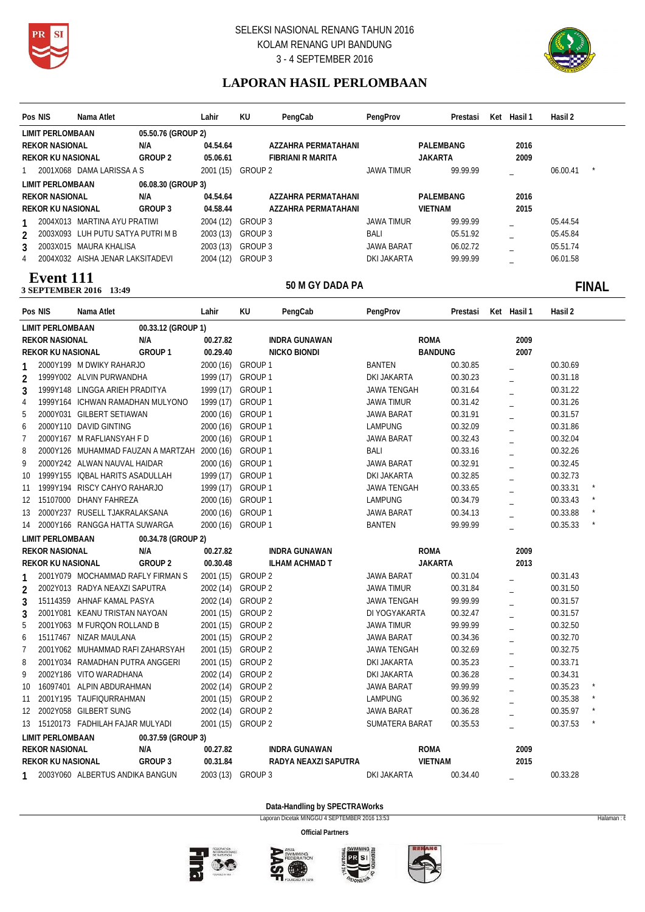



# **LAPORAN HASIL PERLOMBAAN**

| Pos NIS        |                          | Nama Atlet                         |                    | Lahir             | KU                 | PengCab                  | PengProv           | Prestasi       | Ket Hasil 1 | Hasil 2  |              |
|----------------|--------------------------|------------------------------------|--------------------|-------------------|--------------------|--------------------------|--------------------|----------------|-------------|----------|--------------|
|                | <b>LIMIT PERLOMBAAN</b>  |                                    | 05.50.76 (GROUP 2) |                   |                    |                          |                    |                |             |          |              |
|                | <b>REKOR NASIONAL</b>    |                                    | N/A                | 04.54.64          |                    | AZZAHRA PERMATAHANI      |                    | PALEMBANG      | 2016        |          |              |
|                | <b>REKOR KU NASIONAL</b> |                                    | GROUP <sub>2</sub> | 05.06.61          |                    | <b>FIBRIANI R MARITA</b> |                    | <b>JAKARTA</b> | 2009        |          |              |
| 1              |                          | 2001X068 DAMA LARISSA A S          |                    | 2001 (15) GROUP 2 |                    |                          | <b>JAWA TIMUR</b>  | 99.99.99       |             | 06.00.41 |              |
|                | <b>LIMIT PERLOMBAAN</b>  |                                    | 06.08.30 (GROUP 3) |                   |                    |                          |                    |                |             |          |              |
|                | <b>REKOR NASIONAL</b>    |                                    | N/A                | 04.54.64          |                    | AZZAHRA PERMATAHANI      |                    | PALEMBANG      | 2016        |          |              |
|                | <b>REKOR KU NASIONAL</b> |                                    | GROUP 3            | 04.58.44          |                    | AZZAHRA PERMATAHANI      |                    | <b>VIETNAM</b> | 2015        |          |              |
| 1              |                          | 2004X013 MARTINA AYU PRATIWI       |                    | 2004 (12)         | <b>GROUP 3</b>     |                          | <b>JAWA TIMUR</b>  | 99.99.99       |             | 05.44.54 |              |
| $\overline{2}$ |                          | 2003X093 LUH PUTU SATYA PUTRI M B  |                    | 2003 (13)         | GROUP 3            |                          | <b>BALI</b>        | 05.51.92       |             | 05.45.84 |              |
| 3              |                          | 2003X015 MAURA KHALISA             |                    | 2003 (13)         | GROUP 3            |                          | <b>JAWA BARAT</b>  | 06.02.72       |             | 05.51.74 |              |
| 4              |                          | 2004X032 AISHA JENAR LAKSITADEVI   |                    | 2004 (12)         | GROUP 3            |                          | <b>DKI JAKARTA</b> | 99.99.99       |             | 06.01.58 |              |
|                | <b>Event</b> 111         |                                    |                    |                   |                    |                          |                    |                |             |          |              |
|                |                          | 3 SEPTEMBER 2016 13:49             |                    |                   |                    | 50 M GY DADA PA          |                    |                |             |          | <b>FINAL</b> |
| Pos NIS        |                          | Nama Atlet                         |                    | Lahir             | KU                 | PengCab                  | PengProv           | Prestasi       | Ket Hasil 1 | Hasil 2  |              |
|                | <b>LIMIT PERLOMBAAN</b>  |                                    | 00.33.12 (GROUP 1) |                   |                    |                          |                    |                |             |          |              |
|                | <b>REKOR NASIONAL</b>    |                                    | N/A                | 00.27.82          |                    | <b>INDRA GUNAWAN</b>     |                    | <b>ROMA</b>    | 2009        |          |              |
|                | <b>REKOR KU NASIONAL</b> |                                    | GROUP 1            | 00.29.40          |                    | NICKO BIONDI             |                    | <b>BANDUNG</b> | 2007        |          |              |
|                |                          | 2000Y199 M DWIKY RAHARJO           |                    | 2000 (16)         | GROUP 1            |                          | <b>BANTEN</b>      | 00.30.85       |             | 00.30.69 |              |
| 2              |                          | 1999Y002 ALVIN PURWANDHA           |                    | 1999 (17)         | GROUP 1            |                          | DKI JAKARTA        | 00.30.23       |             | 00.31.18 |              |
| $\mathbf{3}$   |                          | 1999Y148 LINGGA ARIEH PRADITYA     |                    | 1999 (17)         | GROUP 1            |                          | JAWA TENGAH        | 00.31.64       |             | 00.31.22 |              |
| 4              |                          | 1999Y164 ICHWAN RAMADHAN MULYONO   |                    | 1999 (17)         | GROUP 1            |                          | <b>JAWA TIMUR</b>  | 00.31.42       |             | 00.31.26 |              |
| 5              |                          | 2000Y031 GILBERT SETIAWAN          |                    | 2000 (16)         | GROUP 1            |                          | JAWA BARAT         | 00.31.91       | L.          | 00.31.57 |              |
| 6              |                          | 2000Y110 DAVID GINTING             |                    | 2000 (16)         | GROUP 1            |                          | <b>LAMPUNG</b>     | 00.32.09       | $\equiv$    | 00.31.86 |              |
| $\overline{7}$ |                          | 2000Y167 M RAFLIANSYAH F D         |                    | 2000(16)          | GROUP 1            |                          | <b>JAWA BARAT</b>  | 00.32.43       | $\equiv$    | 00.32.04 |              |
| 8              |                          | 2000Y126 MUHAMMAD FAUZAN A MARTZAH |                    | 2000 (16)         | GROUP 1            |                          | BALI               | 00.33.16       |             | 00.32.26 |              |
| 9              |                          | 2000Y242 ALWAN NAUVAL HAIDAR       |                    | 2000 (16)         | GROUP 1            |                          | <b>JAWA BARAT</b>  | 00.32.91       | L.          | 00.32.45 |              |
| 10             |                          | 1999Y155 IQBAL HARITS ASADULLAH    |                    | 1999 (17)         | GROUP 1            |                          | DKI JAKARTA        | 00.32.85       |             | 00.32.73 |              |
| 11             |                          | 1999Y194 RISCY CAHYO RAHARJO       |                    | 1999 (17)         | GROUP 1            |                          | <b>JAWA TENGAH</b> | 00.33.65       |             | 00.33.31 |              |
| 12             |                          | 15107000 DHANY FAHREZA             |                    | 2000(16)          | GROUP <sub>1</sub> |                          | <b>LAMPUNG</b>     | 00.34.79       |             | 00.33.43 |              |
| 13             |                          | 2000Y237 RUSELL TJAKRALAKSANA      |                    | 2000 (16)         | GROUP 1            |                          | JAWA BARAT         | 00.34.13       |             | 00.33.88 |              |
| 14             |                          | 2000Y166 RANGGA HATTA SUWARGA      |                    | 2000 (16)         | GROUP 1            |                          | <b>BANTEN</b>      | 99.99.99       |             | 00.35.33 |              |
|                | <b>LIMIT PERLOMBAAN</b>  |                                    | 00.34.78 (GROUP 2) |                   |                    |                          |                    |                |             |          |              |
|                | <b>REKOR NASIONAL</b>    |                                    | N/A                | 00.27.82          |                    | <b>INDRA GUNAWAN</b>     |                    | <b>ROMA</b>    | 2009        |          |              |
|                | <b>REKOR KU NASIONAL</b> |                                    | <b>GROUP 2</b>     | 00.30.48          |                    | <b>ILHAM ACHMAD T</b>    |                    | <b>JAKARTA</b> | 2013        |          |              |
|                |                          | 2001Y079 MOCHAMMAD RAFLY FIRMAN S  |                    |                   | 2001 (15) GROUP 2  |                          | JAWA BARAT         | 00.31.04       |             | 00.31.43 |              |
| 2              |                          | 2002Y013 RADYA NEAXZI SAPUTRA      |                    | 2002 (14) GROUP 2 |                    |                          | <b>JAWA TIMUR</b>  | 00.31.84       |             | 00.31.50 |              |
| 3              |                          | 15114359 AHNAF KAMAL PASYA         |                    |                   | 2002 (14) GROUP 2  |                          | JAWA TENGAH        | 99.99.99       |             | 00.31.57 |              |
| 3              |                          | 2001Y081 KEANU TRISTAN NAYOAN      |                    |                   | 2001 (15) GROUP 2  |                          | DI YOGYAKARTA      | 00.32.47       |             | 00.31.57 |              |
| 5              |                          | 2001Y063 M FURQON ROLLAND B        |                    |                   | 2001 (15) GROUP 2  |                          | JAWA TIMUR         | 99.99.99       |             | 00.32.50 |              |
| 6              |                          | 15117467 NIZAR MAULANA             |                    | 2001 (15) GROUP 2 |                    |                          | JAWA BARAT         | 00.34.36       |             | 00.32.70 |              |
| 7              |                          | 2001Y062 MUHAMMAD RAFI ZAHARSYAH   |                    | 2001 (15) GROUP 2 |                    |                          | JAWA TENGAH        | 00.32.69       |             | 00.32.75 |              |
| 8              |                          | 2001Y034 RAMADHAN PUTRA ANGGERI    |                    |                   | 2001 (15) GROUP 2  |                          | DKI JAKARTA        | 00.35.23       |             | 00.33.71 |              |
| 9              |                          | 2002Y186 VITO WARADHANA            |                    | 2002 (14) GROUP 2 |                    |                          | DKI JAKARTA        | 00.36.28       |             | 00.34.31 |              |
| 10             |                          | 16097401 ALPIN ABDURAHMAN          |                    | 2002 (14) GROUP 2 |                    |                          | JAWA BARAT         | 99.99.99       |             | 00.35.23 |              |
| 11             |                          | 2001Y195 TAUFIQURRAHMAN            |                    | 2001 (15) GROUP 2 |                    |                          | <b>LAMPUNG</b>     | 00.36.92       |             | 00.35.38 |              |
|                |                          | 12 2002Y058 GILBERT SUNG           |                    |                   | 2002 (14) GROUP 2  |                          | JAWA BARAT         | 00.36.28       |             | 00.35.97 |              |
|                |                          | 13 15120173 FADHILAH FAJAR MULYADI |                    |                   | 2001 (15) GROUP 2  |                          | SUMATERA BARAT     | 00.35.53       |             | 00.37.53 |              |
|                | <b>LIMIT PERLOMBAAN</b>  |                                    | 00.37.59 (GROUP 3) |                   |                    |                          |                    |                |             |          |              |
|                | <b>REKOR NASIONAL</b>    |                                    | N/A                | 00.27.82          |                    | <b>INDRA GUNAWAN</b>     |                    | <b>ROMA</b>    | 2009        |          |              |
|                | <b>REKOR KU NASIONAL</b> |                                    | GROUP 3            | 00.31.84          |                    | RADYA NEAXZI SAPUTRA     |                    | <b>VIETNAM</b> | 2015        |          |              |
|                |                          | 2003Y060 ALBERTUS ANDIKA BANGUN    |                    | 2003 (13) GROUP 3 |                    |                          | DKI JAKARTA        | 00.34.40       |             | 00.33.28 |              |

**Data-Handling by SPECTRAWorks**

Laporan Dicetak MINGGU 4 SEPTEMBER 2016 13:53 Halaman : 6







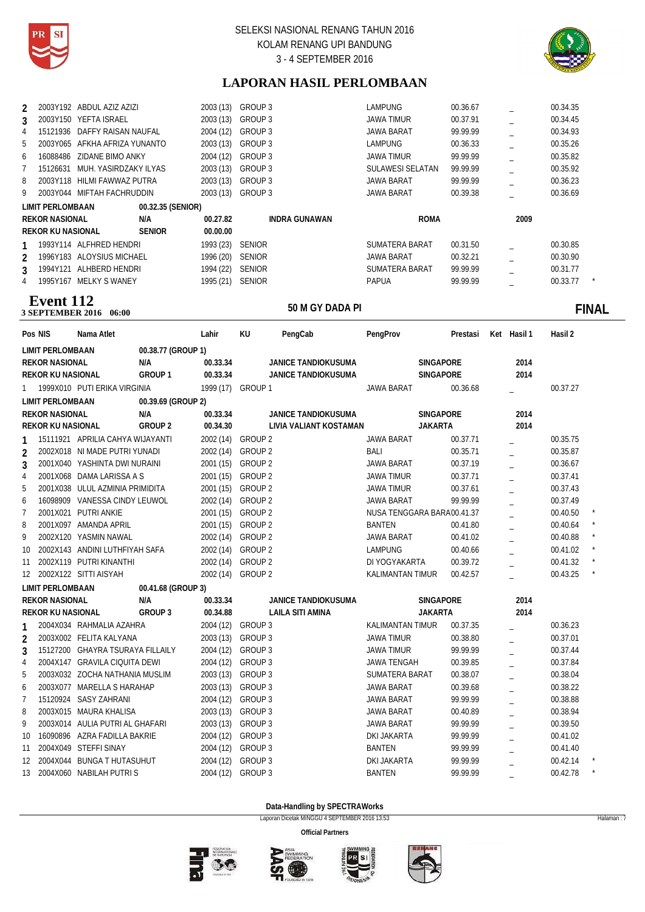



# **LAPORAN HASIL PERLOMBAAN**

| $\mathfrak{p}$ | 2003Y192 ABDUL AZIZ AZIZI |                              | 2003 (13) | GROUP 3              | <b>LAMPUNG</b>    | 00.36.67 |      | 00.34.35 |         |
|----------------|---------------------------|------------------------------|-----------|----------------------|-------------------|----------|------|----------|---------|
| 3              | 2003Y150                  | YEFTA ISRAEL                 | 2003 (13) | GROUP 3              | JAWA TIMUR        | 00.37.91 |      | 00.34.45 |         |
| 4              |                           | 15121936 DAFFY RAISAN NAUFAL | 2004 (12) | GROUP 3              | JAWA BARAT        | 99.99.99 |      | 00.34.93 |         |
| 5              | 2003Y065                  | AFKHA AFRIZA YUNANTO         | 2003 (13) | GROUP 3              | <b>LAMPUNG</b>    | 00.36.33 |      | 00.35.26 |         |
| 6              | 16088486                  | ZIDANE BIMO ANKY             | 2004 (12) | GROUP 3              | JAWA TIMUR        | 99.99.99 |      | 00.35.82 |         |
|                | 15126631                  | MUH. YASIRDZAKY ILYAS        | 2003(13)  | GROUP 3              | SULAWESI SELATAN  | 99.99.99 |      | 00.35.92 |         |
| 8              | 2003Y118                  | HILMI FAWWAZ PUTRA           | 2003 (13) | GROUP 3              | <b>JAWA BARAT</b> | 99.99.99 |      | 00.36.23 |         |
| 9              | 2003Y044                  | MIFTAH FACHRUDDIN            | 2003 (13) | GROUP 3              | <b>JAWA BARAT</b> | 00.39.38 |      | 00.36.69 |         |
|                | <b>LIMIT PERLOMBAAN</b>   | 00.32.35 (SENIOR)            |           |                      |                   |          |      |          |         |
|                | <b>REKOR NASIONAL</b>     | N/A                          | 00.27.82  | <b>INDRA GUNAWAN</b> | <b>ROMA</b>       |          | 2009 |          |         |
|                | REKOR KU NASIONAL         | <b>SENIOR</b>                | 00.00.00  |                      |                   |          |      |          |         |
|                | 1993Y114 ALFHRED HENDRI   |                              | 1993 (23) | <b>SENIOR</b>        | SUMATERA BARAT    | 00.31.50 |      | 00.30.85 |         |
| $\mathcal{P}$  | 1996Y183 ALOYSIUS MICHAEL |                              | 1996 (20) | <b>SENIOR</b>        | JAWA BARAT        | 00.32.21 |      | 00.30.90 |         |
| 3              | 1994Y121                  | ALHBERD HENDRI               | 1994 (22) | <b>SENIOR</b>        | SUMATERA BARAT    | 99.99.99 |      | 00.31.77 |         |
| 4              | 1995Y167                  | MELKY S WANEY                | 1995 (21) | <b>SENIOR</b>        | <b>PAPUA</b>      | 99.99.99 |      | 00.33.77 | $\star$ |
|                |                           |                              |           |                      |                   |          |      |          |         |

## **50 M GY DADA PI**<br>3 SEPTEMBER 2016 06:00 **Event 112**

# **06:000 THE SOLUTION SOLUTION SOLUTION SOLUTION SOLUTION SET ALCOHOLOGY DADA PICK SUPPORT OF STATE STATE STATE STATE STATE STATE STATE STATE STATE STATE STATE STATE STATE STATE STATE STATE STATE STATE STATE STATE STATE STA**

|                | Pos NIS                  | Nama Atlet                       |                    | Lahir             | KU      | PengCab                 | PengProv                   |                | Prestasi | Ket Hasil 1    | Hasil 2  |               |
|----------------|--------------------------|----------------------------------|--------------------|-------------------|---------|-------------------------|----------------------------|----------------|----------|----------------|----------|---------------|
|                | <b>LIMIT PERLOMBAAN</b>  |                                  | 00.38.77 (GROUP 1) |                   |         |                         |                            |                |          |                |          |               |
|                | <b>REKOR NASIONAL</b>    |                                  | N/A                | 00.33.34          |         | JANICE TANDIOKUSUMA     |                            | SINGAPORE      |          | 2014           |          |               |
|                | <b>REKOR KU NASIONAL</b> |                                  | GROUP 1            | 00.33.34          |         | JANICE TANDIOKUSUMA     |                            | SINGAPORE      |          | 2014           |          |               |
| 1              |                          | 1999X010 PUTI ERIKA VIRGINIA     |                    | 1999 (17) GROUP 1 |         |                         | <b>JAWA BARAT</b>          |                | 00.36.68 |                | 00.37.27 |               |
|                | <b>LIMIT PERLOMBAAN</b>  |                                  | 00.39.69 (GROUP 2) |                   |         |                         |                            |                |          |                |          |               |
|                | <b>REKOR NASIONAL</b>    |                                  | N/A                | 00.33.34          |         | JANICE TANDIOKUSUMA     |                            | SINGAPORE      |          | 2014           |          |               |
|                | <b>REKOR KU NASIONAL</b> |                                  | GROUP <sub>2</sub> | 00.34.30          |         | LIVIA VALIANT KOSTAMAN  |                            | <b>JAKARTA</b> |          | 2014           |          |               |
|                |                          | 15111921 APRILIA CAHYA WIJAYANTI |                    | 2002 (14) GROUP 2 |         |                         | <b>JAWA BARAT</b>          |                | 00.37.71 |                | 00.35.75 |               |
| $\overline{2}$ |                          | 2002X018 NI MADE PUTRI YUNADI    |                    | 2002 (14) GROUP 2 |         |                         | BALI                       |                | 00.35.71 |                | 00.35.87 |               |
| 3              |                          | 2001X040 YASHINTA DWI NURAINI    |                    | 2001 (15) GROUP 2 |         |                         | <b>JAWA BARAT</b>          |                | 00.37.19 |                | 00.36.67 |               |
| 4              |                          | 2001X068 DAMA LARISSA A S        |                    | 2001 (15) GROUP 2 |         |                         | <b>JAWA TIMUR</b>          |                | 00.37.71 |                | 00.37.41 |               |
| 5              |                          | 2001X038 ULUL AZMINIA PRIMIDITA  |                    | 2001 (15) GROUP 2 |         |                         | <b>JAWA TIMUR</b>          |                | 00.37.61 |                | 00.37.43 |               |
| 6              |                          | 16098909 VANESSA CINDY LEUWOL    |                    | 2002 (14) GROUP 2 |         |                         | <b>JAWA BARAT</b>          |                | 99.99.99 |                | 00.37.49 |               |
| 7              |                          | 2001X021 PUTRI ANKIE             |                    | 2001 (15) GROUP 2 |         |                         | NUSA TENGGARA BARA00.41.37 |                |          |                | 00.40.50 |               |
| 8              |                          | 2001X097 AMANDA APRIL            |                    | 2001 (15) GROUP 2 |         |                         | <b>BANTEN</b>              |                | 00.41.80 | $\overline{a}$ | 00.40.64 |               |
| 9              |                          | 2002X120 YASMIN NAWAL            |                    | 2002 (14) GROUP 2 |         |                         | <b>JAWA BARAT</b>          |                | 00.41.02 | $\overline{a}$ | 00.40.88 |               |
| 10             |                          | 2002X143 ANDINI LUTHFIYAH SAFA   |                    | 2002 (14) GROUP 2 |         |                         | <b>LAMPUNG</b>             |                | 00.40.66 | $\overline{a}$ | 00.41.02 |               |
| 11             |                          | 2002X119 PUTRI KINANTHI          |                    | 2002 (14) GROUP 2 |         |                         | DI YOGYAKARTA              |                | 00.39.72 |                | 00.41.32 |               |
|                |                          | 12 2002X122 SITTI AISYAH         |                    | 2002 (14) GROUP 2 |         |                         | KALIMANTAN TIMUR           |                | 00.42.57 |                | 00.43.25 | $\pmb{\star}$ |
|                | <b>LIMIT PERLOMBAAN</b>  |                                  | 00.41.68 (GROUP 3) |                   |         |                         |                            |                |          |                |          |               |
|                | <b>REKOR NASIONAL</b>    |                                  | N/A                | 00.33.34          |         | JANICE TANDIOKUSUMA     |                            | SINGAPORE      |          | 2014           |          |               |
|                | REKOR KU NASIONAL        |                                  | GROUP 3            | 00.34.88          |         | <b>LAILA SITI AMINA</b> |                            | <b>JAKARTA</b> |          | 2014           |          |               |
| 1              |                          | 2004X034 RAHMALIA AZAHRA         |                    | 2004 (12) GROUP 3 |         |                         | <b>KALIMANTAN TIMUR</b>    |                | 00.37.35 |                | 00.36.23 |               |
| 2              |                          | 2003X002 FELITA KALYANA          |                    | 2003 (13) GROUP 3 |         |                         | <b>JAWA TIMUR</b>          |                | 00.38.80 |                | 00.37.01 |               |
| 3              |                          | 15127200 GHAYRA TSURAYA FILLAILY |                    | 2004 (12)         | GROUP 3 |                         | <b>JAWA TIMUR</b>          |                | 99.99.99 |                | 00.37.44 |               |
| 4              |                          | 2004X147 GRAVILA CIQUITA DEWI    |                    | 2004 (12)         | GROUP 3 |                         | <b>JAWA TENGAH</b>         |                | 00.39.85 |                | 00.37.84 |               |
| 5              |                          | 2003X032 ZOCHA NATHANIA MUSLIM   |                    | 2003 (13)         | GROUP 3 |                         | SUMATERA BARAT             |                | 00.38.07 |                | 00.38.04 |               |
| 6              |                          | 2003X077 MARELLA S HARAHAP       |                    | 2003 (13)         | GROUP 3 |                         | <b>JAWA BARAT</b>          |                | 00.39.68 |                | 00.38.22 |               |
| 7              |                          | 15120924 SASY ZAHRANI            |                    | 2004 (12)         | GROUP 3 |                         | <b>JAWA BARAT</b>          |                | 99.99.99 |                | 00.38.88 |               |
| 8              |                          | 2003X015 MAURA KHALISA           |                    | 2003 (13) GROUP 3 |         |                         | <b>JAWA BARAT</b>          |                | 00.40.89 |                | 00.38.94 |               |
| 9              |                          | 2003X014 AULIA PUTRI AL GHAFARI  |                    | 2003 (13) GROUP 3 |         |                         | <b>JAWA BARAT</b>          |                | 99.99.99 |                | 00.39.50 |               |
| 10             |                          | 16090896 AZRA FADILLA BAKRIE     |                    | 2004 (12)         | GROUP 3 |                         | DKI JAKARTA                |                | 99.99.99 |                | 00.41.02 |               |
| 11             |                          | 2004X049 STEFFI SINAY            |                    | 2004 (12)         | GROUP 3 |                         | <b>BANTEN</b>              |                | 99.99.99 |                | 00.41.40 |               |
| 12             |                          | 2004X044 BUNGA T HUTASUHUT       |                    | 2004 (12)         | GROUP 3 |                         | DKI JAKARTA                |                | 99.99.99 |                | 00.42.14 |               |
|                |                          | 13 2004X060 NABILAH PUTRIS       |                    | 2004 (12) GROUP 3 |         |                         | <b>BANTEN</b>              |                | 99.99.99 |                | 00.42.78 |               |

**Data-Handling by SPECTRAWorks**

Laporan Dicetak MINGGU 4 SEPTEMBER 2016 13:53 Halaman : 7







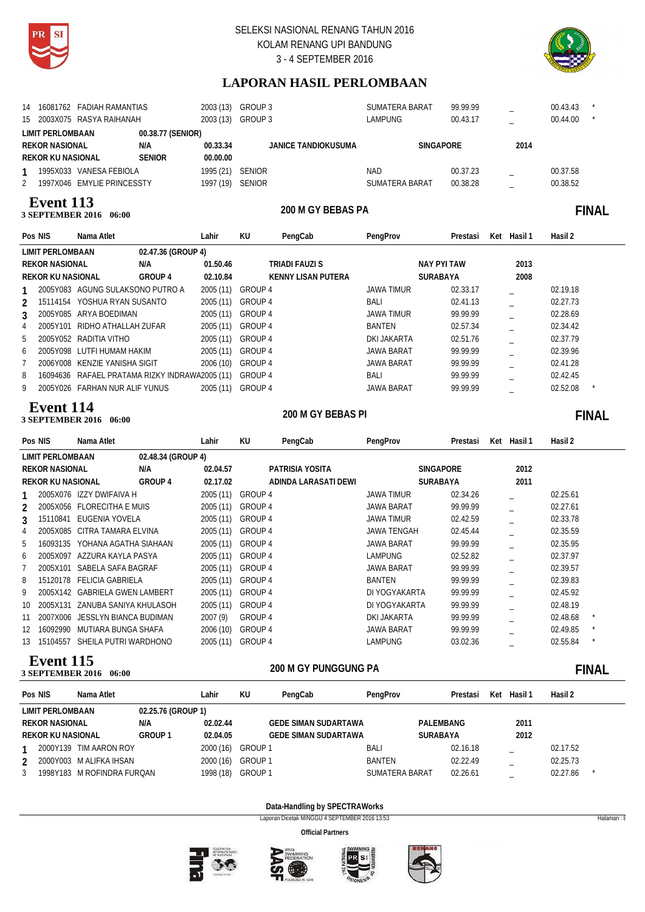



# **LAPORAN HASIL PERLOMBAAN**

| 14 16081762 FADIAH RAMANTIAS<br>15 2003X075 RASYA RAIHANAH |                   | 2003 (13)<br>2003 (13) | GROUP 3<br>GROUP 3  | <b>SUMATERA BARAT</b><br><b>LAMPUNG</b> | 99.99.99<br>00.43.17 | -<br>-   | 00.43.43<br>00.44.00 |  |
|------------------------------------------------------------|-------------------|------------------------|---------------------|-----------------------------------------|----------------------|----------|----------------------|--|
| LIMIT PERLOMBAAN                                           | 00.38.77 (SENIOR) |                        |                     |                                         |                      |          |                      |  |
| <b>REKOR NASIONAL</b>                                      | N/A               | 00.33.34               | JANICE TANDIOKUSUMA | <b>SINGAPORE</b>                        |                      | 2014     |                      |  |
| <b>REKOR KU NASIONAL</b>                                   | <b>SENIOR</b>     | 00.00.00               |                     |                                         |                      |          |                      |  |
| 1995X033 VANESA FEBIOLA                                    |                   | 1995 (21)              | <b>SENIOR</b>       | NAD                                     | 00.37.23             | $=$      | 00.37.58             |  |
| 1997X046 EMYLIE PRINCESSTY                                 |                   | 1997 (19)              | <b>SENIOR</b>       | SUMATERA BARAT                          | 00.38.28             | $\equiv$ | 00.38.52             |  |
|                                                            |                   |                        |                     |                                         |                      |          |                      |  |

### **200 M GHE BEBASE 2016** 06:00 **Event 113**

# 200 M GY BEBAS PA **FINAL**

|               | Pos NIS                  | Nama Atlet                                     |                    | Lahir     | KU      | PengCab                   | PengProv          | Prestasi           | Ket | Hasil 1 | Hasil 2  |  |
|---------------|--------------------------|------------------------------------------------|--------------------|-----------|---------|---------------------------|-------------------|--------------------|-----|---------|----------|--|
|               | LIMIT PERLOMBAAN         |                                                | 02.47.36 (GROUP 4) |           |         |                           |                   |                    |     |         |          |  |
|               | <b>REKOR NASIONAL</b>    |                                                | N/A                | 01.50.46  |         | TRIADI FAUZI S            |                   | <b>NAY PYI TAW</b> |     | 2013    |          |  |
|               | <b>REKOR KU NASIONAL</b> |                                                | GROUP 4            | 02.10.84  |         | <b>KENNY LISAN PUTERA</b> |                   | <b>SURABAYA</b>    |     | 2008    |          |  |
|               |                          | 2005Y083 AGUNG SULAKSONO PUTRO A               |                    | 2005 (11) | GROUP 4 |                           | JAWA TIMUR        | 02.33.17           |     |         | 02.19.18 |  |
| $\mathcal{P}$ | 15114154                 | YOSHUA RYAN SUSANTO                            |                    | 2005 (11) | GROUP 4 |                           | BALI              | 02.41.13           |     |         | 02.27.73 |  |
| 3             |                          | 2005Y085 ARYA BOEDIMAN                         |                    | 2005 (11) | GROUP 4 |                           | JAWA TIMUR        | 99.99.99           |     |         | 02.28.69 |  |
| 4             |                          | 2005Y101 RIDHO ATHALLAH ZUFAR                  |                    | 2005 (11) | GROUP 4 |                           | BANTEN            | 02.57.34           |     |         | 02.34.42 |  |
| 5             |                          | 2005Y052 RADITIA VITHO                         |                    | 2005 (11) | GROUP 4 |                           | DKI JAKARTA       | 02.51.76           |     |         | 02.37.79 |  |
| 6             |                          | 2005Y098 LUTFI HUMAM HAKIM                     |                    | 2005 (11) | GROUP 4 |                           | <b>JAWA BARAT</b> | 99.99.99           |     |         | 02.39.96 |  |
|               |                          | 2006Y008 KENZIE YANISHA SIGIT                  |                    | 2006 (10) | GROUP 4 |                           | JAWA BARAT        | 99.99.99           |     |         | 02.41.28 |  |
| 8             |                          | 16094636 RAFAEL PRATAMA RIZKY INDRAWA2005 (11) |                    |           | GROUP 4 |                           | BALI              | 99.99.99           |     |         | 02.42.45 |  |
| 9             |                          | 2005Y026 FARHAN NUR ALIF YUNUS                 |                    | 2005 (11) | GROUP 4 |                           | <b>JAWA BARAT</b> | 99.99.99           |     |         | 02.52.08 |  |
|               |                          |                                                |                    |           |         |                           |                   |                    |     |         |          |  |

### **200 SEPTEMBER 2016** 06:00 **Event 114**

# 200 M GY BEBAS PI

|               | Pos NIS                              | Nama Atlet                   |                    | Lahir     | KU      | PengCab              | PengProv           | Prestasi         | Ket | Hasil 1 | Hasil 2  |              |
|---------------|--------------------------------------|------------------------------|--------------------|-----------|---------|----------------------|--------------------|------------------|-----|---------|----------|--------------|
|               | <b>LIMIT PERLOMBAAN</b>              |                              | 02.48.34 (GROUP 4) |           |         |                      |                    |                  |     |         |          |              |
|               | <b>REKOR NASIONAL</b>                |                              | N/A                | 02.04.57  |         | PATRISIA YOSITA      |                    | <b>SINGAPORE</b> |     | 2012    |          |              |
|               | <b>REKOR KU NASIONAL</b>             |                              | GROUP 4            | 02.17.02  |         | ADINDA LARASATI DEWI |                    | SURABAYA         |     | 2011    |          |              |
|               |                                      | 2005X076 IZZY DWIFAIVA H     |                    | 2005 (11) | GROUP 4 |                      | <b>JAWA TIMUR</b>  | 02.34.26         |     |         | 02.25.61 |              |
| $\mathcal{P}$ |                                      | 2005X056 FLORECITHA E MUIS   |                    | 2005 (11) | GROUP 4 |                      | <b>JAWA BARAT</b>  | 99.99.99         |     |         | 02.27.61 |              |
| 3             |                                      | 15110841 EUGENIA YOVELA      |                    | 2005 (11) | GROUP 4 |                      | <b>JAWA TIMUR</b>  | 02.42.59         |     |         | 02.33.78 |              |
| 4             |                                      | 2005X085 CITRA TAMARA ELVINA |                    | 2005 (11) | GROUP 4 |                      | <b>JAWA TENGAH</b> | 02.45.44         |     |         | 02.35.59 |              |
| 5             | 16093135                             | YOHANA AGATHA SIAHAAN        |                    | 2005 (11) | GROUP 4 |                      | <b>JAWA BARAT</b>  | 99.99.99         |     |         | 02.35.95 |              |
| 6             | 2005X097                             | AZZURA KAYLA PASYA           |                    | 2005(11)  | GROUP 4 |                      | <b>LAMPUNG</b>     | 02.52.82         |     |         | 02.37.97 |              |
|               | 2005X101                             | SABELA SAFA BAGRAF           |                    | 2005(11)  | GROUP 4 |                      | <b>JAWA BARAT</b>  | 99.99.99         |     |         | 02.39.57 |              |
| 8             | 15120178                             | <b>FELICIA GABRIELA</b>      |                    | 2005(11)  | GROUP 4 |                      | BANTEN             | 99.99.99         |     |         | 02.39.83 |              |
| 9             | 2005X142                             | <b>GABRIELA GWEN LAMBERT</b> |                    | 2005 (11) | GROUP 4 |                      | DI YOGYAKARTA      | 99.99.99         |     |         | 02.45.92 |              |
| 10            | 2005X131                             | ZANUBA SANIYA KHULASOH       |                    | 2005 (11) | GROUP 4 |                      | DI YOGYAKARTA      | 99.99.99         |     |         | 02.48.19 |              |
| 11            | 2007X006                             | JESSLYN BIANCA BUDIMAN       |                    | 2007 (9)  | GROUP 4 |                      | DKI JAKARTA        | 99.99.99         |     |         | 02.48.68 |              |
| 12            | 16092990                             | MUTIARA BUNGA SHAFA          |                    | 2006 (10) | GROUP 4 |                      | <b>JAWA BARAT</b>  | 99.99.99         |     |         | 02.49.85 |              |
| 13            | 15104557                             | SHEILA PUTRI WARDHONO        |                    | 2005 (11) | GROUP 4 |                      | <b>LAMPUNG</b>     | 03.02.36         |     |         | 02.55.84 |              |
|               | Event 115<br><b>3 SEPTEMBER 2016</b> | 06:00                        |                    |           |         | 200 M GY PUNGGUNG PA |                    |                  |     |         |          | <b>FINAL</b> |

| Pos NIS<br>Nama Atlet                  | Lahir     | KU      | PengCab                     | PengProv              | Prestasi        | Ket | Hasil 1 | Hasil 2  |  |
|----------------------------------------|-----------|---------|-----------------------------|-----------------------|-----------------|-----|---------|----------|--|
| 02.25.76 (GROUP 1)<br>LIMIT PERLOMBAAN |           |         |                             |                       |                 |     |         |          |  |
| N/A<br><b>REKOR NASIONAL</b>           | 02.02.44  |         | <b>GEDE SIMAN SUDARTAWA</b> |                       | PALEMBANG       |     | 2011    |          |  |
| <b>GROUP1</b><br>REKOR KU NASIONAL     | 02.04.05  |         | <b>GEDE SIMAN SUDARTAWA</b> |                       | <b>SURABAYA</b> |     | 2012    |          |  |
| 2000Y139 TIM AARON ROY                 | 2000 (16) | GROUP 1 |                             | BALI                  | 02.16.18        |     |         | 02.17.52 |  |
| 2000Y003 M ALIFKA IHSAN<br>2           | 2000 (16) | GROUP 1 |                             | <b>BANTEN</b>         | 02.22.49        |     |         | 02.25.73 |  |
| 1998Y183 M ROFINDRA FUROAN<br>3        | 1998 (18) | GROUP 1 |                             | <b>SUMATERA BARAT</b> | 02.26.61        |     |         | 02.27.86 |  |

### **Data-Handling by SPECTRAWorks**

Laporan Dicetak MINGGU 4 SEPTEMBER 2016 13:53 Halaman : 8







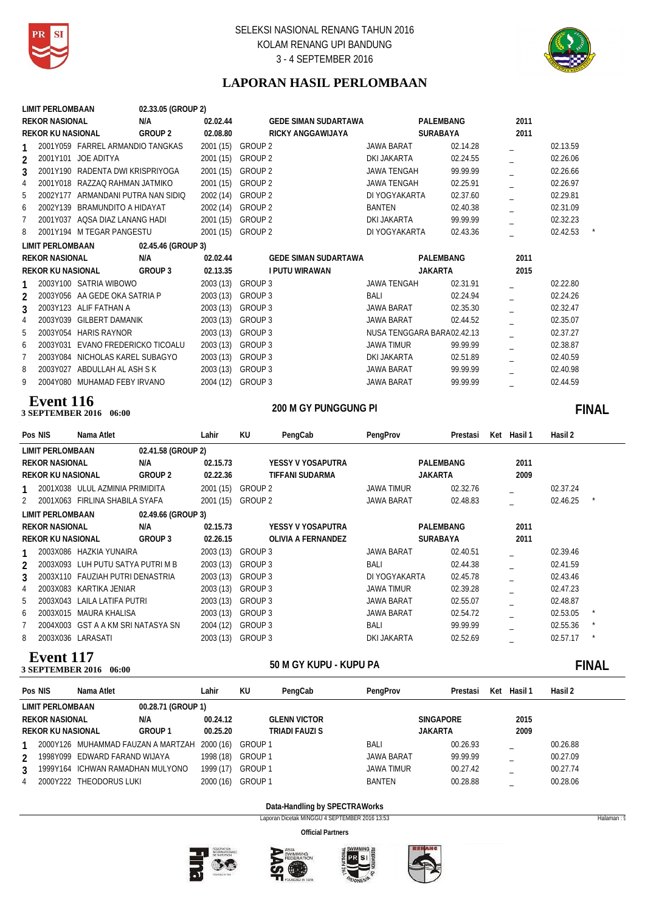



# **LAPORAN HASIL PERLOMBAAN**

|                                                      | 02.33.05 (GROUP 2) |           |                             |                                |                          |              |
|------------------------------------------------------|--------------------|-----------|-----------------------------|--------------------------------|--------------------------|--------------|
| <b>REKOR NASIONAL</b>                                | N/A                | 02.02.44  | <b>GEDE SIMAN SUDARTAWA</b> | PALEMBANG                      | 2011                     |              |
| <b>REKOR KU NASIONAL</b>                             | <b>GROUP 2</b>     | 02.08.80  | RICKY ANGGAWIJAYA           | SURABAYA                       | 2011                     |              |
| 2001Y059 FARREL ARMANDIO TANGKAS<br>1                |                    |           | 2001 (15) GROUP 2           | <b>JAWA BARAT</b><br>02.14.28  |                          | 02.13.59     |
| 2001Y101 JOE ADITYA<br>$\overline{2}$                |                    | 2001 (15) | GROUP 2                     | DKI JAKARTA<br>02.24.55        | $\overline{a}$           | 02.26.06     |
| 2001Y190 RADENTA DWI KRISPRIYOGA<br>3                |                    | 2001 (15) | GROUP 2                     | <b>JAWA TENGAH</b><br>99.99.99 | $\overline{\phantom{0}}$ | 02.26.66     |
| 2001Y018 RAZZAQ RAHMAN JATMIKO<br>4                  |                    |           | 2001 (15) GROUP 2           | <b>JAWA TENGAH</b><br>02.25.91 |                          | 02.26.97     |
| 5<br>2002Y177 ARMANDANI PUTRA NAN SIDIO              |                    |           | 2002 (14) GROUP 2           | DI YOGYAKARTA<br>02.37.60      | $\overline{a}$           | 02.29.81     |
| 6<br>2002Y139 BRAMUNDITO A HIDAYAT                   |                    | 2002 (14) | GROUP 2                     | <b>BANTEN</b><br>02.40.38      | L.                       | 02.31.09     |
| $\overline{7}$<br>2001Y037 AQSA DIAZ LANANG HADI     |                    | 2001 (15) | GROUP <sub>2</sub>          | DKI JAKARTA<br>99.99.99        |                          | 02.32.23     |
| 8<br>2001Y194 M TEGAR PANGESTU                       |                    | 2001 (15) | GROUP 2                     | DI YOGYAKARTA<br>02.43.36      | $\overline{a}$           | 02.42.53     |
| <b>LIMIT PERLOMBAAN</b>                              | 02.45.46 (GROUP 3) |           |                             |                                |                          |              |
| <b>REKOR NASIONAL</b>                                | N/A                | 02.02.44  | <b>GEDE SIMAN SUDARTAWA</b> | PALEMBANG                      | 2011                     |              |
| <b>REKOR KU NASIONAL</b>                             | GROUP 3            | 02.13.35  | <b>I PUTU WIRAWAN</b>       | <b>JAKARTA</b>                 | 2015                     |              |
| 2003Y100 SATRIA WIBOWO                               |                    |           | 2003 (13) GROUP 3           | <b>JAWA TENGAH</b><br>02.31.91 |                          | 02.22.80     |
| $\overline{2}$<br>2003Y056 AA GEDE OKA SATRIA P      |                    |           | 2003 (13) GROUP 3           | 02.24.94<br><b>BALI</b>        |                          | 02.24.26     |
| 2003Y123 ALIF FATHAN A<br>3                          |                    |           | 2003 (13) GROUP 3           | <b>JAWA BARAT</b><br>02.35.30  | $\overline{a}$           | 02.32.47     |
| $\overline{4}$<br>2003Y039 GILBERT DAMANIK           |                    |           | 2003 (13) GROUP 3           | <b>JAWA BARAT</b><br>02.44.52  | $\overline{a}$           | 02.35.07     |
| 5<br>2003Y054 HARIS RAYNOR                           |                    |           | 2003 (13) GROUP 3           | NUSA TENGGARA BARA02.42.13     | L.                       | 02.37.27     |
| 2003Y031 EVANO FREDERICKO TICOALU<br>6               |                    | 2003 (13) | GROUP 3                     | <b>JAWA TIMUR</b><br>99.99.99  | $\overline{a}$           | 02.38.87     |
| $\overline{7}$<br>2003Y084 NICHOLAS KAREL SUBAGYO    |                    |           | 2003 (13) GROUP 3           | DKI JAKARTA<br>02.51.89        |                          | 02.40.59     |
| 8<br>2003Y027 ABDULLAH AL ASH S K                    |                    | 2003 (13) | GROUP 3                     | 99.99.99<br><b>JAWA BARAT</b>  | $\overline{a}$           | 02.40.98     |
| 9<br>2004Y080 MUHAMAD FEBY IRVANO                    |                    | 2004 (12) | GROUP 3                     | 99.99.99<br><b>JAWA BARAT</b>  | $\overline{a}$           | 02.44.59     |
| Event 116                                            |                    |           |                             |                                |                          |              |
|                                                      |                    |           | 200 M GY PUNGGUNG PI        |                                |                          |              |
| 3 SEPTEMBER 2016 06:00                               |                    |           |                             |                                |                          | <b>FINAL</b> |
|                                                      |                    |           |                             |                                |                          |              |
| Pos NIS<br>Nama Atlet                                |                    | Lahir     | KU<br>PengCab               | PengProv<br>Prestasi           | Ket Hasil 1              | Hasil 2      |
| <b>LIMIT PERLOMBAAN</b>                              | 02.41.58 (GROUP 2) |           |                             |                                |                          |              |
| <b>REKOR NASIONAL</b>                                | N/A                | 02.15.73  | YESSY V YOSAPUTRA           | PALEMBANG                      | 2011                     |              |
| <b>REKOR KU NASIONAL</b>                             | GROUP <sub>2</sub> | 02.22.36  | <b>TIFFANI SUDARMA</b>      | <b>JAKARTA</b>                 | 2009                     |              |
| 2001X038 ULUL AZMINIA PRIMIDITA<br>1                 |                    | 2001 (15) | <b>GROUP 2</b>              | 02.32.76<br><b>JAWA TIMUR</b>  |                          | 02.37.24     |
| 2001X063 FIRLINA SHABILA SYAFA<br>2                  |                    |           | 2001 (15) GROUP 2           | <b>JAWA BARAT</b><br>02.48.83  |                          | 02.46.25     |
| <b>LIMIT PERLOMBAAN</b>                              | 02.49.66 (GROUP 3) |           |                             |                                |                          |              |
| <b>REKOR NASIONAL</b>                                | N/A                | 02.15.73  | YESSY V YOSAPUTRA           | PALEMBANG                      | 2011                     |              |
| <b>REKOR KU NASIONAL</b>                             | <b>GROUP 3</b>     | 02.26.15  | OLIVIA A FERNANDEZ          | SURABAYA                       | 2011                     |              |
| 2003X086 HAZKIA YUNAIRA<br>1                         |                    | 2003 (13) | GROUP 3                     | <b>JAWA BARAT</b><br>02.40.51  |                          | 02.39.46     |
| 2003X093 LUH PUTU SATYA PUTRI M B<br>2               |                    |           | 2003 (13) GROUP 3           | BALI<br>02.44.38               | $\overline{a}$           | 02.41.59     |
| 3<br>2003X110 FAUZIAH PUTRI DENASTRIA                |                    | 2003 (13) | GROUP 3                     | DI YOGYAKARTA<br>02.45.78      | $\equiv$                 | 02.43.46     |
| $\overline{4}$<br>2003X083 KARTIKA JENIAR            |                    |           | 2003 (13) GROUP 3           | 02.39.28<br><b>JAWA TIMUR</b>  | $\overline{a}$           | 02.47.23     |
| 5<br>2003X043 LAILA LATIFA PUTRI                     |                    |           | 2003 (13) GROUP 3           | 02.55.07<br><b>JAWA BARAT</b>  | $\overline{a}$           | 02.48.87     |
| 2003X015 MAURA KHALISA<br>6                          |                    |           | 2003 (13) GROUP 3           | <b>JAWA BARAT</b><br>02.54.72  |                          | 02.53.05     |
| $\overline{7}$<br>2004X003 GST A A KM SRI NATASYA SN |                    | 2004 (12) | GROUP 3                     | <b>BALI</b><br>99.99.99        | $\overline{a}$           | 02.55.36     |
| 8<br>2003X036 LARASATI<br><b>Event 117</b>           |                    | 2003 (13) | GROUP 3                     | DKI JAKARTA<br>02.52.69        | $\overline{a}$           | 02.57.17     |

**50 M GY KUPU - KUPU PA 3 SEPTEMBER 2016** 06:00

# **06:000 THE SOLUTE SOLUTION SOLUTION SOLUTION SOLUTION SOLUTION SOLUTION SOLUTION SOLUTION SOLUTION SOLUTION SOLUTION SOLUTION SOLUTION SOLUTION SOLUTION SOLUTION SOLUTION SOLUTION SOLUTION SOLUTION SOLUTION SOLUTION SOLUT**

|   | Pos NIS                  | Nama Atlet                                   |                    | ∟ahir     | KU      | PengCab             | PengProv          | Prestasi | Ket | Hasil 1 | Hasil 2  |
|---|--------------------------|----------------------------------------------|--------------------|-----------|---------|---------------------|-------------------|----------|-----|---------|----------|
|   | LIMIT PERLOMBAAN         |                                              | 00.28.71 (GROUP 1) |           |         |                     |                   |          |     |         |          |
|   | <b>REKOR NASIONAL</b>    |                                              | N/A                | 00.24.12  |         | <b>GLENN VICTOR</b> | <b>SINGAPORE</b>  |          |     | 2015    |          |
|   | <b>REKOR KU NASIONAL</b> |                                              | <b>GROUP 1</b>     | 00.25.20  |         | TRIADI FAUZI S      | JAKARTA           |          |     | 2009    |          |
|   |                          | 2000Y126 MUHAMMAD FAUZAN A MARTZAH 2000 (16) |                    |           | GROUP 1 |                     | BALI              | 00.26.93 |     |         | 00.26.88 |
|   |                          | 1998Y099 EDWARD FARAND WIJAYA                |                    | 1998 (18) | GROUP 1 |                     | <b>JAWA BARAT</b> | 99.99.99 |     |         | 00.27.09 |
| 3 |                          | 1999Y164 ICHWAN RAMADHAN MULYONO             |                    | 1999 (17) | GROUP 1 |                     | <b>JAWA TIMUR</b> | 00.27.42 |     |         | 00.27.74 |
| 4 |                          | 2000Y222 THEODORUS LUKI                      |                    | 2000 (16) | GROUP 1 |                     | BANTEN            | 00.28.88 |     |         | 00.28.06 |
|   |                          |                                              |                    |           |         |                     |                   |          |     |         |          |

### **Data-Handling by SPECTRAWorks**

Laporan Dicetak MINGGU 4 SEPTEMBER 2016 13:53 Halaman : 9







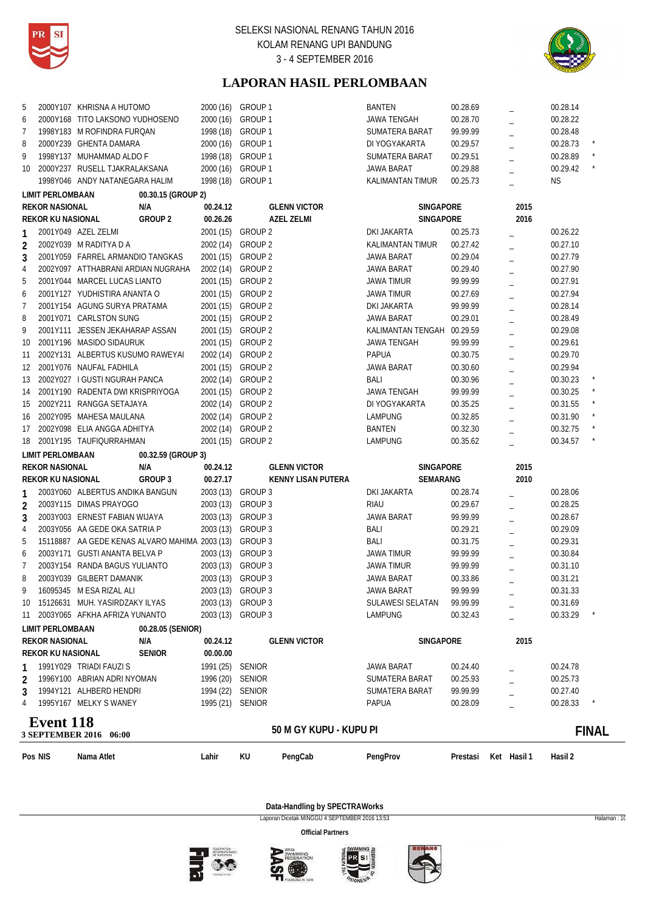



# **LAPORAN HASIL PERLOMBAAN**

| 5                |                          | 2000Y107 KHRISNA A HUTOMO                              |                      | 2000 (16) GROUP 1         | <b>BANTEN</b>              | 00.28.69 |                | 00.28.14 |              |
|------------------|--------------------------|--------------------------------------------------------|----------------------|---------------------------|----------------------------|----------|----------------|----------|--------------|
| 6                |                          | 2000Y168 TITO LAKSONO YUDHOSENO                        | 2000 (16) GROUP 1    |                           | <b>JAWA TENGAH</b>         | 00.28.70 |                | 00.28.22 |              |
| 7                |                          | 1998Y183 M ROFINDRA FURQAN                             | 1998 (18) GROUP 1    |                           | SUMATERA BARAT             | 99.99.99 |                | 00.28.48 |              |
| 8                |                          | 2000Y239 GHENTA DAMARA                                 | 2000 (16) GROUP 1    |                           | DI YOGYAKARTA              | 00.29.57 |                | 00.28.73 |              |
| 9                |                          | 1998Y137 MUHAMMAD ALDO F                               | 1998 (18) GROUP 1    |                           | SUMATERA BARAT             | 00.29.51 |                | 00.28.89 |              |
| 10               |                          | 2000Y237 RUSELL TJAKRALAKSANA                          | 2000 (16) GROUP 1    |                           | <b>JAWA BARAT</b>          | 00.29.88 |                | 00.29.42 |              |
|                  |                          | 1998Y046 ANDY NATANEGARA HALIM                         | 1998 (18) GROUP 1    |                           | KALIMANTAN TIMUR           | 00.25.73 |                | ΝS       |              |
|                  | <b>LIMIT PERLOMBAAN</b>  | 00.30.15 (GROUP 2)                                     |                      |                           |                            |          |                |          |              |
|                  | <b>REKOR NASIONAL</b>    | N/A                                                    | 00.24.12             | <b>GLENN VICTOR</b>       | SINGAPORE                  |          | 2015           |          |              |
|                  | <b>REKOR KU NASIONAL</b> | GROUP 2                                                | 00.26.26             | <b>AZEL ZELMI</b>         | <b>SINGAPORE</b>           |          | 2016           |          |              |
| 1                |                          | 2001Y049 AZEL ZELMI                                    |                      | 2001 (15) GROUP 2         | DKI JAKARTA                | 00.25.73 |                | 00.26.22 |              |
| $\overline{2}$   |                          | 2002Y039 M RADITYA D A                                 |                      | 2002 (14) GROUP 2         | <b>KALIMANTAN TIMUR</b>    | 00.27.42 |                | 00.27.10 |              |
| 3                |                          | 2001Y059 FARREL ARMANDIO TANGKAS                       |                      | 2001 (15) GROUP 2         | JAWA BARAT                 | 00.29.04 | $\equiv$       | 00.27.79 |              |
| 4                |                          | 2002Y097 ATTHABRANI ARDIAN NUGRAHA 2002 (14) GROUP 2   |                      |                           | JAWA BARAT                 | 00.29.40 |                | 00.27.90 |              |
| 5                |                          | 2001Y044 MARCEL LUCAS LIANTO                           |                      | 2001 (15) GROUP 2         | JAWA TIMUR                 | 99.99.99 |                | 00.27.91 |              |
| 6                |                          | 2001Y127 YUDHISTIRA ANANTA O                           |                      | 2001 (15) GROUP 2         | JAWA TIMUR                 | 00.27.69 |                | 00.27.94 |              |
| $\overline{7}$   |                          | 2001Y154 AGUNG SURYA PRATAMA                           |                      | 2001 (15) GROUP 2         | DKI JAKARTA                | 99.99.99 | $\overline{a}$ | 00.28.14 |              |
| 8                |                          | 2001Y071 CARLSTON SUNG                                 |                      | 2001 (15) GROUP 2         | JAWA BARAT                 | 00.29.01 | $\overline{a}$ | 00.28.49 |              |
| 9                |                          | 2001Y111 JESSEN JEKAHARAP ASSAN                        |                      | 2001 (15) GROUP 2         | KALIMANTAN TENGAH 00.29.59 |          |                | 00.29.08 |              |
| 10               |                          | 2001Y196 MASIDO SIDAURUK                               |                      | 2001 (15) GROUP 2         | <b>JAWA TENGAH</b>         | 99.99.99 | $\overline{a}$ | 00.29.61 |              |
| 11               |                          | 2002Y131 ALBERTUS KUSUMO RAWEYAI                       |                      | 2002 (14) GROUP 2         | <b>PAPUA</b>               | 00.30.75 |                | 00.29.70 |              |
| 12 <sup>12</sup> |                          | 2001Y076 NAUFAL FADHILA                                |                      | 2001 (15) GROUP 2         | <b>JAWA BARAT</b>          | 00.30.60 |                | 00.29.94 |              |
| 13               |                          | 2002Y027 I GUSTI NGURAH PANCA                          |                      | 2002 (14) GROUP 2         | BALI                       | 00.30.96 | $\equiv$       | 00.30.23 |              |
|                  |                          | 14 2001Y190 RADENTA DWI KRISPRIYOGA                    |                      | 2001 (15) GROUP 2         | JAWA TENGAH                | 99.99.99 |                | 00.30.25 |              |
| 15               |                          | 2002Y211 RANGGA SETAJAYA                               |                      | 2002 (14) GROUP 2         | DI YOGYAKARTA              | 00.35.25 |                | 00.31.55 |              |
|                  |                          | 16 2002Y095 MAHESA MAULANA                             |                      | 2002 (14) GROUP 2         | LAMPUNG                    | 00.32.85 |                | 00.31.90 |              |
| 17               |                          | 2002Y098 ELIA ANGGA ADHITYA                            |                      | 2002 (14) GROUP 2         | <b>BANTEN</b>              | 00.32.30 |                | 00.32.75 |              |
| 18               |                          | 2001Y195 TAUFIQURRAHMAN                                |                      | 2001 (15) GROUP 2         | LAMPUNG                    | 00.35.62 |                | 00.34.57 |              |
|                  |                          |                                                        |                      |                           |                            |          |                |          |              |
|                  | <b>LIMIT PERLOMBAAN</b>  | 00.32.59 (GROUP 3)<br>N/A                              |                      |                           |                            |          |                |          |              |
|                  | <b>REKOR NASIONAL</b>    | GROUP 3                                                | 00.24.12<br>00.27.17 | <b>GLENN VICTOR</b>       | SINGAPORE                  |          | 2015<br>2010   |          |              |
|                  | REKOR KU NASIONAL        |                                                        |                      | <b>KENNY LISAN PUTERA</b> | SEMARANG                   |          |                |          |              |
| 1                |                          | 2003Y060 ALBERTUS ANDIKA BANGUN                        |                      | 2003 (13) GROUP 3         | DKI JAKARTA                | 00.28.74 |                | 00.28.06 |              |
| 2                |                          | 2003Y115 DIMAS PRAYOGO                                 |                      | 2003 (13) GROUP 3         | <b>RIAU</b>                | 00.29.67 |                | 00.28.25 |              |
| 3                |                          | 2003Y003 ERNEST FABIAN WIJAYA                          |                      | 2003 (13) GROUP 3         | <b>JAWA BARAT</b>          | 99.99.99 | $\overline{a}$ | 00.28.67 |              |
| 4                |                          | 2003Y056 AA GEDE OKA SATRIA P                          |                      | 2003 (13) GROUP 3         | BALI                       | 00.29.21 | $\equiv$       | 00.29.09 |              |
| 5                |                          | 15118887 AA GEDE KENAS ALVARO MAHIMA 2003 (13) GROUP 3 |                      |                           | BALI                       | 00.31.75 |                | 00.29.31 |              |
| 6                |                          | 2003Y171 GUSTI ANANTA BELVA P                          |                      | 2003 (13) GROUP 3         | JAWA TIMUR                 | 99.99.99 |                | 00.30.84 |              |
| 7                |                          | 2003Y154 RANDA BAGUS YULIANTO                          |                      | 2003 (13) GROUP 3         | JAWA TIMUR                 | 99.99.99 |                | 00.31.10 |              |
| 8                |                          | 2003Y039 GILBERT DAMANIK                               |                      | 2003 (13) GROUP 3         | <b>JAWA BARAT</b>          | 00.33.86 |                | 00.31.21 |              |
| 9                |                          | 16095345 M ESA RIZAL ALI                               |                      | 2003 (13) GROUP 3         | <b>JAWA BARAT</b>          | 99.99.99 |                | 00.31.33 |              |
| 10               |                          | 15126631 MUH. YASIRDZAKY ILYAS                         |                      | 2003 (13) GROUP 3         | <b>SULAWESI SELATAN</b>    | 99.99.99 |                | 00.31.69 |              |
| 11               |                          | 2003Y065 AFKHA AFRIZA YUNANTO                          |                      | 2003 (13) GROUP 3         | <b>LAMPUNG</b>             | 00.32.43 |                | 00.33.29 |              |
|                  | <b>LIMIT PERLOMBAAN</b>  | 00.28.05 (SENIOR)                                      |                      |                           |                            |          |                |          |              |
|                  | <b>REKOR NASIONAL</b>    | N/A                                                    | 00.24.12             | <b>GLENN VICTOR</b>       | SINGAPORE                  |          | 2015           |          |              |
|                  | <b>REKOR KU NASIONAL</b> | <b>SENIOR</b>                                          | 00.00.00             |                           |                            |          |                |          |              |
|                  |                          | 1991Y029 TRIADI FAUZI S                                | 1991 (25) SENIOR     |                           | JAWA BARAT                 | 00.24.40 |                | 00.24.78 |              |
| 2                |                          | 1996Y100 ABRIAN ADRI NYOMAN                            | 1996 (20)            | <b>SENIOR</b>             | SUMATERA BARAT             | 00.25.93 |                | 00.25.73 |              |
| 3                |                          | 1994Y121 ALHBERD HENDRI                                | 1994 (22) SENIOR     |                           | SUMATERA BARAT             | 99.99.99 |                | 00.27.40 |              |
| 4                |                          | 1995Y167 MELKY S WANEY                                 | 1995 (21) SENIOR     |                           | <b>PAPUA</b>               | 00.28.09 |                | 00.28.33 |              |
|                  |                          |                                                        |                      |                           |                            |          |                |          |              |
|                  | <b>Event 118</b>         | 3 SEPTEMBER 2016 06:00                                 |                      | 50 M GY KUPU - KUPU PI    |                            |          |                |          | <b>FINAL</b> |
|                  |                          |                                                        |                      |                           |                            |          |                |          |              |
|                  | Pos NIS                  | Nama Atlet                                             | Lahir                | KU<br>PengCab             | PengProv                   | Prestasi | Ket Hasil 1    | Hasil 2  |              |

**Data-Handling by SPECTRAWorks**

Laporan Dicetak MINGGU 4 SEPTEMBER 2016 13:53 Halaman : 10 **Official Partners**





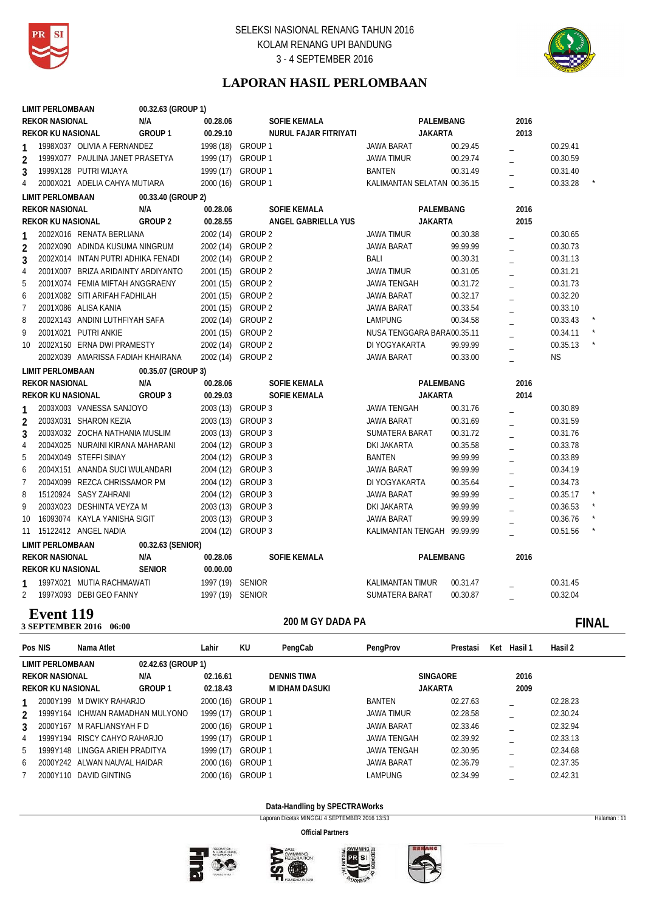



# **LAPORAN HASIL PERLOMBAAN**

|                 | <b>LIMIT PERLOMBAAN</b>  |                                    | 00.32.63 (GROUP 1) |                  |                       |                             |          |                |           |  |
|-----------------|--------------------------|------------------------------------|--------------------|------------------|-----------------------|-----------------------------|----------|----------------|-----------|--|
|                 | <b>REKOR NASIONAL</b>    |                                    | N/A                | 00.28.06         | SOFIE KEMALA          | PALEMBANG                   |          | 2016           |           |  |
|                 | <b>REKOR KU NASIONAL</b> |                                    | GROUP <sub>1</sub> | 00.29.10         | NURUL FAJAR FITRIYATI | <b>JAKARTA</b>              |          | 2013           |           |  |
|                 |                          | 1998X037 OLIVIA A FERNANDEZ        |                    | 1998 (18)        | GROUP 1               | <b>JAWA BARAT</b>           | 00.29.45 |                | 00.29.41  |  |
| $\overline{2}$  |                          | 1999X077 PAULINA JANET PRASETYA    |                    | 1999 (17)        | GROUP <sub>1</sub>    | <b>JAWA TIMUR</b>           | 00.29.74 |                | 00.30.59  |  |
| 3               |                          | 1999X128 PUTRI WIJAYA              |                    | 1999 (17)        | GROUP 1               | <b>BANTEN</b>               | 00.31.49 |                | 00.31.40  |  |
| 4               |                          | 2000X021 ADELIA CAHYA MUTIARA      |                    | 2000 (16)        | GROUP <sub>1</sub>    | KALIMANTAN SELATAN 00.36.15 |          |                | 00.33.28  |  |
|                 | <b>LIMIT PERLOMBAAN</b>  |                                    | 00.33.40 (GROUP 2) |                  |                       |                             |          |                |           |  |
|                 | <b>REKOR NASIONAL</b>    |                                    | N/A                | 00.28.06         | <b>SOFIE KEMALA</b>   | PALEMBANG                   |          | 2016           |           |  |
|                 | <b>REKOR KU NASIONAL</b> |                                    | <b>GROUP 2</b>     | 00.28.55         | ANGEL GABRIELLA YUS   | <b>JAKARTA</b>              |          | 2015           |           |  |
| 1               |                          | 2002X016 RENATA BERLIANA           |                    | 2002 (14)        | <b>GROUP 2</b>        | <b>JAWA TIMUR</b>           | 00.30.38 |                | 00.30.65  |  |
| $\overline{2}$  |                          | 2002X090 ADINDA KUSUMA NINGRUM     |                    | 2002 (14)        | <b>GROUP 2</b>        | JAWA BARAT                  | 99.99.99 |                | 00.30.73  |  |
| 3               |                          | 2002X014 INTAN PUTRI ADHIKA FENADI |                    | 2002 (14)        | GROUP <sub>2</sub>    | <b>BALI</b>                 | 00.30.31 | $\equiv$       | 00.31.13  |  |
| $\overline{4}$  |                          | 2001X007 BRIZA ARIDAINTY ARDIYANTO |                    | 2001 (15)        | GROUP <sub>2</sub>    | <b>JAWA TIMUR</b>           | 00.31.05 |                | 00.31.21  |  |
| 5               |                          | 2001X074 FEMIA MIFTAH ANGGRAENY    |                    |                  | 2001 (15) GROUP 2     | <b>JAWA TENGAH</b>          | 00.31.72 |                | 00.31.73  |  |
| 6               |                          | 2001X082 SITI ARIFAH FADHILAH      |                    | 2001 (15)        | GROUP <sub>2</sub>    | <b>JAWA BARAT</b>           | 00.32.17 | $\overline{a}$ | 00.32.20  |  |
| $\overline{7}$  |                          | 2001X086 ALISA KANIA               |                    | 2001 (15)        | GROUP <sub>2</sub>    | <b>JAWA BARAT</b>           | 00.33.54 | $\overline{a}$ | 00.33.10  |  |
| 8               |                          | 2002X143 ANDINI LUTHFIYAH SAFA     |                    | 2002 (14)        | GROUP 2               | <b>LAMPUNG</b>              | 00.34.58 |                | 00.33.43  |  |
| 9               |                          | 2001X021 PUTRI ANKIE               |                    | 2001 (15)        | GROUP <sub>2</sub>    | NUSA TENGGARA BARA00.35.11  |          |                | 00.34.11  |  |
| 10 <sup>°</sup> |                          | 2002X150 ERNA DWI PRAMESTY         |                    | 2002 (14)        | GROUP <sub>2</sub>    | DI YOGYAKARTA               | 99.99.99 |                | 00.35.13  |  |
|                 |                          | 2002X039 AMARISSA FADIAH KHAIRANA  |                    | 2002 (14)        | <b>GROUP 2</b>        | JAWA BARAT                  | 00.33.00 |                | <b>NS</b> |  |
|                 | <b>LIMIT PERLOMBAAN</b>  |                                    | 00.35.07 (GROUP 3) |                  |                       |                             |          |                |           |  |
|                 | <b>REKOR NASIONAL</b>    |                                    | N/A                | 00.28.06         | <b>SOFIE KEMALA</b>   | PALEMBANG                   |          | 2016           |           |  |
|                 | <b>REKOR KU NASIONAL</b> |                                    | <b>GROUP 3</b>     | 00.29.03         | <b>SOFIE KEMALA</b>   | <b>JAKARTA</b>              |          | 2014           |           |  |
| $\mathbf{1}$    |                          | 2003X003 VANESSA SANJOYO           |                    | 2003 (13)        | GROUP 3               | <b>JAWA TENGAH</b>          | 00.31.76 |                | 00.30.89  |  |
| $\overline{2}$  |                          | 2003X031 SHARON KEZIA              |                    | 2003 (13)        | GROUP 3               | JAWA BARAT                  | 00.31.69 |                | 00.31.59  |  |
| 3               |                          | 2003X032 ZOCHA NATHANIA MUSLIM     |                    | 2003 (13)        | GROUP 3               | SUMATERA BARAT              | 00.31.72 |                | 00.31.76  |  |
| $\overline{4}$  |                          | 2004X025 NURAINI KIRANA MAHARANI   |                    | 2004 (12)        | GROUP 3               | <b>DKI JAKARTA</b>          | 00.35.58 |                | 00.33.78  |  |
| 5               |                          | 2004X049 STEFFI SINAY              |                    | 2004 (12)        | <b>GROUP 3</b>        | <b>BANTEN</b>               | 99.99.99 |                | 00.33.89  |  |
| 6               |                          | 2004X151 ANANDA SUCI WULANDARI     |                    | 2004 (12)        | GROUP 3               | JAWA BARAT                  | 99.99.99 |                | 00.34.19  |  |
| $\overline{7}$  |                          | 2004X099 REZCA CHRISSAMOR PM       |                    | 2004 (12)        | GROUP 3               | DI YOGYAKARTA               | 00.35.64 | $\overline{a}$ | 00.34.73  |  |
| 8               |                          | 15120924 SASY ZAHRANI              |                    | 2004 (12)        | GROUP 3               | <b>JAWA BARAT</b>           | 99.99.99 | $\overline{a}$ | 00.35.17  |  |
| 9               |                          | 2003X023 DESHINTA VEYZA M          |                    | 2003 (13)        | GROUP 3               | DKI JAKARTA                 | 99.99.99 | $\overline{a}$ | 00.36.53  |  |
| 10              |                          | 16093074 KAYLA YANISHA SIGIT       |                    | 2003 (13)        | GROUP 3               | JAWA BARAT                  | 99.99.99 |                | 00.36.76  |  |
| 11              |                          | 15122412 ANGEL NADIA               |                    | 2004 (12)        | GROUP 3               | KALIMANTAN TENGAH 99.99.99  |          |                | 00.51.56  |  |
|                 | <b>LIMIT PERLOMBAAN</b>  |                                    | 00.32.63 (SENIOR)  |                  |                       |                             |          |                |           |  |
|                 | <b>REKOR NASIONAL</b>    |                                    | N/A                | 00.28.06         | <b>SOFIE KEMALA</b>   | PALEMBANG                   |          | 2016           |           |  |
|                 | <b>REKOR KU NASIONAL</b> |                                    | <b>SENIOR</b>      | 00.00.00         |                       |                             |          |                |           |  |
| 1               |                          | 1997X021 MUTIA RACHMAWATI          |                    | 1997 (19) SENIOR |                       | <b>KALIMANTAN TIMUR</b>     | 00.31.47 |                | 00.31.45  |  |
| $\overline{2}$  |                          | 1997X093 DEBI GEO FANNY            |                    | 1997 (19) SENIOR |                       | SUMATERA BARAT              | 00.30.87 |                | 00.32.04  |  |
|                 |                          |                                    |                    |                  |                       |                             |          |                |           |  |

### **2016** 3 SEPTEMBER 2016 06:00 **Event 119**

### 200 M GY DADA PA **CONSERVERSITY CONSERVERSITY FINAL**

| Pos NIS        |                          | Nama Atlet                       |                    | Lahir     | KU             | PengCab            | PengProv           | Prestasi        | Ket | Hasil 1 | Hasil 2  |
|----------------|--------------------------|----------------------------------|--------------------|-----------|----------------|--------------------|--------------------|-----------------|-----|---------|----------|
|                | LIMIT PERLOMBAAN         |                                  | 02.42.63 (GROUP 1) |           |                |                    |                    |                 |     |         |          |
|                | <b>REKOR NASIONAL</b>    |                                  | N/A                | 02.16.61  |                | <b>DENNIS TIWA</b> |                    | <b>SINGAORE</b> |     | 2016    |          |
|                | <b>REKOR KU NASIONAL</b> |                                  | <b>GROUP 1</b>     | 02.18.43  |                | M IDHAM DASUKI     | <b>JAKARTA</b>     |                 |     | 2009    |          |
|                |                          | 2000Y199 M DWIKY RAHARJO         |                    | 2000 (16) | GROUP 1        |                    | <b>BANTEN</b>      | 02.27.63        |     |         | 02.28.23 |
| $\mathfrak{D}$ |                          | 1999Y164 ICHWAN RAMADHAN MULYONO |                    | 1999 (17) | <b>GROUP1</b>  |                    | <b>JAWA TIMUR</b>  | 02.28.58        |     |         | 02.30.24 |
| 3              |                          | 2000Y167 M RAFLIANSYAH F D       |                    | 2000 (16) | GROUP 1        |                    | <b>JAWA BARAT</b>  | 02.33.46        |     |         | 02.32.94 |
| 4              |                          | 1999Y194 RISCY CAHYO RAHARJO     |                    | 1999 (17) | GROUP 1        |                    | JAWA TENGAH        | 02.39.92        |     |         | 02.33.13 |
| 5              |                          | 1999Y148 LINGGA ARIEH PRADITYA   |                    | 1999 (17) | <b>GROUP 1</b> |                    | <b>JAWA TENGAH</b> | 02.30.95        |     |         | 02.34.68 |
| 6              |                          | 2000Y242 ALWAN NAUVAL HAIDAR     |                    | 2000 (16) | GROUP 1        |                    | <b>JAWA BARAT</b>  | 02.36.79        |     |         | 02.37.35 |
|                |                          | 2000Y110 DAVID GINTING           |                    | 2000 (16) | GROUP 1        |                    | <b>LAMPUNG</b>     | 02.34.99        |     |         | 02.42.31 |

**Data-Handling by SPECTRAWorks**

Laporan Dicetak MINGGU 4 SEPTEMBER 2016 13:53 Halaman : 11







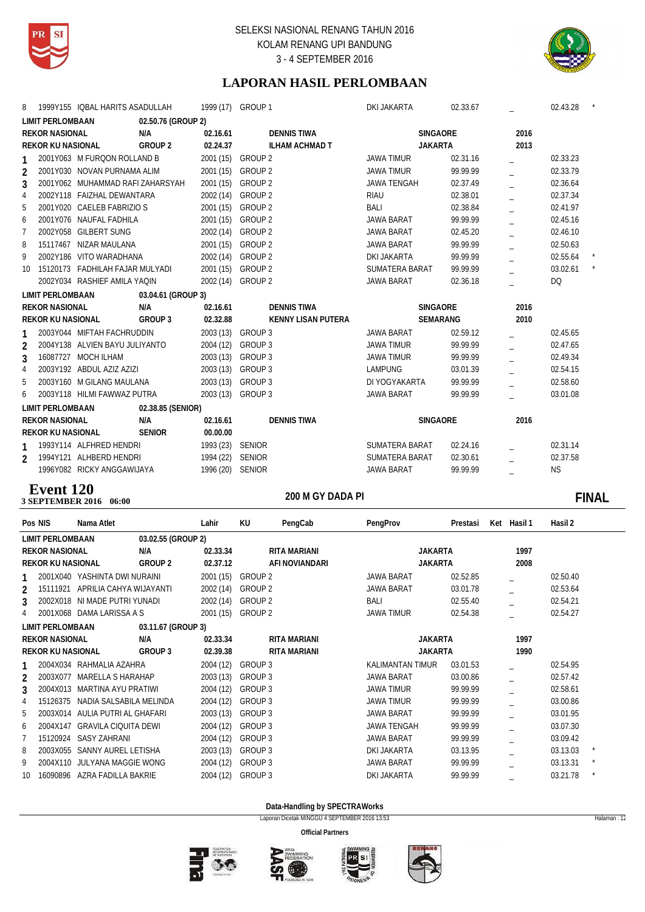



# **LAPORAN HASIL PERLOMBAAN**

| 8               | 1999Y155 IQBAL HARITS ASADULLAH  |                                | 1999 (17) GROUP 1         | <b>DKI JAKARTA</b> | 02.33.67 |      | 02.43.28  |  |
|-----------------|----------------------------------|--------------------------------|---------------------------|--------------------|----------|------|-----------|--|
|                 | <b>LIMIT PERLOMBAAN</b>          | 02.50.76 (GROUP 2)             |                           |                    |          |      |           |  |
|                 | <b>REKOR NASIONAL</b>            | N/A<br>02.16.61                | <b>DENNIS TIWA</b>        | <b>SINGAORE</b>    |          | 2016 |           |  |
|                 | <b>REKOR KU NASIONAL</b>         | GROUP <sub>2</sub><br>02.24.37 | <b>ILHAM ACHMAD T</b>     | <b>JAKARTA</b>     |          | 2013 |           |  |
|                 | 2001Y063 M FURQON ROLLAND B      | 2001 (15)                      | GROUP 2                   | <b>JAWA TIMUR</b>  | 02.31.16 |      | 02.33.23  |  |
| $\mathfrak{D}$  | 2001Y030 NOVAN PURNAMA ALIM      | 2001 (15)                      | GROUP 2                   | <b>JAWA TIMUR</b>  | 99.99.99 |      | 02.33.79  |  |
| 3               | 2001Y062 MUHAMMAD RAFI ZAHARSYAH | 2001 (15)                      | GROUP 2                   | <b>JAWA TENGAH</b> | 02.37.49 |      | 02.36.64  |  |
| 4               | 2002Y118 FAIZHAL DEWANTARA       | 2002 (14)                      | GROUP <sub>2</sub>        | <b>RIAU</b>        | 02.38.01 |      | 02.37.34  |  |
| 5               | 2001Y020 CAELEB FABRIZIO S       | 2001 (15)                      | GROUP 2                   | BALI               | 02.38.84 |      | 02.41.97  |  |
| 6               | 2001Y076 NAUFAL FADHILA          | 2001 (15)                      | GROUP 2                   | JAWA BARAT         | 99.99.99 |      | 02.45.16  |  |
| 7               | 2002Y058 GILBERT SUNG            | 2002 (14)                      | GROUP 2                   | <b>JAWA BARAT</b>  | 02.45.20 |      | 02.46.10  |  |
| 8               | 15117467 NIZAR MAULANA           | 2001 (15)                      | GROUP 2                   | <b>JAWA BARAT</b>  | 99.99.99 |      | 02.50.63  |  |
| 9               | 2002Y186 VITO WARADHANA          | 2002 (14)                      | GROUP 2                   | <b>DKI JAKARTA</b> | 99.99.99 |      | 02.55.64  |  |
| 10 <sup>1</sup> | 15120173 FADHILAH FAJAR MULYADI  |                                | 2001 (15) GROUP 2         | SUMATERA BARAT     | 99.99.99 |      | 03.02.61  |  |
|                 | 2002Y034 RASHIEF AMILA YAQIN     | 2002 (14)                      | GROUP 2                   | <b>JAWA BARAT</b>  | 02.36.18 |      | <b>DQ</b> |  |
|                 | <b>LIMIT PERLOMBAAN</b>          | 03.04.61 (GROUP 3)             |                           |                    |          |      |           |  |
|                 | <b>REKOR NASIONAL</b>            | N/A<br>02.16.61                | <b>DENNIS TIWA</b>        | SINGAORE           |          | 2016 |           |  |
|                 |                                  |                                |                           |                    |          |      |           |  |
|                 | <b>REKOR KU NASIONAL</b>         | GROUP 3<br>02.32.88            | <b>KENNY LISAN PUTERA</b> | <b>SEMARANG</b>    |          | 2010 |           |  |
| 1               | 2003Y044 MIFTAH FACHRUDDIN       |                                | 2003 (13) GROUP 3         | <b>JAWA BARAT</b>  | 02.59.12 |      | 02.45.65  |  |
| $\overline{2}$  | 2004Y138 ALVIEN BAYU JULIYANTO   |                                | 2004 (12) GROUP 3         | <b>JAWA TIMUR</b>  | 99.99.99 |      | 02.47.65  |  |
| 3               | 16087727 MOCH ILHAM              | 2003 (13)                      | GROUP 3                   | <b>JAWA TIMUR</b>  | 99.99.99 |      | 02.49.34  |  |
| 4               | 2003Y192 ABDUL AZIZ AZIZI        | 2003 (13)                      | GROUP 3                   | LAMPUNG            | 03.01.39 |      | 02.54.15  |  |
| 5               | 2003Y160 M GILANG MAULANA        | 2003 (13)                      | GROUP 3                   | DI YOGYAKARTA      | 99.99.99 |      | 02.58.60  |  |
| 6               | 2003Y118 HILMI FAWWAZ PUTRA      |                                | 2003 (13) GROUP 3         | <b>JAWA BARAT</b>  | 99.99.99 |      | 03.01.08  |  |
|                 | <b>LIMIT PERLOMBAAN</b>          | 02.38.85 (SENIOR)              |                           |                    |          |      |           |  |
|                 | <b>REKOR NASIONAL</b>            | N/A<br>02.16.61                | <b>DENNIS TIWA</b>        | <b>SINGAORE</b>    |          | 2016 |           |  |
|                 | <b>REKOR KU NASIONAL</b>         | <b>SENIOR</b><br>00.00.00      |                           |                    |          |      |           |  |
|                 | 1993Y114 ALFHRED HENDRI          |                                | 1993 (23) SENIOR          | SUMATERA BARAT     | 02.24.16 |      | 02.31.14  |  |
| $\mathfrak{D}$  | 1994Y121 ALHBERD HENDRI          | 1994 (22)                      | <b>SENIOR</b>             | SUMATERA BARAT     | 02.30.61 |      | 02.37.58  |  |
|                 | 1996Y082 RICKY ANGGAWIJAYA       |                                | 1996 (20) SENIOR          | <b>JAWA BARAT</b>  | 99.99.99 |      | <b>NS</b> |  |

# **Event 120**

### **200 M GY DADA PI 200 M GY DADA PI 3 SEPTEMBER 2016** 06:00 200 M GY DADA PI **DEVELOPED ASSAULT AND THE SET OF THE SET OF THE SET OF THE SET OF THE SET OF THE SET OF THE SET OF THE SET OF THE SET OF THE SET OF THE SET OF THE SET OF THE SET OF THE SET OF THE SET OF THE SET OF THE SE**

| Pos NIS         |                          | Nama Atlet                    |                    | Lahir     | KU      | PengCab             | PengProv                | Prestasi | Ket Hasil 1 | Hasil 2  |  |
|-----------------|--------------------------|-------------------------------|--------------------|-----------|---------|---------------------|-------------------------|----------|-------------|----------|--|
|                 | <b>LIMIT PERLOMBAAN</b>  |                               | 03.02.55 (GROUP 2) |           |         |                     |                         |          |             |          |  |
|                 | <b>REKOR NASIONAL</b>    |                               | N/A                | 02.33.34  |         | RITA MARIANI        | <b>JAKARTA</b>          |          | 1997        |          |  |
|                 | <b>REKOR KU NASIONAL</b> |                               | GROUP 2            | 02.37.12  |         | AFI NOVIANDARI      | <b>JAKARTA</b>          |          | 2008        |          |  |
| 1.              |                          | 2001X040 YASHINTA DWI NURAINI |                    | 2001 (15) | GROUP 2 |                     | <b>JAWA BARAT</b>       | 02.52.85 |             | 02.50.40 |  |
| 2               | 15111921                 | APRILIA CAHYA WIJAYANTI       |                    | 2002 (14) | GROUP 2 |                     | <b>JAWA BARAT</b>       | 03.01.78 |             | 02.53.64 |  |
| 3               | 2002X018                 | NI MADE PUTRI YUNADI          |                    | 2002 (14) | GROUP 2 |                     | BALI                    | 02.55.40 |             | 02.54.21 |  |
| 4               |                          | 2001X068 DAMA LARISSA A S     |                    | 2001 (15) | GROUP 2 |                     | <b>JAWA TIMUR</b>       | 02.54.38 |             | 02.54.27 |  |
|                 | <b>LIMIT PERLOMBAAN</b>  |                               | 03.11.67 (GROUP 3) |           |         |                     |                         |          |             |          |  |
|                 | <b>REKOR NASIONAL</b>    |                               | N/A                | 02.33.34  |         | <b>RITA MARIANI</b> | <b>JAKARTA</b>          |          | 1997        |          |  |
|                 | <b>REKOR KU NASIONAL</b> |                               | GROUP 3            | 02.39.38  |         | <b>RITA MARIANI</b> | <b>JAKARTA</b>          |          | 1990        |          |  |
|                 |                          | 2004X034 RAHMALIA AZAHRA      |                    | 2004 (12) | GROUP 3 |                     | <b>KALIMANTAN TIMUR</b> | 03.01.53 |             | 02.54.95 |  |
| $\mathcal{P}$   | 2003X077                 | MARELLA S HARAHAP             |                    | 2003 (13) | GROUP 3 |                     | <b>JAWA BARAT</b>       | 03.00.86 |             | 02.57.42 |  |
| 3               | 2004X013                 | MARTINA AYU PRATIWI           |                    | 2004 (12) | GROUP 3 |                     | <b>JAWA TIMUR</b>       | 99.99.99 |             | 02.58.61 |  |
| 4               | 15126375                 | NADIA SALSABILA MELINDA       |                    | 2004 (12) | GROUP 3 |                     | <b>JAWA TIMUR</b>       | 99.99.99 |             | 03.00.86 |  |
| 5               | 2003X014                 | AULIA PUTRI AL GHAFARI        |                    | 2003 (13) | GROUP 3 |                     | <b>JAWA BARAT</b>       | 99.99.99 |             | 03.01.95 |  |
| 6               | 2004X147                 | <b>GRAVILA CIQUITA DEWI</b>   |                    | 2004 (12) | GROUP 3 |                     | <b>JAWA TENGAH</b>      | 99.99.99 |             | 03.07.30 |  |
| 7               | 15120924                 | <b>SASY ZAHRANI</b>           |                    | 2004 (12) | GROUP 3 |                     | <b>JAWA BARAT</b>       | 99.99.99 |             | 03.09.42 |  |
| 8               | 2003X055                 | SANNY AUREL LETISHA           |                    | 2003 (13) | GROUP 3 |                     | DKI JAKARTA             | 03.13.95 |             | 03.13.03 |  |
| 9               | 2004X110                 | JULYANA MAGGIE WONG           |                    | 2004 (12) | GROUP 3 |                     | <b>JAWA BARAT</b>       | 99.99.99 |             | 03.13.31 |  |
| 10 <sup>1</sup> |                          | 16090896 AZRA FADILLA BAKRIE  |                    | 2004 (12) | GROUP 3 |                     | DKI JAKARTA             | 99.99.99 |             | 03.21.78 |  |

**Data-Handling by SPECTRAWorks**

Laporan Dicetak MINGGU 4 SEPTEMBER 2016 13:53 Halaman : 12







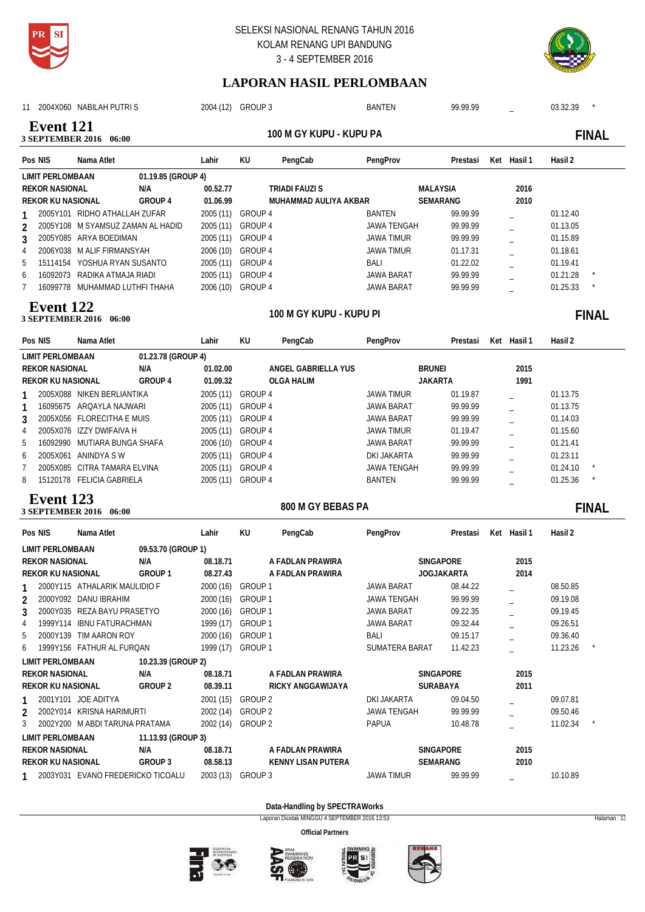



# **LAPORAN HASIL PERLOMBAAN**

| 11                                         | 2004X060 NABILAH PUTRIS             |                    |           | 2004 (12) GROUP 3 |                         | <b>BANTEN</b>        | 99.99.99          |             | 03.32.39 |                          |
|--------------------------------------------|-------------------------------------|--------------------|-----------|-------------------|-------------------------|----------------------|-------------------|-------------|----------|--------------------------|
| <b>Event</b> 121<br>3 SEPTEMBER 2016 06:00 |                                     |                    |           |                   | 100 M GY KUPU - KUPU PA |                      |                   |             |          | <b>FINAL</b>             |
| Pos NIS                                    | Nama Atlet                          |                    | Lahir     | KU                | PengCab                 | PengProv             | Prestasi          | Ket Hasil 1 | Hasil 2  |                          |
| <b>LIMIT PERLOMBAAN</b>                    |                                     | 01.19.85 (GROUP 4) |           |                   |                         |                      |                   |             |          |                          |
| <b>REKOR NASIONAL</b>                      |                                     | N/A                | 00.52.77  |                   | <b>TRIADI FAUZI S</b>   |                      | <b>MALAYSIA</b>   | 2016        |          |                          |
| <b>REKOR KU NASIONAL</b>                   |                                     | GROUP 4            | 01.06.99  |                   | MUHAMMAD AULIYA AKBAR   |                      | SEMARANG          | 2010        |          |                          |
|                                            | 2005Y101 RIDHO ATHALLAH ZUFAR       |                    |           | 2005 (11) GROUP 4 |                         | <b>BANTEN</b>        | 99.99.99          |             | 01.12.40 |                          |
| 2                                          | 2005Y108 M SYAMSUZ ZAMAN AL HADID   |                    | 2005 (11) | <b>GROUP 4</b>    |                         | <b>JAWA TENGAH</b>   | 99.99.99          |             | 01.13.05 |                          |
| 3                                          | 2005Y085 ARYA BOEDIMAN              |                    | 2005 (11) | GROUP 4           |                         | <b>JAWA TIMUR</b>    | 99.99.99          |             | 01.15.89 |                          |
| 4                                          | 2006Y038 M ALIF FIRMANSYAH          |                    | 2006 (10) | GROUP 4           |                         | <b>JAWA TIMUR</b>    | 01.17.31          |             | 01.18.61 |                          |
| 5                                          | 15114154 YOSHUA RYAN SUSANTO        |                    | 2005 (11) | GROUP 4           |                         | BALI                 | 01.22.02          |             | 01.19.41 |                          |
| 6                                          | 16092073 RADIKA ATMAJA RIADI        |                    | 2005 (11) | <b>GROUP 4</b>    |                         | <b>JAWA BARAT</b>    | 99.99.99          |             | 01.21.28 |                          |
| 7                                          | 16099778 MUHAMMAD LUTHFI THAHA      |                    | 2006 (10) | GROUP 4           |                         | JAWA BARAT           | 99.99.99          |             | 01.25.33 |                          |
| <b>Event</b> 122                           | 3 SEPTEMBER 2016 06:00              |                    |           |                   | 100 M GY KUPU - KUPU PI |                      |                   |             |          | <b>FINAL</b>             |
| Pos NIS                                    | Nama Atlet                          |                    | Lahir     | KU                | PengCab                 | PengProv             | Prestasi          | Ket Hasil 1 | Hasil 2  |                          |
| <b>LIMIT PERLOMBAAN</b>                    |                                     | 01.23.78 (GROUP 4) |           |                   |                         |                      |                   |             |          |                          |
| <b>REKOR NASIONAL</b>                      |                                     | N/A                | 01.02.00  |                   | ANGEL GABRIELLA YUS     |                      | <b>BRUNEI</b>     | 2015        |          |                          |
| <b>REKOR KU NASIONAL</b>                   |                                     | GROUP 4            | 01.09.32  |                   | <b>OLGA HALIM</b>       |                      | <b>JAKARTA</b>    | 1991        |          |                          |
|                                            | 2005X088 NIKEN BERLIANTIKA          |                    | 2005 (11) | GROUP 4           |                         | <b>JAWA TIMUR</b>    | 01.19.87          |             | 01.13.75 |                          |
|                                            | 16095675 ARQAYLA NAJWARI            |                    | 2005 (11) | GROUP 4           |                         | JAWA BARAT           | 99.99.99          |             | 01.13.75 |                          |
| 3                                          | 2005X056 FLORECITHA E MUIS          |                    |           | 2005 (11) GROUP 4 |                         | JAWA BARAT           | 99.99.99          |             | 01.14.03 |                          |
| 4                                          | 2005X076 IZZY DWIFAIVA H            |                    |           | 2005 (11) GROUP 4 |                         | <b>JAWA TIMUR</b>    | 01.19.47          |             | 01.15.60 |                          |
| 5                                          | 16092990 MUTIARA BUNGA SHAFA        |                    | 2006 (10) | GROUP 4           |                         | <b>JAWA BARAT</b>    | 99.99.99          |             | 01.21.41 |                          |
| 6                                          | 2005X061 ANINDYA SW                 |                    | 2005 (11) | GROUP 4           |                         | DKI JAKARTA          | 99.99.99          |             | 01.23.11 |                          |
| 7                                          | 2005X085 CITRA TAMARA ELVINA        |                    | 2005 (11) | GROUP 4           |                         | <b>JAWA TENGAH</b>   | 99.99.99          |             | 01.24.10 |                          |
| 8                                          | 15120178 FELICIA GABRIELA           |                    |           | 2005 (11) GROUP 4 |                         | <b>BANTEN</b>        | 99.99.99          |             | 01.25.36 |                          |
| <b>Event</b> 123                           | 3 SEPTEMBER 2016 06:00              |                    |           |                   | 800 M GY BEBAS PA       |                      |                   |             |          | <b>FINAL</b>             |
| Pos NIS                                    | Nama Atlet                          |                    | Lahir     | KU                | PengCab                 | PengProv             | Prestasi          | Ket Hasil 1 | Hasil 2  |                          |
| <b>LIMIT PERLOMBAAN</b>                    |                                     | 09.53.70 (GROUP 1) |           |                   |                         |                      |                   |             |          |                          |
| <b>REKOR NASIONAL</b>                      |                                     | N/A                | 08.18.71  |                   | A FADLAN PRAWIRA        |                      | <b>SINGAPORE</b>  | 2015        |          |                          |
| <b>REKOR KU NASIONAL</b>                   |                                     | GROUP 1            | 08.27.43  |                   | A FADLAN PRAWIRA        |                      | <b>JOGJAKARTA</b> | 2014        |          |                          |
|                                            | 2000Y115 ATHALARIK MAULIDIO F       |                    |           | 2000 (16) GROUP 1 |                         | JAWA BARAT           | 08.44.22          |             | 08.50.85 |                          |
| 2                                          | 2000Y092 DANU IBRAHIM               |                    |           | 2000 (16) GROUP 1 |                         | JAWA TENGAH          | 99.99.99          |             | 09.19.08 |                          |
| 3                                          | 2000Y035 REZA BAYU PRASETYO         |                    |           | 2000 (16) GROUP 1 |                         | JAWA BARAT           | 09.22.35          |             | 09.19.45 |                          |
| 4                                          | 1999Y114 IBNU FATURACHMAN           |                    |           | 1999 (17) GROUP 1 |                         | JAWA BARAT           | 09.32.44          |             | 09.26.51 |                          |
| 5                                          | 2000Y139 TIM AARON ROY              |                    |           | 2000 (16) GROUP 1 |                         | BALI                 | 09.15.17          |             | 09.36.40 |                          |
| 6                                          | 1999Y156 FATHUR AL FURQAN           |                    |           | 1999 (17) GROUP 1 |                         | SUMATERA BARAT       | 11.42.23          |             | 11.23.26 | $\overline{\phantom{a}}$ |
| LIMIT PERLOMBAAN                           |                                     | 10.23.39 (GROUP 2) |           |                   |                         |                      |                   |             |          |                          |
| <b>REKOR NASIONAL</b>                      |                                     | N/A                | 08.18.71  |                   | A FADLAN PRAWIRA        |                      | SINGAPORE         | 2015        |          |                          |
| REKOR KU NASIONAL                          |                                     | GROUP 2            | 08.39.11  |                   | RICKY ANGGAWIJAYA       |                      | SURABAYA          | 2011        |          |                          |
|                                            | 2001Y101 JOE ADITYA                 |                    |           | 2001 (15) GROUP 2 |                         | DKI JAKARTA          | 09.04.50          |             | 09.07.81 |                          |
| 2                                          | 2002Y014 KRISNA HARIMURTI           |                    |           | 2002 (14) GROUP 2 |                         | JAWA TENGAH<br>PAPUA | 99.99.99          |             | 09.50.46 |                          |
| 3                                          | 2002Y200 M ABDI TARUNA PRATAMA      |                    |           | 2002 (14) GROUP 2 |                         |                      | 10.48.78          |             | 11.02.34 | $\overline{\phantom{a}}$ |
| <b>LIMIT PERLOMBAAN</b>                    |                                     | 11.13.93 (GROUP 3) |           |                   |                         |                      |                   |             |          |                          |
| <b>REKOR NASIONAL</b>                      |                                     | N/A                | 08.18.71  |                   | A FADLAN PRAWIRA        |                      | SINGAPORE         | 2015        |          |                          |
| REKOR KU NASIONAL                          |                                     | GROUP 3            | 08.58.13  |                   | KENNY LISAN PUTERA      |                      | SEMARANG          | 2010        |          |                          |
|                                            | 1 2003Y031 EVANO FREDERICKO TICOALU |                    |           | 2003 (13) GROUP 3 |                         | JAWA TIMUR           | 99.99.99          |             | 10.10.89 |                          |

### **Data-Handling by SPECTRAWorks**

Laporan Dicetak MINGGU 4 SEPTEMBER 2016 13:53 Halaman : 13







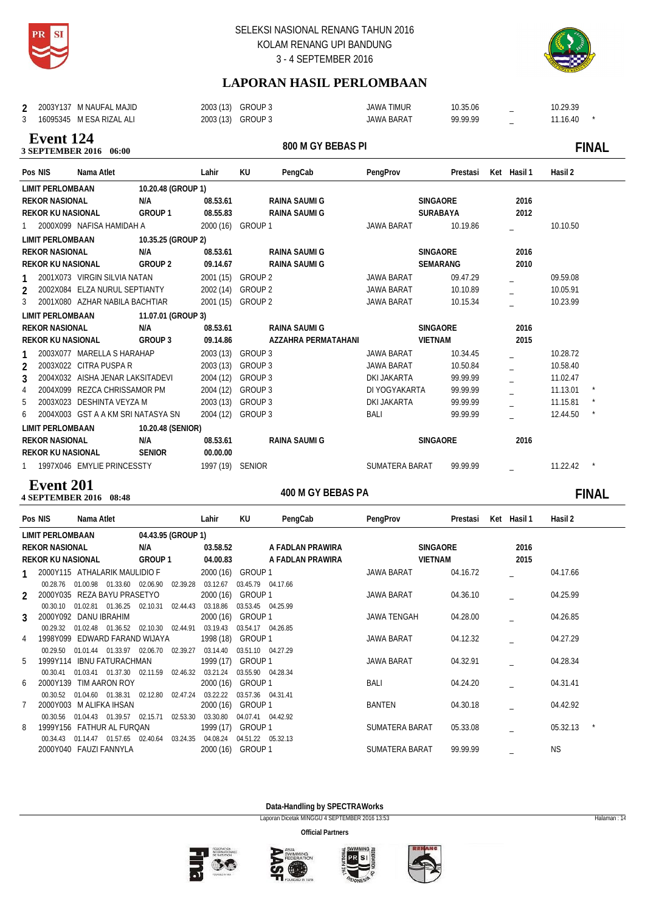



÷,

# **LAPORAN HASIL PERLOMBAAN**

| 2003Y137 M NAUFAL MAJID                    |                                    |                  | 2003 (13) GROUP 3 |                      | <b>JAWA TIMUR</b>  | 10.35.06        |             | 10.29.39 |              |
|--------------------------------------------|------------------------------------|------------------|-------------------|----------------------|--------------------|-----------------|-------------|----------|--------------|
| 3<br>16095345 M ESA RIZAL ALI              |                                    |                  | 2003 (13) GROUP 3 |                      | <b>JAWA BARAT</b>  | 99.99.99        |             | 11.16.40 |              |
| <b>Event 124</b><br>3 SEPTEMBER 2016 06:00 |                                    |                  |                   | 800 M GY BEBAS PI    |                    |                 |             |          | <b>FINAL</b> |
| Pos NIS                                    | Nama Atlet                         | Lahir            | <b>KU</b>         | PengCab              | PengProv           | Prestasi        | Ket Hasil 1 | Hasil 2  |              |
| <b>LIMIT PERLOMBAAN</b>                    | 10.20.48 (GROUP 1)                 |                  |                   |                      |                    |                 |             |          |              |
| <b>REKOR NASIONAL</b>                      | N/A                                | 08.53.61         |                   | <b>RAINA SAUMI G</b> |                    | SINGAORE        | 2016        |          |              |
| <b>REKOR KU NASIONAL</b>                   | GROUP 1                            | 08.55.83         |                   | <b>RAINA SAUMI G</b> |                    | <b>SURABAYA</b> | 2012        |          |              |
|                                            | 2000X099 NAFISA HAMIDAH A          |                  | 2000 (16) GROUP 1 |                      | <b>JAWA BARAT</b>  | 10.19.86        |             | 10.10.50 |              |
| <b>LIMIT PERLOMBAAN</b>                    | 10.35.25 (GROUP 2)                 |                  |                   |                      |                    |                 |             |          |              |
| <b>REKOR NASIONAL</b>                      | N/A                                | 08.53.61         |                   | <b>RAINA SAUMI G</b> |                    | SINGAORE        | 2016        |          |              |
| <b>REKOR KU NASIONAL</b>                   | GROUP 2                            | 09.14.67         |                   | <b>RAINA SAUMI G</b> |                    | <b>SEMARANG</b> | 2010        |          |              |
|                                            | 2001X073 VIRGIN SILVIA NATAN       |                  | 2001 (15) GROUP 2 |                      | <b>JAWA BARAT</b>  | 09.47.29        |             | 09.59.08 |              |
| $\overline{2}$                             | 2002X084 ELZA NURUL SEPTIANTY      |                  | 2002 (14) GROUP 2 |                      | <b>JAWA BARAT</b>  | 10.10.89        |             | 10.05.91 |              |
| 3                                          | 2001X080 AZHAR NABILA BACHTIAR     |                  | 2001 (15) GROUP 2 |                      | JAWA BARAT         | 10.15.34        |             | 10.23.99 |              |
| <b>LIMIT PERLOMBAAN</b>                    | 11.07.01 (GROUP 3)                 |                  |                   |                      |                    |                 |             |          |              |
| <b>REKOR NASIONAL</b>                      | N/A                                | 08.53.61         |                   | <b>RAINA SAUMI G</b> |                    | <b>SINGAORE</b> | 2016        |          |              |
| <b>REKOR KU NASIONAL</b>                   | GROUP 3                            | 09.14.86         |                   | AZZAHRA PERMATAHANI  |                    | <b>VIETNAM</b>  | 2015        |          |              |
|                                            | 2003X077 MARELLA S HARAHAP         | 2003 (13)        | GROUP 3           |                      | <b>JAWA BARAT</b>  | 10.34.45        |             | 10.28.72 |              |
| 2003X022 CITRA PUSPA R<br>$\overline{2}$   |                                    | 2003 (13)        | GROUP 3           |                      | JAWA BARAT         | 10.50.84        |             | 10.58.40 |              |
| 3                                          | 2004X032 AISHA JENAR LAKSITADEVI   | 2004 (12)        | GROUP 3           |                      | <b>DKI JAKARTA</b> | 99.99.99        |             | 11.02.47 |              |
| $\overline{4}$                             | 2004X099 REZCA CHRISSAMOR PM       | 2004 (12)        | GROUP 3           |                      | DI YOGYAKARTA      | 99.99.99        |             | 11.13.01 |              |
| 5                                          | 2003X023 DESHINTA VEYZA M          | 2003 (13)        | GROUP 3           |                      | <b>DKI JAKARTA</b> | 99.99.99        |             | 11.15.81 | $\star$      |
| 6                                          | 2004X003 GST A A KM SRI NATASYA SN | 2004 (12)        | GROUP 3           |                      | BALI               | 99.99.99        |             | 12.44.50 | $\ast$       |
| <b>LIMIT PERLOMBAAN</b>                    | 10.20.48 (SENIOR)                  |                  |                   |                      |                    |                 |             |          |              |
| <b>REKOR NASIONAL</b>                      | N/A                                | 08.53.61         |                   | <b>RAINA SAUMI G</b> |                    | SINGAORE        | 2016        |          |              |
| <b>REKOR KU NASIONAL</b>                   | <b>SENIOR</b>                      | 00.00.00         |                   |                      |                    |                 |             |          |              |
| 1 1997X046 EMYLIE PRINCESSTY               |                                    | 1997 (19) SENIOR |                   |                      | SUMATERA BARAT     | 99.99.99        |             | 11.22.42 |              |

### **400 M GY BEBAS PA 4 SEPTEMBER 2016** 08:48 **Event 201**

# 400 M GY BEBAS PA **FINAL**

|   | Pos NIS                  | Nama Atlet                                         |                    | Lahir                 | KU                | PengCab           | PengProv          | Prestasi | Ket | Hasil 1 | Hasil 2  |  |
|---|--------------------------|----------------------------------------------------|--------------------|-----------------------|-------------------|-------------------|-------------------|----------|-----|---------|----------|--|
|   | <b>LIMIT PERLOMBAAN</b>  |                                                    | 04.43.95 (GROUP 1) |                       |                   |                   |                   |          |     |         |          |  |
|   | <b>REKOR NASIONAL</b>    |                                                    | N/A                | 03.58.52              |                   | A FADLAN PRAWIRA  | <b>SINGAORE</b>   |          |     | 2016    |          |  |
|   | <b>REKOR KU NASIONAL</b> |                                                    | GROUP 1            | 04.00.83              |                   | A FADLAN PRAWIRA  | <b>VIETNAM</b>    |          |     | 2015    |          |  |
|   |                          | 2000Y115 ATHALARIK MAULIDIO F                      |                    | 2000 (16)             | GROUP 1           |                   | <b>JAWA BARAT</b> | 04.16.72 |     |         | 04.17.66 |  |
|   | 00.28.76                 | 01.00.98  01.33.60  02.06.90                       |                    | 03.12.67<br>02.39.28  |                   | 03.45.79 04.17.66 |                   |          |     |         |          |  |
|   |                          | 2000Y035 REZA BAYU PRASETYO                        |                    | 2000 (16)             | GROUP 1           |                   | <b>JAWA BARAT</b> | 04.36.10 |     |         | 04.25.99 |  |
|   | 00.30.10                 | 01.02.81<br>01.36.25                               | 02.10.31           | 03.18.86<br>02.44.43  |                   | 03.53.45 04.25.99 |                   |          |     |         |          |  |
| 3 |                          | 2000Y092 DANU IBRAHIM                              |                    | 2000 (16)             | GROUP 1           |                   | JAWA TENGAH       | 04.28.00 |     |         | 04.26.85 |  |
|   | 00.29.32                 | 01.02.48 01.36.52                                  | 02.10.30           | 02.44.91<br>03.19.43  |                   | 03.54.17 04.26.85 |                   |          |     |         |          |  |
| 4 |                          | 1998Y099 EDWARD FARAND WIJAYA<br>01.01.44 01.33.97 | 02.06.70           | 1998 (18)<br>02.39.27 | GROUP 1           | 03.51.10 04.27.29 | <b>JAWA BARAT</b> | 04.12.32 |     |         | 04.27.29 |  |
| 5 | 00.29.50                 | 1999Y114 IBNU FATURACHMAN                          |                    | 03.14.40<br>1999 (17) | GROUP 1           |                   | <b>JAWA BARAT</b> | 04.32.91 |     |         | 04.28.34 |  |
|   | 00.30.41                 | 01.03.41  01.37.30  02.11.59                       |                    | 03.21.24<br>02.46.32  |                   | 03.55.90 04.28.34 |                   |          |     |         |          |  |
| 6 |                          | 2000Y139 TIM AARON ROY                             |                    | 2000 (16)             | GROUP 1           |                   | BALI              | 04.24.20 |     |         | 04.31.41 |  |
|   | 00.30.52                 | 01.04.60 01.38.31 02.12.80                         |                    | 02.47.24<br>03.22.22  | 03.57.36 04.31.41 |                   |                   |          |     |         |          |  |
|   |                          | 2000Y003 M ALIFKA IHSAN                            |                    | 2000 (16)             | GROUP 1           |                   | <b>BANTEN</b>     | 04.30.18 |     |         | 04.42.92 |  |
|   | 00.30.56                 | 01.04.43 01.39.57                                  | 02.15.71           | 02.53.30<br>03.30.80  |                   | 04.07.41 04.42.92 |                   |          |     |         |          |  |
| 8 |                          | 1999Y156 FATHUR AL FURQAN                          |                    | 1999 (17)             | GROUP 1           |                   | SUMATERA BARAT    | 05.33.08 |     |         | 05.32.13 |  |
|   | 00.34.43                 | 01.14.47 01.57.65                                  | 02.40.64           | 04.08.24<br>03.24.35  |                   | 04.51.22 05.32.13 |                   |          |     |         |          |  |
|   |                          | 2000Y040 FAUZI FANNYLA                             |                    | 2000 (16)             | GROUP 1           |                   | SUMATERA BARAT    | 99.99.99 |     |         | ΝS       |  |
|   |                          |                                                    |                    |                       |                   |                   |                   |          |     |         |          |  |

**Data-Handling by SPECTRAWorks**

Laporan Dicetak MINGGU 4 SEPTEMBER 2016 13:53 Halaman : 14







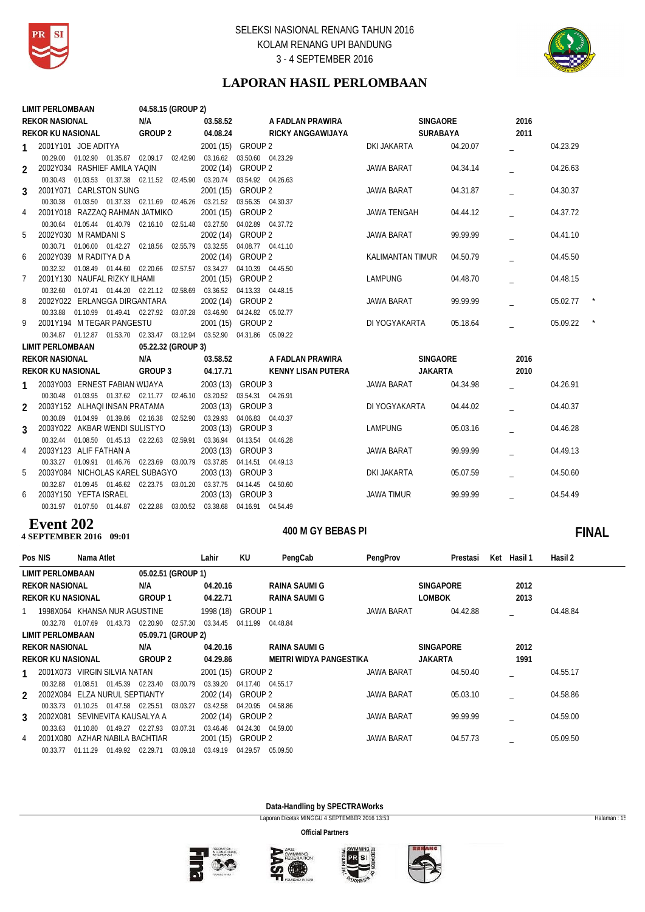



# **LAPORAN HASIL PERLOMBAAN**

|                | <b>LIMIT PERLOMBAAN</b>                                                        | 04.58.15 (GROUP 2) |                   |                                     |                           |                 |      |          |
|----------------|--------------------------------------------------------------------------------|--------------------|-------------------|-------------------------------------|---------------------------|-----------------|------|----------|
|                | <b>REKOR NASIONAL</b>                                                          | N/A                | 03.58.52          | A FADLAN PRAWIRA                    |                           | <b>SINGAORE</b> | 2016 |          |
|                | <b>REKOR KU NASIONAL</b>                                                       | GROUP 2            | 04.08.24          |                                     | RICKY ANGGAWIJAYA         | <b>SURABAYA</b> | 2011 |          |
| 1              | 2001Y101 JOE ADITYA                                                            |                    | 2001 (15) GROUP 2 |                                     | DKI JAKARTA               | 04.20.07        |      | 04.23.29 |
|                | 00.29.00 01.02.90 01.35.87 02.09.17 02.42.90 03.16.62 03.50.60 04.23.29        |                    |                   |                                     |                           |                 |      |          |
| $\mathcal{P}$  | 2002Y034 RASHIEF AMILA YAQIN                                                   |                    | 2002 (14) GROUP 2 |                                     | <b>JAWA BARAT</b>         | 04.34.14        |      | 04.26.63 |
|                | 00.30.43 01.03.53 01.37.38 02.11.52 02.45.90 03.20.74 03.54.92 04.26.63        |                    |                   |                                     |                           |                 |      |          |
| 3              | 2001Y071 CARLSTON SUNG                                                         |                    | 2001 (15) GROUP 2 |                                     | JAWA BARAT                | 04.31.87        |      | 04.30.37 |
|                | 00.30.38  01.03.50  01.37.33  02.11.69  02.46.26  03.21.52  03.56.35  04.30.37 |                    |                   |                                     |                           |                 |      |          |
| 4              | 2001Y018 RAZZAQ RAHMAN JATMIKO                                                 |                    | 2001 (15) GROUP 2 |                                     | <b>JAWA TENGAH</b>        | 04.44.12        |      | 04.37.72 |
|                | 00.30.64  01.05.44  01.40.79  02.16.10  02.51.48  03.27.50  04.02.89  04.37.72 |                    |                   |                                     |                           |                 |      |          |
| 5              | 2002Y030 M RAMDANIS                                                            |                    | 2002 (14) GROUP 2 |                                     | JAWA BARAT                | 99.99.99        |      | 04.41.10 |
|                | 00.30.71  01.06.00  01.42.27  02.18.56  02.55.79                               |                    |                   | 03.32.55 04.08.77 04.41.10          |                           |                 |      |          |
| 6              | 2002Y039 M RADITYA D A                                                         |                    | 2002 (14) GROUP 2 |                                     | KALIMANTAN TIMUR          | 04.50.79        |      | 04.45.50 |
| 7              | 00.32.32 01.08.49 01.44.60 02.20.66<br>2001Y130 NAUFAL RIZKY ILHAMI            | 02.57.57           | 2001 (15) GROUP 2 | 03.34.27 04.10.39 04.45.50          | <b>LAMPUNG</b>            | 04.48.70        |      | 04.48.15 |
|                | 00.32.60  01.07.41  01.44.20  02.21.12  02.58.69                               |                    |                   | 03.36.52 04.13.33 04.48.15          |                           |                 |      |          |
| 8              | 2002Y022 ERLANGGA DIRGANTARA                                                   |                    | 2002 (14) GROUP 2 |                                     | JAWA BARAT                | 99.99.99        |      | 05.02.77 |
|                | 00.33.88  01.10.99  01.49.41  02.27.92  03.07.28                               |                    |                   | 03.46.90 04.24.82 05.02.77          |                           |                 |      |          |
| 9              | 2001Y194 M TEGAR PANGESTU                                                      |                    | 2001 (15) GROUP 2 |                                     | DI YOGYAKARTA             | 05.18.64        |      | 05.09.22 |
|                | 00.34.87 01.12.87 01.53.70 02.33.47 03.12.94 03.52.90 04.31.86 05.09.22        |                    |                   |                                     |                           |                 |      |          |
|                | <b>LIMIT PERLOMBAAN</b>                                                        | 05.22.32 (GROUP 3) |                   |                                     |                           |                 |      |          |
|                | <b>REKOR NASIONAL</b>                                                          | N/A                | 03.58.52          | A FADLAN PRAWIRA                    |                           | <b>SINGAORE</b> | 2016 |          |
|                | <b>REKOR KU NASIONAL</b>                                                       | GROUP 3            | 04.17.71          |                                     | <b>KENNY LISAN PUTERA</b> | <b>JAKARTA</b>  | 2010 |          |
|                | 2003Y003 ERNEST FABIAN WIJAYA                                                  |                    | 2003 (13) GROUP 3 |                                     | JAWA BARAT                | 04.34.98        |      | 04.26.91 |
| 1              | 00.30.48  01.03.95  01.37.62  02.11.77  02.46.10  03.20.52  03.54.31  04.26.91 |                    |                   |                                     |                           |                 |      |          |
| $\mathfrak{p}$ | 2003Y152 ALHAQI INSAN PRATAMA                                                  |                    | 2003 (13) GROUP 3 |                                     | DI YOGYAKARTA             | 04.44.02        |      | 04.40.37 |
|                | 00.30.89  01.04.99  01.39.86  02.16.38  02.52.90  03.29.93  04.06.83  04.40.37 |                    |                   |                                     |                           |                 |      |          |
| 3              | 2003Y022 AKBAR WENDI SULISTYO                                                  |                    | 2003 (13) GROUP 3 |                                     | <b>LAMPUNG</b>            | 05.03.16        |      | 04.46.28 |
|                | 00.32.44  01.08.50  01.45.13  02.22.63                                         |                    |                   | 02.59.91 03.36.94 04.13.54 04.46.28 |                           |                 |      |          |
| 4              | 2003Y123 ALIF FATHAN A                                                         |                    | 2003 (13) GROUP 3 |                                     | <b>JAWA BARAT</b>         | 99.99.99        |      | 04.49.13 |
|                | 00.33.27 01.09.91 01.46.76 02.23.69 03.00.79 03.37.85 04.14.51 04.49.13        |                    |                   |                                     |                           |                 |      |          |
| 5              | 2003Y084 NICHOLAS KAREL SUBAGYO                                                |                    | 2003 (13) GROUP 3 |                                     | DKI JAKARTA               | 05.07.59        |      | 04.50.60 |
|                | 00.32.87  01.09.45  01.46.62  02.23.75  03.01.20                               |                    |                   | 03.37.75  04.14.45  04.50.60        |                           |                 |      |          |
| 6              | 2003Y150 YEFTA ISRAEL                                                          |                    | 2003 (13) GROUP 3 |                                     | <b>JAWA TIMUR</b>         | 99.99.99        |      | 04.54.49 |
|                | 00.31.97  01.07.50  01.44.87  02.22.88  03.00.52  03.38.68  04.16.91  04.54.49 |                    |                   |                                     |                           |                 |      |          |

### **4 SEPTEMBER 2016** 09:01 **Event 202**

# 400 M GY BEBAS PI **FINAL**

| Pos NIS        |                              | Nama Atlet                        |          |                    |          | Lahir                | KU                  | PengCab                 | PengProv          | Prestasi         | Ket | Hasil 1 | Hasil 2  |
|----------------|------------------------------|-----------------------------------|----------|--------------------|----------|----------------------|---------------------|-------------------------|-------------------|------------------|-----|---------|----------|
|                | <b>LIMIT PERLOMBAAN</b>      |                                   |          | 05.02.51 (GROUP 1) |          |                      |                     |                         |                   |                  |     |         |          |
|                | <b>REKOR NASIONAL</b>        |                                   |          | N/A                |          | 04.20.16             |                     | RAINA SAUMI G           |                   | <b>SINGAPORE</b> |     | 2012    |          |
|                | <b>REKOR KU NASIONAL</b>     |                                   |          | <b>GROUP1</b>      |          | 04.22.71             |                     | <b>RAINA SAUMI G</b>    |                   | <b>LOMBOK</b>    |     | 2013    |          |
|                | 1998X064 KHANSA NUR AGUSTINE |                                   |          |                    |          | 1998 (18)            | GROUP 1             |                         | <b>JAWA BARAT</b> | 04.42.88         |     |         | 04.48.84 |
|                | 00.32.78                     | 01.07.69                          | 01.43.73 | 02.20.90           | 02.57.30 | 03.34.45             | 04.11.99            | 04.48.84                |                   |                  |     |         |          |
|                | <b>LIMIT PERLOMBAAN</b>      |                                   |          | 05.09.71 (GROUP 2) |          |                      |                     |                         |                   |                  |     |         |          |
|                | <b>REKOR NASIONAL</b>        |                                   |          | N/A                |          | 04.20.16             |                     | RAINA SAUMI G           |                   | <b>SINGAPORE</b> |     | 2012    |          |
|                | <b>REKOR KU NASIONAL</b>     |                                   |          | GROUP 2            |          | 04.29.86             |                     | MEITRI WIDYA PANGESTIKA |                   | <b>JAKARTA</b>   |     | 1991    |          |
|                | 2001X073                     | <b>VIRGIN SILVIA NATAN</b>        |          |                    |          | 2001(15)             | GROUP 2             |                         | <b>JAWA BARAT</b> | 04.50.40         |     |         | 04.55.17 |
|                | 00.32.88                     | 01.08.51                          | 01.45.39 | 02.23.40           | 03.00.79 | 03.39.20             | 04.17.40            | 04.55.17                |                   |                  |     |         |          |
| $\mathfrak{D}$ | 2002X084                     | ELZA NURUL SEPTIANTY              |          |                    |          | 2002 (14)            | GROUP 2             |                         | <b>JAWA BARAT</b> | 05.03.10         |     |         | 04.58.86 |
|                | 00.33.73                     | 01.10.25                          | 01.47.58 | 02.25.51           | 03.03.27 | 03.42.58             | 04.20.95            | 04.58.86                |                   |                  |     |         |          |
| 3              | 2002X081                     | SEVINEVITA KAUSALYA A             |          |                    |          | 2002 (14)            | <b>GROUP 2</b>      |                         | <b>JAWA BARAT</b> | 99.99.99         |     |         | 04.59.00 |
| 4              | 00.33.63<br>2001X080         | 01 10 80<br>AZHAR NABILA BACHTIAR | 01.49.27 | 02.27.93           | 03.07.31 | 03.46.46<br>2001(15) | 04.24.30<br>GROUP 2 | 04.59.00                | <b>JAWA BARAT</b> | 04.57.73         |     |         | 05.09.50 |
|                | 00.33.77                     | 01.11.29                          | 01.49.92 | 02.29.71           | 03.09.18 | 03.49.19             | 04.29.57            | 05.09.50                |                   |                  |     |         |          |

**Data-Handling by SPECTRAWorks**

Laporan Dicetak MINGGU 4 SEPTEMBER 2016 13:53 Halaman : 15







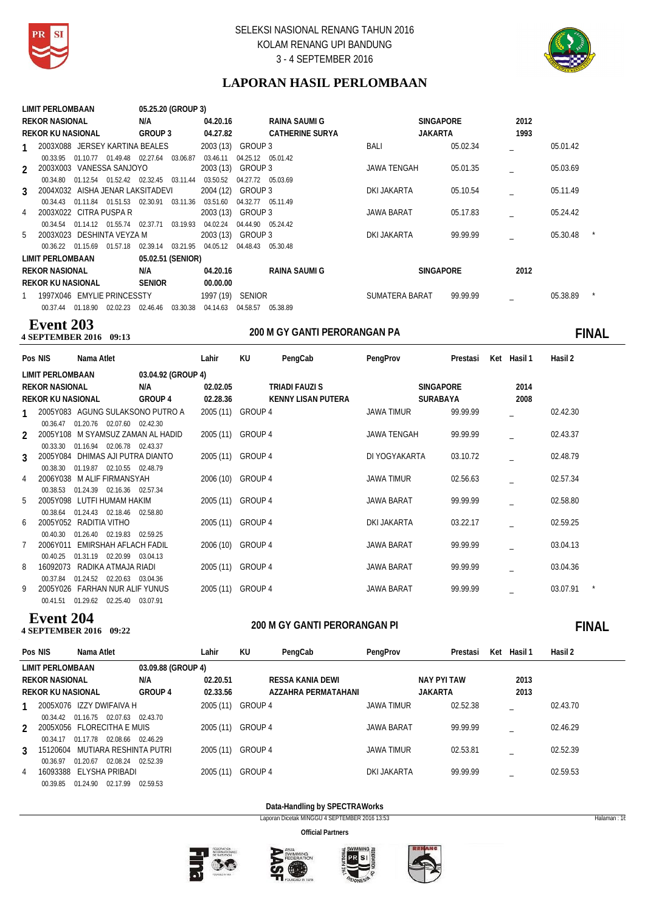



# **LAPORAN HASIL PERLOMBAAN**

|                | LIMIT PERLOMBAAN                 |          |                                        |                   | 05.25.20 (GROUP 3) |                   |                   |                        |                    |                  |      |          |  |
|----------------|----------------------------------|----------|----------------------------------------|-------------------|--------------------|-------------------|-------------------|------------------------|--------------------|------------------|------|----------|--|
|                | <b>REKOR NASIONAL</b>            |          |                                        | N/A               |                    | 04.20.16          |                   | RAINA SAUMI G          |                    | <b>SINGAPORE</b> | 2012 |          |  |
|                | <b>REKOR KU NASIONAL</b>         |          |                                        | GROUP 3           |                    | 04.27.82          |                   | <b>CATHERINE SURYA</b> |                    | <b>JAKARTA</b>   | 1993 |          |  |
| $1 \quad$      | 2003X088 JERSEY KARTINA BEALES   |          |                                        |                   |                    | 2003 (13) GROUP 3 |                   |                        | <b>BALI</b>        | 05.02.34         |      | 05.01.42 |  |
|                | 00.33.95                         |          | 01.10.77 01.49.48 02.27.64             |                   | 03.06.87           | 03.46.11          | 04.25.12 05.01.42 |                        |                    |                  |      |          |  |
| $\mathfrak{D}$ | 2003X003 VANESSA SANJOYO         |          |                                        |                   |                    | 2003 (13) GROUP 3 |                   |                        | <b>JAWA TENGAH</b> | 05.01.35         |      | 05.03.69 |  |
|                | 00.34.80                         | 01.12.54 | 01.52.42 02.32.45 03.11.44             |                   |                    | 03.50.52          | 04.27.72 05.03.69 |                        |                    |                  |      |          |  |
| $\mathbf{3}$   | 2004X032 AISHA JENAR LAKSITADEVI |          |                                        |                   |                    | 2004 (12) GROUP 3 |                   |                        | DKI JAKARTA        | 05.10.54         |      | 05.11.49 |  |
|                | 00.34.43                         | 01.11.84 | 01.51.53 02.30.91                      |                   | 03.11.36           | 03.51.60          | 04.32.77 05.11.49 |                        |                    |                  |      |          |  |
| 4              | 2003X022 CITRA PUSPA R           |          |                                        |                   |                    | 2003 (13) GROUP 3 |                   |                        | <b>JAWA BARAT</b>  | 05.17.83         |      | 05.24.42 |  |
|                |                                  |          | 00.34.54  01.14.12  01.55.74  02.37.71 |                   | 03.19.93           | 04.02.24          | 04.44.90 05.24.42 |                        |                    |                  |      |          |  |
|                | 5 2003X023 DESHINTA VEYZA M      |          |                                        |                   |                    | 2003 (13) GROUP 3 |                   |                        | DKI JAKARTA        | 99.99.99         |      | 05.30.48 |  |
|                | 00.36.22 01.15.69                |          | 01.57.18                               | 02.39.14 03.21.95 |                    | 04.05.12          | 04.48.43          | 05.30.48               |                    |                  |      |          |  |
|                | LIMIT PERLOMBAAN                 |          |                                        | 05.02.51 (SENIOR) |                    |                   |                   |                        |                    |                  |      |          |  |
|                | <b>REKOR NASIONAL</b>            |          |                                        | N/A               |                    | 04.20.16          |                   | RAINA SAUMI G          |                    | <b>SINGAPORE</b> | 2012 |          |  |
|                | <b>REKOR KU NASIONAL</b>         |          |                                        | <b>SENIOR</b>     |                    | 00.00.00          |                   |                        |                    |                  |      |          |  |
|                | 1997X046 EMYLIE PRINCESSTY       |          |                                        |                   |                    | 1997 (19) SENIOR  |                   |                        | SUMATERA BARAT     | 99.99.99         |      | 05.38.89 |  |
|                | 00.37.44 01.18.90                |          | 02.02.23 02.46.46                      |                   | 03.30.38           | 04.14.63          | 04.58.57          | 05.38.89               |                    |                  |      |          |  |

# **Event 203**<br>4 SEPTEMBER 2016 09:13

**200 M GY GANTI PERORANGAN PA 4 SEPTEMBER 2016 09:13 FINAL**

| Pos NIS                  | Nama Atlet                                                   |                    | Lahir             | KU | PengCab                   | PengProv          |                  | Prestasi | Ket Hasil 1 | Hasil 2  |  |
|--------------------------|--------------------------------------------------------------|--------------------|-------------------|----|---------------------------|-------------------|------------------|----------|-------------|----------|--|
| LIMIT PERLOMBAAN         |                                                              | 03.04.92 (GROUP 4) |                   |    |                           |                   |                  |          |             |          |  |
| <b>REKOR NASIONAL</b>    |                                                              | N/A                | 02.02.05          |    | TRIADI FAUZI S            |                   | <b>SINGAPORE</b> |          | 2014        |          |  |
| <b>REKOR KU NASIONAL</b> |                                                              | GROUP 4            | 02.28.36          |    | <b>KENNY LISAN PUTERA</b> |                   | SURABAYA         |          | 2008        |          |  |
|                          | 2005Y083 AGUNG SULAKSONO PUTRO A                             |                    | 2005 (11) GROUP 4 |    |                           | <b>JAWA TIMUR</b> |                  | 99.99.99 |             | 02.42.30 |  |
|                          | 00.36.47 01.20.76 02.07.60 02.42.30                          |                    |                   |    |                           |                   |                  |          |             |          |  |
|                          | 2005Y108 M SYAMSUZ ZAMAN AL HADID                            |                    | 2005 (11) GROUP 4 |    |                           | JAWA TENGAH       |                  | 99.99.99 |             | 02.43.37 |  |
|                          | 00.33.30 01.16.94 02.06.78 02.43.37                          |                    |                   |    |                           |                   |                  |          |             |          |  |
|                          | 2005Y084 DHIMAS AJI PUTRA DIANTO                             |                    | 2005 (11) GROUP 4 |    |                           | DI YOGYAKARTA     |                  | 03.10.72 |             | 02.48.79 |  |
| 00.38.30                 | 01.19.87 02.10.55 02.48.79<br>2006Y038 M ALIF FIRMANSYAH     |                    | 2006 (10) GROUP 4 |    |                           | <b>JAWA TIMUR</b> |                  | 02.56.63 |             | 02.57.34 |  |
| 00.38.53                 | 01.24.39 02.16.36 02.57.34                                   |                    |                   |    |                           |                   |                  |          |             |          |  |
|                          | 2005Y098 LUTFI HUMAM HAKIM                                   |                    | 2005 (11) GROUP 4 |    |                           | <b>JAWA BARAT</b> |                  | 99.99.99 |             | 02.58.80 |  |
| 00.38.64                 | 01.24.43 02.18.46 02.58.80                                   |                    |                   |    |                           |                   |                  |          |             |          |  |
| 6                        | 2005Y052 RADITIA VITHO                                       |                    | 2005 (11) GROUP 4 |    |                           | DKI JAKARTA       |                  | 03.22.17 |             | 02.59.25 |  |
| 00.40.30                 | 01.26.40 02.19.83 02.59.25                                   |                    |                   |    |                           |                   |                  |          |             |          |  |
| 2006Y011                 | EMIRSHAH AFLACH FADIL                                        |                    | 2006 (10) GROUP 4 |    |                           | <b>JAWA BARAT</b> |                  | 99.99.99 |             | 03.04.13 |  |
| 00.40.25                 | 01.31.19 02.20.99 03.04.13                                   |                    |                   |    |                           |                   |                  |          |             |          |  |
| 16092073<br>8            | RADIKA ATMAJA RIADI                                          |                    | 2005 (11) GROUP 4 |    |                           | <b>JAWA BARAT</b> |                  | 99.99.99 |             | 03.04.36 |  |
| 00.37.84                 | 01.24.52 02.20.63 03.04.36<br>2005Y026 FARHAN NUR ALIF YUNUS |                    | 2005 (11) GROUP 4 |    |                           | JAWA BARAT        |                  | 99.99.99 |             | 03.07.91 |  |
| 00.41.51                 | 01.29.62<br>02.25.40                                         | 03.07.91           |                   |    |                           |                   |                  |          |             |          |  |
|                          |                                                              |                    |                   |    |                           |                   |                  |          |             |          |  |

# **Event 204**<br>4 SEPTEMBER 2016 09:22

# **200 M GY GANTI PERORANGAN PI 4 SEPTEMBER 2016 09:22 FINAL**

| Pos NIS       |                          | Nama Atlet                 |                    | Lahir     | KU      | PengCab             | PengProv          | Prestasi           | Ket | Hasil 1 | Hasil 2  |
|---------------|--------------------------|----------------------------|--------------------|-----------|---------|---------------------|-------------------|--------------------|-----|---------|----------|
|               | LIMIT PERLOMBAAN         |                            | 03.09.88 (GROUP 4) |           |         |                     |                   |                    |     |         |          |
|               | <b>REKOR NASIONAL</b>    |                            | N/A                | 02.20.51  |         | RESSA KANIA DEWI    |                   | <b>NAY PYI TAW</b> |     | 2013    |          |
|               | <b>REKOR KU NASIONAL</b> |                            | <b>GROUP 4</b>     | 02.33.56  |         | AZZAHRA PERMATAHANI |                   | <b>JAKARTA</b>     |     | 2013    |          |
|               |                          | 2005X076 IZZY DWIFAIVA H   |                    | 2005 (11) | GROUP 4 |                     | JAWA TIMUR        | 02.52.38           |     |         | 02.43.70 |
|               | 00.34.42                 | 02.07.63<br>01 16 75       | 02.43.70           |           |         |                     |                   |                    |     |         |          |
| $\mathcal{P}$ |                          | 2005X056 FLORECITHA E MUIS |                    | 2005 (11) | GROUP 4 |                     | <b>JAWA BARAT</b> | 99.99.99           |     |         | 02.46.29 |
|               | 00.34.17                 | 02.08.66<br>01.17.78       | 02.46.29           |           |         |                     |                   |                    |     |         |          |
| 3             | 15120604                 | MUTIARA RESHINTA PUTRI     |                    | 2005 (11) | GROUP 4 |                     | <b>JAWA TIMUR</b> | 02.53.81           |     |         | 02.52.39 |
|               | 00.36.97                 | 02.08.24<br>01.20.67       | 02.52.39           |           |         |                     |                   |                    |     |         |          |
| 4             | 16093388                 | ELYSHA PRIBADI             |                    | 2005 (11) | GROUP 4 |                     | DKI JAKARTA       | 99.99.99           |     |         | 02.59.53 |
|               | 00.39.85                 | 02.17.99<br>01.24.90       | 02.59.53           |           |         |                     |                   |                    |     |         |          |

# **Data-Handling by SPECTRAWorks**

Laporan Dicetak MINGGU 4 SEPTEMBER 2016 13:53 Halaman : 16







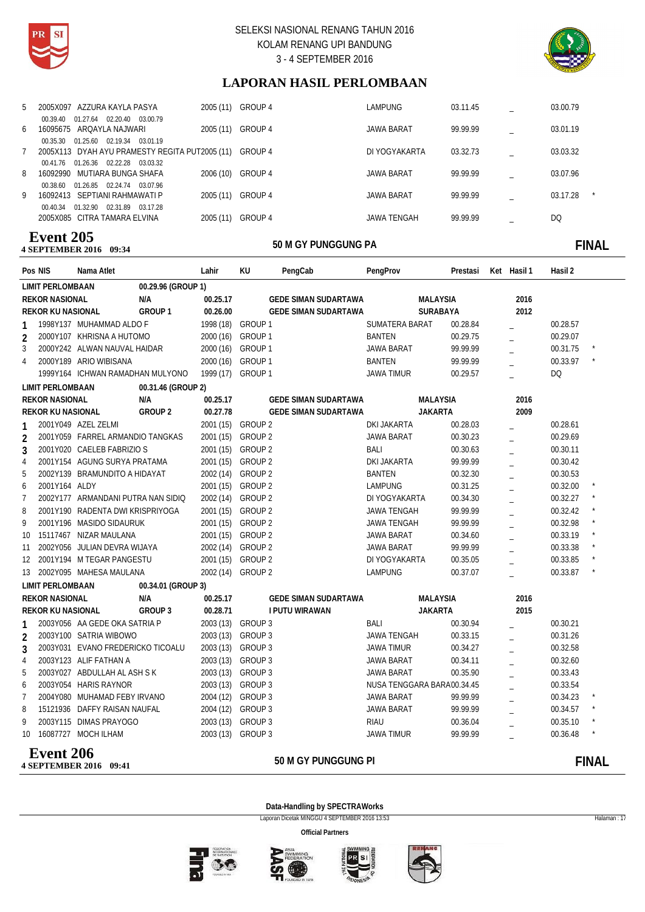



# **LAPORAN HASIL PERLOMBAAN**

|    | -----                                          |           |                   |               |          |          |
|----|------------------------------------------------|-----------|-------------------|---------------|----------|----------|
|    | 2005X085 CITRA TAMARA ELVINA                   | 2005 (11) | GROUP 4           | JAWA TENGAH   | 99.99.99 | DQ       |
|    | 01.32.90<br>02.31.89<br>00.40.34<br>03.17.28   |           |                   |               |          |          |
| 9  | 16092413 SEPTIANI RAHMAWATI P                  | 2005 (11) | GROUP 4           | JAWA BARAT    | 99.99.99 | 03.17.28 |
|    | 01.26.85 02.24.74 03.07.96<br>00.38.60         |           |                   |               |          |          |
| 8  | 16092990 MUTIARA BUNGA SHAFA                   | 2006 (10) | GROUP 4           | JAWA BARAT    | 99.99.99 | 03.07.96 |
|    | 01.26.36 02.22.28 03.03.32<br>00.41.76         |           |                   |               |          |          |
|    | 2005X113 DYAH AYU PRAMESTY REGITA PUT2005 (11) |           | GROUP 4           | DI YOGYAKARTA | 03.32.73 | 03.03.32 |
|    | 01.25.60<br>02.19.34 03.01.19<br>00.35.30      |           |                   |               |          |          |
| 6  | 16095675 AROAYLA NAJWARI                       | 2005 (11) | GROUP 4           | JAWA BARAT    | 99.99.99 | 03.01.19 |
|    | 01.27.64<br>02.20.40 03.00.79<br>00.39.40      |           |                   |               |          |          |
| 5. | 2005X097 AZZURA KAYLA PASYA                    |           | 2005 (11) GROUP 4 | LAMPUNG       | 03.11.45 | 03.00.79 |
|    |                                                |           |                   |               |          |          |

### **50 M GY PUNGGUNG PA 4 SEPTEMBER 2016 Event 205**

# **09:34:45 THE SOLUT SOLUT SOLUT SOLUT SOLUT SOLUT SOLUT SOLUT SOLUT SOLUT SOLUT SOLUT SOLUT SOLUT SOLUT SOLUT SOLUT SOLUT SOLUT SOLUT SOLUT SOLUT SOLUT SOLUT SOLUT SOLUT SOLUT SOLUT SOLUT SOLUT SOLUT SOLUT SOLUT SOLUT SOLU**

|                 | Pos NIS                  | Nama Atlet                         |                    | Lahir             | KU                | PengCab                     | PengProv           | Prestasi                   | Ket Hasil 1    | Hasil 2  |               |
|-----------------|--------------------------|------------------------------------|--------------------|-------------------|-------------------|-----------------------------|--------------------|----------------------------|----------------|----------|---------------|
|                 | <b>LIMIT PERLOMBAAN</b>  |                                    | 00.29.96 (GROUP 1) |                   |                   |                             |                    |                            |                |          |               |
|                 | <b>REKOR NASIONAL</b>    |                                    | N/A                | 00.25.17          |                   | <b>GEDE SIMAN SUDARTAWA</b> |                    | <b>MALAYSIA</b>            | 2016           |          |               |
|                 | <b>REKOR KU NASIONAL</b> |                                    | GROUP <sub>1</sub> | 00.26.00          |                   | <b>GEDE SIMAN SUDARTAWA</b> |                    | SURABAYA                   | 2012           |          |               |
| 1               |                          | 1998Y137 MUHAMMAD ALDO F           |                    | 1998 (18) GROUP 1 |                   |                             | SUMATERA BARAT     | 00.28.84                   |                | 00.28.57 |               |
| $\overline{2}$  |                          | 2000Y107 KHRISNA A HUTOMO          |                    | 2000 (16) GROUP 1 |                   |                             | <b>BANTEN</b>      | 00.29.75                   |                | 00.29.07 |               |
| 3               |                          | 2000Y242 ALWAN NAUVAL HAIDAR       |                    | 2000 (16) GROUP 1 |                   |                             | JAWA BARAT         | 99.99.99                   | $\overline{a}$ | 00.31.75 |               |
| 4               |                          | 2000Y189 ARIO WIBISANA             |                    | 2000 (16) GROUP 1 |                   |                             | <b>BANTEN</b>      | 99.99.99                   |                | 00.33.97 |               |
|                 |                          | 1999Y164 ICHWAN RAMADHAN MULYONO   |                    | 1999 (17) GROUP 1 |                   |                             | <b>JAWA TIMUR</b>  | 00.29.57                   | $\overline{a}$ | DQ       |               |
|                 | <b>LIMIT PERLOMBAAN</b>  |                                    | 00.31.46 (GROUP 2) |                   |                   |                             |                    |                            |                |          |               |
|                 | <b>REKOR NASIONAL</b>    |                                    | N/A                | 00.25.17          |                   | <b>GEDE SIMAN SUDARTAWA</b> |                    | MALAYSIA                   | 2016           |          |               |
|                 | <b>REKOR KU NASIONAL</b> |                                    | GROUP <sub>2</sub> | 00.27.78          |                   | <b>GEDE SIMAN SUDARTAWA</b> |                    | <b>JAKARTA</b>             | 2009           |          |               |
|                 |                          | 2001Y049 AZEL ZELMI                |                    |                   | 2001 (15) GROUP 2 |                             | <b>DKI JAKARTA</b> | 00.28.03                   |                | 00.28.61 |               |
| $\overline{2}$  |                          | 2001Y059 FARREL ARMANDIO TANGKAS   |                    |                   | 2001 (15) GROUP 2 |                             | JAWA BARAT         | 00.30.23                   |                | 00.29.69 |               |
| 3               |                          | 2001Y020 CAELEB FABRIZIO S         |                    |                   | 2001 (15) GROUP 2 |                             | BALI               | 00.30.63                   |                | 00.30.11 |               |
| $\overline{4}$  |                          | 2001Y154 AGUNG SURYA PRATAMA       |                    |                   | 2001 (15) GROUP 2 |                             | DKI JAKARTA        | 99.99.99                   |                | 00.30.42 |               |
| 5               |                          | 2002Y139 BRAMUNDITO A HIDAYAT      |                    |                   | 2002 (14) GROUP 2 |                             | <b>BANTEN</b>      | 00.32.30                   | $\overline{a}$ | 00.30.53 |               |
| 6               | 2001Y164 ALDY            |                                    |                    |                   | 2001 (15) GROUP 2 |                             | <b>LAMPUNG</b>     | 00.31.25                   | $\overline{a}$ | 00.32.00 |               |
| $\overline{7}$  |                          | 2002Y177 ARMANDANI PUTRA NAN SIDIQ |                    |                   | 2002 (14) GROUP 2 |                             | DI YOGYAKARTA      | 00.34.30                   |                | 00.32.27 |               |
| 8               |                          | 2001Y190 RADENTA DWI KRISPRIYOGA   |                    |                   | 2001 (15) GROUP 2 |                             | <b>JAWA TENGAH</b> | 99.99.99                   | $\equiv$       | 00.32.42 |               |
| 9               |                          | 2001Y196 MASIDO SIDAURUK           |                    |                   | 2001 (15) GROUP 2 |                             | <b>JAWA TENGAH</b> | 99.99.99                   |                | 00.32.98 |               |
| 10 <sup>°</sup> |                          | 15117467 NIZAR MAULANA             |                    |                   | 2001 (15) GROUP 2 |                             | JAWA BARAT         | 00.34.60                   |                | 00.33.19 |               |
| 11              |                          | 2002Y056 JULIAN DEVRA WIJAYA       |                    |                   | 2002 (14) GROUP 2 |                             | JAWA BARAT         | 99.99.99                   |                | 00.33.38 |               |
|                 |                          | 12 2001Y194 M TEGAR PANGESTU       |                    |                   | 2001 (15) GROUP 2 |                             | DI YOGYAKARTA      | 00.35.05                   | $\overline{a}$ | 00.33.85 |               |
|                 |                          | 13 2002Y095 MAHESA MAULANA         |                    |                   | 2002 (14) GROUP 2 |                             | <b>LAMPUNG</b>     | 00.37.07                   | $\overline{a}$ | 00.33.87 |               |
|                 | <b>LIMIT PERLOMBAAN</b>  |                                    | 00.34.01 (GROUP 3) |                   |                   |                             |                    |                            |                |          |               |
|                 | <b>REKOR NASIONAL</b>    |                                    | N/A                | 00.25.17          |                   | <b>GEDE SIMAN SUDARTAWA</b> |                    | <b>MALAYSIA</b>            | 2016           |          |               |
|                 | <b>REKOR KU NASIONAL</b> |                                    | GROUP 3            | 00.28.71          |                   | <b>I PUTU WIRAWAN</b>       |                    | <b>JAKARTA</b>             | 2015           |          |               |
| 1               |                          | 2003Y056 AA GEDE OKA SATRIA P      |                    | 2003 (13) GROUP 3 |                   |                             | <b>BALI</b>        | 00.30.94                   |                | 00.30.21 |               |
| $\overline{2}$  |                          | 2003Y100 SATRIA WIBOWO             |                    | 2003 (13) GROUP 3 |                   |                             | <b>JAWA TENGAH</b> | 00.33.15                   |                | 00.31.26 |               |
| 3               |                          | 2003Y031 EVANO FREDERICKO TICOALU  |                    |                   | 2003 (13) GROUP 3 |                             | <b>JAWA TIMUR</b>  | 00.34.27                   |                | 00.32.58 |               |
| $\overline{4}$  |                          | 2003Y123 ALIF FATHAN A             |                    | 2003 (13) GROUP 3 |                   |                             | JAWA BARAT         | 00.34.11                   |                | 00.32.60 |               |
| 5               |                          | 2003Y027 ABDULLAH AL ASH S K       |                    |                   | 2003 (13) GROUP 3 |                             | <b>JAWA BARAT</b>  | 00.35.90                   | $\overline{a}$ | 00.33.43 |               |
| 6               |                          | 2003Y054 HARIS RAYNOR              |                    |                   | 2003 (13) GROUP 3 |                             |                    | NUSA TENGGARA BARA00.34.45 | $\overline{a}$ | 00.33.54 |               |
| $\overline{7}$  |                          | 2004Y080 MUHAMAD FEBY IRVANO       |                    | 2004 (12)         | GROUP 3           |                             | <b>JAWA BARAT</b>  | 99.99.99                   |                | 00.34.23 |               |
| 8               |                          | 15121936 DAFFY RAISAN NAUFAL       |                    | 2004 (12)         | GROUP 3           |                             | <b>JAWA BARAT</b>  | 99.99.99                   |                | 00.34.57 |               |
| 9               |                          | 2003Y115 DIMAS PRAYOGO             |                    | 2003 (13) GROUP 3 |                   |                             | <b>RIAU</b>        | 00.36.04                   |                | 00.35.10 |               |
|                 |                          | 10 16087727 MOCH ILHAM             |                    | 2003 (13) GROUP 3 |                   |                             | <b>JAWA TIMUR</b>  | 99.99.99                   |                | 00.36.48 |               |
|                 | <b>Event 206</b>         |                                    |                    |                   |                   | EA M CV DUMCCUMC DI         |                    |                            |                |          | <b>FINIAI</b> |

### **4 SEPTEMBER 2016** 09:41 50 M GY PUNGGUNG PI **09:41 THE SOLUT SOLUT SOLUT SOLUTION SOLUTION SOLUTION SOLUTION SOLUTION SOLUTION SOLUTION SOLUTION SOLUTION SOLUTION SOLUTION SOLUTION SOLUTION SOLUTION SOLUTION SOLUTION SOLUTION SOLUTION SOLUTION SOLUTION SOLUTION SOLU**

**Data-Handling by SPECTRAWorks**

Laporan Dicetak MINGGU 4 SEPTEMBER 2016 13:53 Halaman : 17







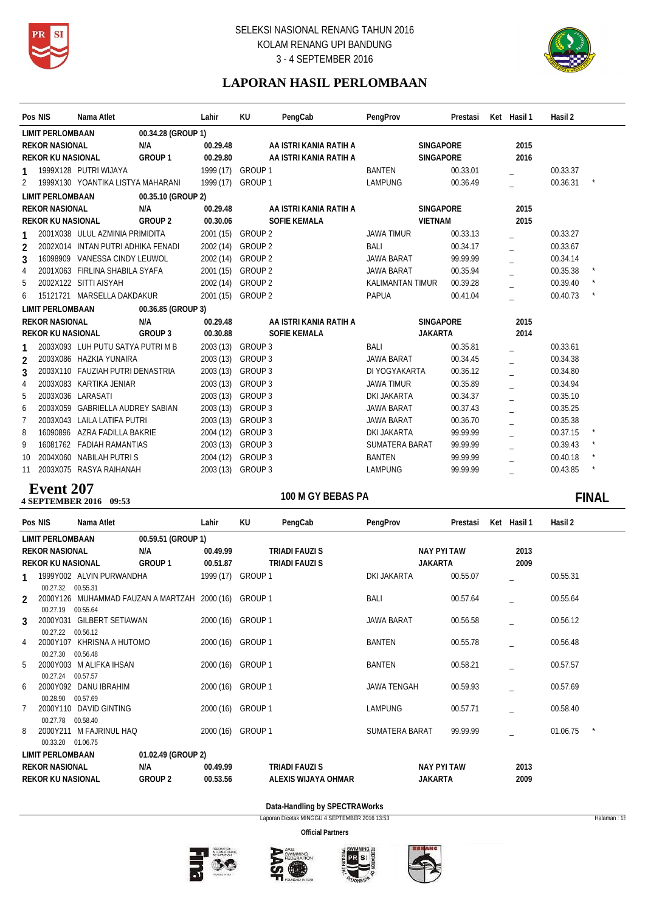



# **LAPORAN HASIL PERLOMBAAN**

|                | Pos NIS                   | Nama Atlet                         |                    | Lahir             | KU                | PengCab                | PengProv                | Prestasi | Ket Hasil 1 | Hasil 2  |          |
|----------------|---------------------------|------------------------------------|--------------------|-------------------|-------------------|------------------------|-------------------------|----------|-------------|----------|----------|
|                | <b>LIMIT PERLOMBAAN</b>   |                                    | 00.34.28 (GROUP 1) |                   |                   |                        |                         |          |             |          |          |
|                | <b>REKOR NASIONAL</b>     |                                    | N/A                | 00.29.48          |                   | AA ISTRI KANIA RATIH A | <b>SINGAPORE</b>        |          | 2015        |          |          |
|                | <b>REKOR KU NASIONAL</b>  |                                    | GROUP <sub>1</sub> | 00.29.80          |                   | AA ISTRI KANIA RATIH A | <b>SINGAPORE</b>        |          | 2016        |          |          |
|                |                           | 1999X128 PUTRI WIJAYA              |                    | 1999 (17) GROUP 1 |                   |                        | <b>BANTEN</b>           | 00.33.01 |             | 00.33.37 |          |
| $\overline{2}$ |                           | 1999X130 YOANTIKA LISTYA MAHARANI  |                    | 1999 (17) GROUP 1 |                   |                        | <b>LAMPUNG</b>          | 00.36.49 |             | 00.36.31 | $^\star$ |
|                | <b>LIMIT PERLOMBAAN</b>   |                                    | 00.35.10 (GROUP 2) |                   |                   |                        |                         |          |             |          |          |
|                | <b>REKOR NASIONAL</b>     |                                    | N/A                | 00.29.48          |                   | AA ISTRI KANIA RATIH A | <b>SINGAPORE</b>        |          | 2015        |          |          |
|                | <b>REKOR KU NASIONAL</b>  |                                    | <b>GROUP 2</b>     | 00.30.06          |                   | <b>SOFIE KEMALA</b>    | <b>VIETNAM</b>          |          | 2015        |          |          |
|                |                           | 2001X038 ULUL AZMINIA PRIMIDITA    |                    |                   | 2001 (15) GROUP 2 |                        | <b>JAWA TIMUR</b>       | 00.33.13 |             | 00.33.27 |          |
| $\overline{2}$ |                           | 2002X014 INTAN PUTRI ADHIKA FENADI |                    | 2002 (14)         | GROUP 2           |                        | BALI                    | 00.34.17 |             | 00.33.67 |          |
| 3              |                           | 16098909 VANESSA CINDY LEUWOL      |                    | 2002 (14)         | <b>GROUP 2</b>    |                        | JAWA BARAT              | 99.99.99 |             | 00.34.14 |          |
| 4              |                           | 2001X063 FIRLINA SHABILA SYAFA     |                    | 2001(15)          | GROUP 2           |                        | <b>JAWA BARAT</b>       | 00.35.94 |             | 00.35.38 |          |
| 5              |                           | 2002X122 SITTI AISYAH              |                    |                   | 2002 (14) GROUP 2 |                        | <b>KALIMANTAN TIMUR</b> | 00.39.28 |             | 00.39.40 |          |
| 6              |                           | 15121721 MARSELLA DAKDAKUR         |                    |                   | 2001 (15) GROUP 2 |                        | <b>PAPUA</b>            | 00.41.04 |             | 00.40.73 |          |
|                | <b>LIMIT PERLOMBAAN</b>   |                                    | 00.36.85 (GROUP 3) |                   |                   |                        |                         |          |             |          |          |
|                | <b>REKOR NASIONAL</b>     |                                    | N/A                | 00.29.48          |                   | AA ISTRI KANIA RATIH A | <b>SINGAPORE</b>        |          | 2015        |          |          |
|                | <b>REKOR KU NASIONAL</b>  |                                    | GROUP 3            | 00.30.88          |                   | <b>SOFIE KEMALA</b>    | <b>JAKARTA</b>          |          | 2014        |          |          |
|                |                           | 2003X093 LUH PUTU SATYA PUTRI M B  |                    | 2003 (13) GROUP 3 |                   |                        | <b>BALI</b>             | 00.35.81 |             | 00.33.61 |          |
| $\overline{2}$ |                           | 2003X086 HAZKIA YUNAIRA            |                    | 2003 (13)         | GROUP 3           |                        | <b>JAWA BARAT</b>       | 00.34.45 |             | 00.34.38 |          |
| 3              |                           | 2003X110 FAUZIAH PUTRI DENASTRIA   |                    | 2003(13)          | GROUP 3           |                        | DI YOGYAKARTA           | 00.36.12 |             | 00.34.80 |          |
| $\overline{4}$ |                           | 2003X083 KARTIKA JENIAR            |                    | 2003 (13)         | GROUP 3           |                        | <b>JAWA TIMUR</b>       | 00.35.89 |             | 00.34.94 |          |
| -5             |                           | 2003X036 LARASATI                  |                    | 2003(13)          | GROUP 3           |                        | DKI JAKARTA             | 00.34.37 |             | 00.35.10 |          |
| 6              |                           | 2003X059 GABRIELLA AUDREY SABIAN   |                    | 2003 (13)         | GROUP 3           |                        | <b>JAWA BARAT</b>       | 00.37.43 |             | 00.35.25 |          |
| $\overline{7}$ |                           | 2003X043 LAILA LATIFA PUTRI        |                    | 2003 (13)         | GROUP 3           |                        | <b>JAWA BARAT</b>       | 00.36.70 |             | 00.35.38 |          |
| 8              |                           | 16090896 AZRA FADILLA BAKRIE       |                    | 2004 (12)         | <b>GROUP 3</b>    |                        | <b>DKI JAKARTA</b>      | 99.99.99 |             | 00.37.15 |          |
| 9              |                           | 16081762 FADIAH RAMANTIAS          |                    | 2003 (13)         | GROUP 3           |                        | <b>SUMATERA BARAT</b>   | 99.99.99 |             | 00.39.43 |          |
| 10             |                           | 2004X060 NABILAH PUTRIS            |                    | 2004 (12)         | GROUP 3           |                        | <b>BANTEN</b>           | 99.99.99 |             | 00.40.18 |          |
| 11             |                           | 2003X075 RASYA RAIHANAH            |                    | 2003(13)          | GROUP 3           |                        | <b>LAMPUNG</b>          | 99.99.99 |             | 00.43.85 |          |
|                | $\mathbf{r}$ $\mathbf{A}$ |                                    |                    |                   |                   |                        |                         |          |             |          |          |

### **4 SEPTEMBER 2016** 09:53 **Event 207**

# 100 M GY BEBAS PA **FINAL**

|               | Pos NIS                  | Nama Atlet                                           |                    | Lahir             | KU      | PengCab               | PengProv           |                    | Prestasi | Ket Hasil 1 | Hasil 2  |  |
|---------------|--------------------------|------------------------------------------------------|--------------------|-------------------|---------|-----------------------|--------------------|--------------------|----------|-------------|----------|--|
|               | <b>LIMIT PERLOMBAAN</b>  |                                                      | 00.59.51 (GROUP 1) |                   |         |                       |                    |                    |          |             |          |  |
|               | <b>REKOR NASIONAL</b>    |                                                      | N/A                | 00.49.99          |         | <b>TRIADI FAUZI S</b> |                    | NAY PYI TAW        |          | 2013        |          |  |
|               | <b>REKOR KU NASIONAL</b> |                                                      | GROUP 1            | 00.51.87          |         | TRIADI FAUZI S        |                    | <b>JAKARTA</b>     |          | 2009        |          |  |
|               |                          | 1999Y002 ALVIN PURWANDHA                             |                    | 1999 (17)         | GROUP 1 |                       | DKI JAKARTA        |                    | 00.55.07 |             | 00.55.31 |  |
|               | 00.27.32 00.55.31        |                                                      |                    |                   |         |                       |                    |                    |          |             |          |  |
| $\mathcal{P}$ |                          | 2000Y126 MUHAMMAD FAUZAN A MARTZAH 2000 (16) GROUP 1 |                    |                   |         |                       | BALI               |                    | 00.57.64 |             | 00.55.64 |  |
| 3             | 00.27.19                 | 00.55.64<br>2000Y031 GILBERT SETIAWAN                |                    | 2000 (16) GROUP 1 |         |                       | <b>JAWA BARAT</b>  |                    | 00.56.58 |             | 00.56.12 |  |
|               | 00.27.22                 | 00.56.12                                             |                    |                   |         |                       |                    |                    |          |             |          |  |
| 4             | 2000Y107                 | KHRISNA A HUTOMO                                     |                    | 2000 (16) GROUP 1 |         |                       | BANTEN             |                    | 00.55.78 |             | 00.56.48 |  |
| 5             | 00.27.30                 | 00.56.48<br>2000Y003 M ALIFKA IHSAN                  |                    | 2000 (16) GROUP 1 |         |                       | BANTEN             |                    | 00.58.21 |             | 00.57.57 |  |
|               | 00.27.24                 | 00.57.57                                             |                    |                   |         |                       |                    |                    |          |             |          |  |
| 6             |                          | 2000Y092 DANU IBRAHIM                                |                    | 2000 (16) GROUP 1 |         |                       | <b>JAWA TENGAH</b> |                    | 00.59.93 |             | 00.57.69 |  |
| 7             | 00.28.90                 | 00.57.69<br>2000Y110 DAVID GINTING                   |                    | 2000 (16) GROUP 1 |         |                       | <b>LAMPUNG</b>     |                    | 00.57.71 |             | 00.58.40 |  |
|               | 00.27.78                 | 00.58.40                                             |                    |                   |         |                       |                    |                    |          |             |          |  |
| 8             |                          | 2000Y211 M FAJRINUL HAQ                              |                    | 2000 (16) GROUP 1 |         |                       | SUMATERA BARAT     |                    | 99.99.99 |             | 01.06.75 |  |
|               | 00.33.20                 | 01.06.75                                             |                    |                   |         |                       |                    |                    |          |             |          |  |
|               | <b>LIMIT PERLOMBAAN</b>  |                                                      | 01.02.49 (GROUP 2) |                   |         |                       |                    |                    |          |             |          |  |
|               | <b>REKOR NASIONAL</b>    |                                                      | N/A                | 00.49.99          |         | <b>TRIADI FAUZI S</b> |                    | <b>NAY PYI TAW</b> |          | 2013        |          |  |
|               | <b>REKOR KU NASIONAL</b> |                                                      | <b>GROUP 2</b>     | 00.53.56          |         | ALEXIS WIJAYA OHMAR   |                    | <b>JAKARTA</b>     |          | 2009        |          |  |

### **Data-Handling by SPECTRAWorks**

Laporan Dicetak MINGGU 4 SEPTEMBER 2016 13:53 Halaman : 18







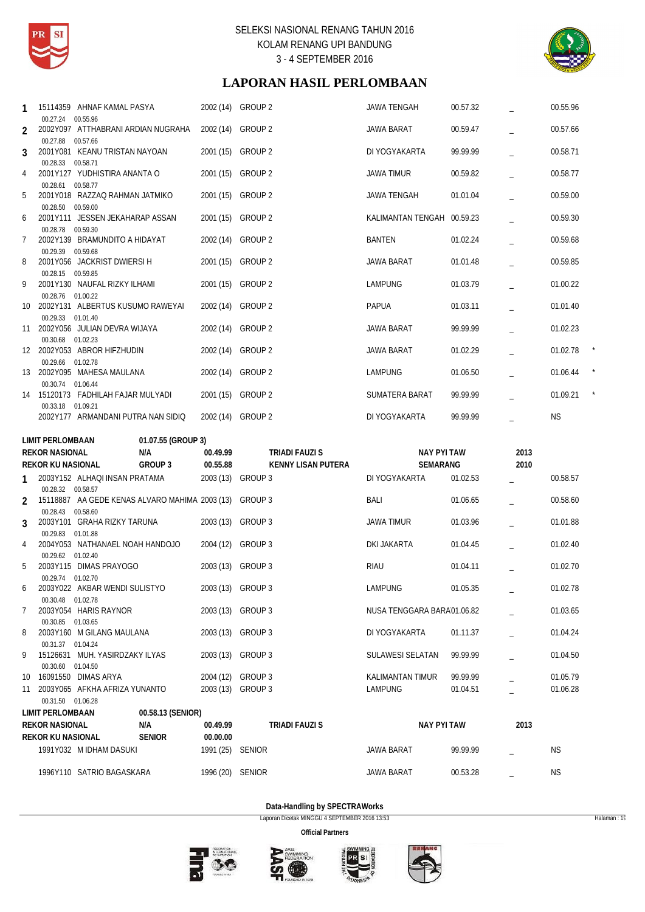



# **LAPORAN HASIL PERLOMBAAN**

| 1              |                                                  | 15114359 AHNAF KAMAL PASYA                                 |                          | 2002 (14)                              | <b>GROUP 2</b>            | JAWA TENGAH                 | 00.57.32             |      | 00.55.96             |  |
|----------------|--------------------------------------------------|------------------------------------------------------------|--------------------------|----------------------------------------|---------------------------|-----------------------------|----------------------|------|----------------------|--|
| $\overline{2}$ | 00.27.24 00.55.96                                | 2002Y097 ATTHABRANI ARDIAN NUGRAHA                         |                          | 2002 (14)                              | GROUP 2                   | <b>JAWA BARAT</b>           | 00.59.47             |      | 00.57.66             |  |
| 3              | 00.27.88 00.57.66                                | 2001Y081 KEANU TRISTAN NAYOAN                              |                          | 2001 (15)                              | <b>GROUP 2</b>            | DI YOGYAKARTA               | 99.99.99             |      | 00.58.71             |  |
| 4              | 00.28.33 00.58.71                                | 2001Y127 YUDHISTIRA ANANTA O                               |                          | 2001 (15)                              | GROUP <sub>2</sub>        | JAWA TIMUR                  | 00.59.82             |      | 00.58.77             |  |
| 5              | 00.28.61 00.58.77                                | 2001Y018 RAZZAQ RAHMAN JATMIKO                             |                          | 2001 (15)                              | GROUP 2                   | <b>JAWA TENGAH</b>          | 01.01.04             |      | 00.59.00             |  |
|                | 00.28.50 00.59.00                                |                                                            |                          |                                        |                           |                             |                      |      |                      |  |
| 6              | 00.28.78 00.59.30                                | 2001Y111 JESSEN JEKAHARAP ASSAN                            |                          | 2001 (15)                              | GROUP <sub>2</sub>        | KALIMANTAN TENGAH 00.59.23  |                      |      | 00.59.30             |  |
| 7              | 00.29.39 00.59.68                                | 2002Y139 BRAMUNDITO A HIDAYAT                              |                          | 2002 (14)                              | GROUP 2                   | <b>BANTEN</b>               | 01.02.24             |      | 00.59.68             |  |
| 8              |                                                  | 2001Y056 JACKRIST DWIERSI H                                |                          | 2001 (15) GROUP 2                      |                           | JAWA BARAT                  | 01.01.48             |      | 00.59.85             |  |
| 9              | 00.28.15 00.59.85                                | 2001Y130 NAUFAL RIZKY ILHAMI                               |                          | 2001(15)                               | GROUP <sub>2</sub>        | <b>LAMPUNG</b>              | 01.03.79             |      | 01.00.22             |  |
| 10             | 00.28.76 01.00.22                                | 2002Y131 ALBERTUS KUSUMO RAWEYAI                           |                          | 2002 (14)                              | GROUP <sub>2</sub>        | <b>PAPUA</b>                | 01.03.11             |      | 01.01.40             |  |
|                | 00.29.33 01.01.40                                | 11 2002Y056 JULIAN DEVRA WIJAYA                            |                          | 2002 (14)                              | GROUP 2                   | <b>JAWA BARAT</b>           | 99.99.99             |      | 01.02.23             |  |
|                | 00.30.68 01.02.23                                | 12 2002Y053 ABROR HIFZHUDIN                                |                          | 2002 (14)                              | <b>GROUP 2</b>            | <b>JAWA BARAT</b>           | 01.02.29             |      | 01.02.78             |  |
|                | 00.29.66 01.02.78                                |                                                            |                          |                                        |                           |                             |                      |      |                      |  |
|                | 00.30.74 01.06.44                                | 13 2002Y095 MAHESA MAULANA                                 |                          | 2002 (14) GROUP 2                      |                           | <b>LAMPUNG</b>              | 01.06.50             |      | 01.06.44             |  |
|                | 00.33.18 01.09.21                                | 14 15120173 FADHILAH FAJAR MULYADI                         |                          | 2001 (15)                              | GROUP 2                   | SUMATERA BARAT              | 99.99.99             |      | 01.09.21             |  |
|                |                                                  | 2002Y177 ARMANDANI PUTRA NAN SIDIQ                         |                          | 2002 (14) GROUP 2                      |                           | DI YOGYAKARTA               | 99.99.99             |      | <b>NS</b>            |  |
|                | LIMIT PERLOMBAAN                                 |                                                            | 01.07.55 (GROUP 3)       |                                        |                           |                             |                      |      |                      |  |
|                |                                                  |                                                            |                          |                                        |                           |                             |                      |      |                      |  |
|                | <b>REKOR NASIONAL</b>                            |                                                            | N/A                      | 00.49.99                               | TRIADI FAUZI S            | <b>NAY PYI TAW</b>          |                      | 2013 |                      |  |
| 1              | <b>REKOR KU NASIONAL</b>                         | 2003Y152 ALHAQI INSAN PRATAMA                              | GROUP 3                  | 00.55.88<br>2003 (13) GROUP 3          | <b>KENNY LISAN PUTERA</b> | SEMARANG<br>DI YOGYAKARTA   | 01.02.53             | 2010 | 00.58.57             |  |
| $\overline{2}$ | 00.28.32 00.58.57                                | 15118887 AA GEDE KENAS ALVARO MAHIMA 2003 (13) GROUP 3     |                          |                                        |                           | <b>BALI</b>                 | 01.06.65             |      | 00.58.60             |  |
|                | 00.28.43 00.58.60                                | 2003Y101 GRAHA RIZKY TARUNA                                |                          | 2003 (13) GROUP 3                      |                           | <b>JAWA TIMUR</b>           | 01.03.96             |      | 01.01.88             |  |
| 3              | 00.29.83 01.01.88                                |                                                            |                          |                                        |                           |                             |                      |      |                      |  |
| 4              | 00.29.62 01.02.40                                | 2004Y053 NATHANAEL NOAH HANDOJO                            |                          | 2004 (12)                              | GROUP 3                   | DKI JAKARTA                 | 01.04.45             |      | 01.02.40             |  |
| 5              | 00.29.74 01.02.70                                | 2003Y115 DIMAS PRAYOGO                                     |                          | 2003 (13)                              | <b>GROUP 3</b>            | <b>RIAU</b>                 | 01.04.11             |      | 01.02.70             |  |
| 6              |                                                  | 2003Y022 AKBAR WENDI SULISTYO                              |                          | 2003 (13) GROUP 3                      |                           | LAMPUNG                     | 01.05.35             |      | 01.02.78             |  |
| $\overline{7}$ | 00.30.48 01.02.78                                | 2003Y054 HARIS RAYNOR                                      |                          | 2003 (13) GROUP 3                      |                           | NUSA TENGGARA BARA01.06.82  |                      |      | 01.03.65             |  |
| 8              | 00.30.85 01.03.65                                | 2003Y160 M GILANG MAULANA                                  |                          | 2003 (13) GROUP 3                      |                           | DI YOGYAKARTA               | 01.11.37             |      | 01.04.24             |  |
| 9              | 00.31.37 01.04.24                                | 15126631 MUH. YASIRDZAKY ILYAS                             |                          | 2003 (13) GROUP 3                      |                           | SULAWESI SELATAN            | 99.99.99             |      | 01.04.50             |  |
|                | 00.30.60 01.04.50                                |                                                            |                          |                                        |                           |                             |                      |      |                      |  |
|                |                                                  | 10 16091550 DIMAS ARYA<br>11 2003Y065 AFKHA AFRIZA YUNANTO |                          | 2004 (12) GROUP 3<br>2003 (13) GROUP 3 |                           | KALIMANTAN TIMUR<br>LAMPUNG | 99.99.99<br>01.04.51 |      | 01.05.79<br>01.06.28 |  |
|                | 00.31.50 01.06.28                                |                                                            |                          |                                        |                           |                             |                      |      |                      |  |
|                | <b>LIMIT PERLOMBAAN</b><br><b>REKOR NASIONAL</b> |                                                            | 00.58.13 (SENIOR)<br>N/A | 00.49.99                               | TRIADI FAUZI S            | <b>NAY PYI TAW</b>          |                      | 2013 |                      |  |
|                | <b>REKOR KU NASIONAL</b>                         |                                                            | <b>SENIOR</b>            | 00.00.00                               |                           |                             |                      |      |                      |  |
|                |                                                  | 1991Y032 M IDHAM DASUKI                                    |                          | 1991 (25) SENIOR                       |                           | JAWA BARAT                  | 99.99.99             |      | ΝS                   |  |

**Data-Handling by SPECTRAWorks**

Laporan Dicetak MINGGU 4 SEPTEMBER 2016 13:53 Halaman : 19







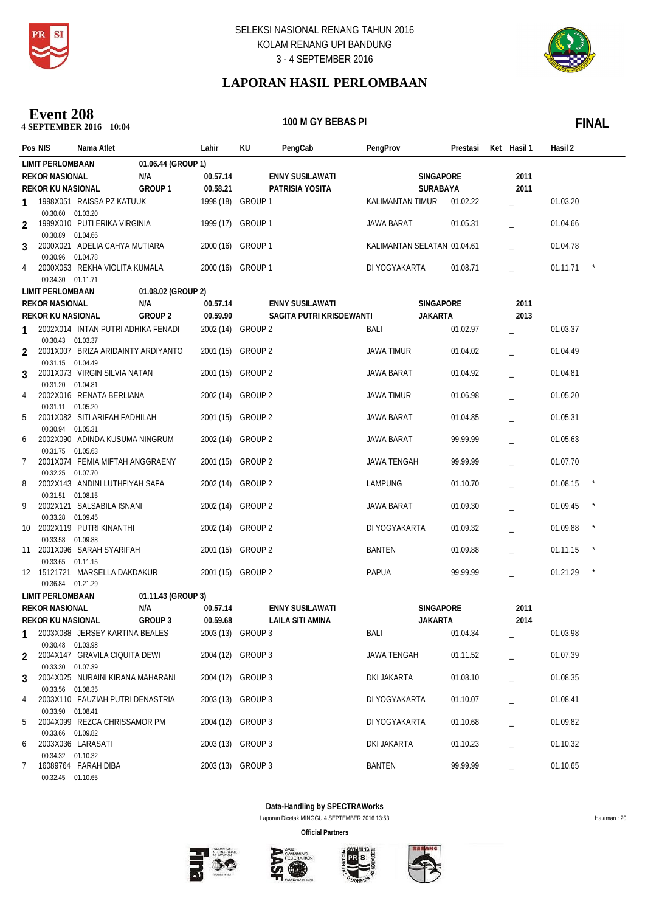



# **LAPORAN HASIL PERLOMBAAN**

### **10:04** SEPTEMBER 2016 10:04 **Event 208**

100 M GY BEBAS PI

|                | Pos NIS                                          | Nama Atlet                         |                    | Lahir                         | ΚU                 | PengCab                  | PengProv                    |                  | Prestasi | Ket Hasil 1 | Hasil 2  |              |
|----------------|--------------------------------------------------|------------------------------------|--------------------|-------------------------------|--------------------|--------------------------|-----------------------------|------------------|----------|-------------|----------|--------------|
|                | <b>LIMIT PERLOMBAAN</b>                          |                                    | 01.06.44 (GROUP 1) |                               |                    |                          |                             |                  |          |             |          |              |
|                | <b>REKOR NASIONAL</b>                            |                                    | N/A                | 00.57.14                      |                    | <b>ENNY SUSILAWATI</b>   |                             | <b>SINGAPORE</b> |          | 2011        |          |              |
|                | <b>REKOR KU NASIONAL</b>                         |                                    | GROUP <sub>1</sub> | 00.58.21                      |                    | PATRISIA YOSITA          |                             | SURABAYA         |          | 2011        |          |              |
| 1              |                                                  | 1998X051 RAISSA PZ KATUUK          |                    | 1998 (18)                     | GROUP 1            |                          | <b>KALIMANTAN TIMUR</b>     |                  | 01.02.22 |             | 01.03.20 |              |
| 2              | 00.30.60 01.03.20                                | 1999X010 PUTI ERIKA VIRGINIA       |                    | 1999 (17) GROUP 1             |                    |                          | JAWA BARAT                  |                  | 01.05.31 |             | 01.04.66 |              |
| 3              | 00.30.89 01.04.66                                | 2000X021 ADELIA CAHYA MUTIARA      |                    | 2000 (16) GROUP 1             |                    |                          | KALIMANTAN SELATAN 01.04.61 |                  |          |             | 01.04.78 |              |
|                | 00.30.96 01.04.78                                |                                    |                    |                               |                    |                          |                             |                  |          |             |          |              |
| 4              | 00.34.30 01.11.71                                | 2000X053 REKHA VIOLITA KUMALA      |                    | 2000 (16) GROUP 1             |                    |                          | DI YOGYAKARTA               |                  | 01.08.71 |             | 01.11.71 |              |
|                | <b>LIMIT PERLOMBAAN</b>                          |                                    | 01.08.02 (GROUP 2) |                               |                    |                          |                             |                  |          |             |          |              |
|                | <b>REKOR NASIONAL</b>                            |                                    | N/A                | 00.57.14                      |                    | <b>ENNY SUSILAWATI</b>   |                             | <b>SINGAPORE</b> |          | 2011        |          |              |
|                | <b>REKOR KU NASIONAL</b>                         |                                    | GROUP <sub>2</sub> | 00.59.90                      |                    | SAGITA PUTRI KRISDEWANTI |                             | <b>JAKARTA</b>   |          | 2013        |          |              |
|                | 00.30.43 01.03.37                                | 2002X014 INTAN PUTRI ADHIKA FENADI |                    | 2002 (14) GROUP 2             |                    |                          | BALI                        |                  | 01.02.97 |             | 01.03.37 |              |
| $\overline{2}$ |                                                  | 2001X007 BRIZA ARIDAINTY ARDIYANTO |                    | 2001 (15)                     | GROUP <sub>2</sub> |                          | <b>JAWA TIMUR</b>           |                  | 01.04.02 |             | 01.04.49 |              |
| 3              | 00.31.15 01.04.49                                | 2001X073 VIRGIN SILVIA NATAN       |                    | 2001(15)                      | GROUP <sub>2</sub> |                          | JAWA BARAT                  |                  | 01.04.92 |             | 01.04.81 |              |
| 4              | 00.31.20 01.04.81                                | 2002X016 RENATA BERLIANA           |                    | 2002 (14)                     | <b>GROUP 2</b>     |                          | <b>JAWA TIMUR</b>           |                  | 01.06.98 |             | 01.05.20 |              |
| 5              | 00.31.11 01.05.20                                | 2001X082 SITI ARIFAH FADHILAH      |                    | 2001 (15)                     | GROUP 2            |                          | <b>JAWA BARAT</b>           |                  | 01.04.85 |             | 01.05.31 |              |
| 6              | 00.30.94 01.05.31                                | 2002X090 ADINDA KUSUMA NINGRUM     |                    | 2002 (14)                     | <b>GROUP 2</b>     |                          | <b>JAWA BARAT</b>           |                  | 99.99.99 |             | 01.05.63 |              |
| 7              | 00.31.75 01.05.63                                | 2001X074 FEMIA MIFTAH ANGGRAENY    |                    | 2001(15)                      | GROUP <sub>2</sub> |                          | <b>JAWA TENGAH</b>          |                  | 99.99.99 |             | 01.07.70 |              |
|                | 00.32.25 01.07.70                                |                                    |                    |                               |                    |                          |                             |                  |          |             |          | $\star$      |
| 8              | 00.31.51 01.08.15                                | 2002X143 ANDINI LUTHFIYAH SAFA     |                    | 2002 (14)                     | <b>GROUP 2</b>     |                          | <b>LAMPUNG</b>              |                  | 01.10.70 |             | 01.08.15 |              |
| 9              | 00.33.28 01.09.45                                | 2002X121 SALSABILA ISNANI          |                    | 2002 (14) GROUP 2             |                    |                          | JAWA BARAT                  |                  | 01.09.30 |             | 01.09.45 | $\star$      |
| 10             | 00.33.58 01.09.88                                | 2002X119 PUTRI KINANTHI            |                    | 2002 (14)                     | GROUP <sub>2</sub> |                          | DI YOGYAKARTA               |                  | 01.09.32 |             | 01.09.88 |              |
| 11             | 00.33.65 01.11.15                                | 2001X096 SARAH SYARIFAH            |                    | 2001 (15)                     | <b>GROUP 2</b>     |                          | <b>BANTEN</b>               |                  | 01.09.88 |             | 01.11.15 | $\star$      |
|                |                                                  | 12 15121721 MARSELLA DAKDAKUR      |                    | 2001 (15) GROUP 2             |                    |                          | <b>PAPUA</b>                |                  | 99.99.99 |             | 01.21.29 | $\pmb{\ast}$ |
|                | 00.36.84 01.21.29                                |                                    |                    |                               |                    |                          |                             |                  |          |             |          |              |
|                | <b>LIMIT PERLOMBAAN</b><br><b>REKOR NASIONAL</b> |                                    | 01.11.43 (GROUP 3) |                               |                    |                          |                             |                  |          |             |          |              |
|                |                                                  |                                    | N/A                | 00.57.14                      |                    | <b>ENNY SUSILAWATI</b>   |                             | <b>SINGAPORE</b> |          | 2011        |          |              |
| 1              | <b>REKOR KU NASIONAL</b>                         | 2003X088 JERSEY KARTINA BEALES     | <b>GROUP 3</b>     | 00.59.68<br>2003 (13) GROUP 3 |                    | <b>LAILA SITI AMINA</b>  | BALI                        | <b>JAKARTA</b>   | 01.04.34 | 2014        | 01.03.98 |              |
| 2              | 00.30.48 01.03.98                                | 2004X147 GRAVILA CIQUITA DEWI      |                    | 2004 (12) GROUP 3             |                    |                          | JAWA TENGAH                 |                  | 01.11.52 |             | 01.07.39 |              |
| 3              | 00.33.30 01.07.39                                | 2004X025 NURAINI KIRANA MAHARANI   |                    | 2004 (12) GROUP 3             |                    |                          | DKI JAKARTA                 |                  | 01.08.10 |             | 01.08.35 |              |
| 4              | 00.33.56 01.08.35                                | 2003X110 FAUZIAH PUTRI DENASTRIA   |                    | 2003 (13) GROUP 3             |                    |                          | DI YOGYAKARTA               |                  | 01.10.07 |             | 01.08.41 |              |
| 5              | 00.33.90 01.08.41                                | 2004X099 REZCA CHRISSAMOR PM       |                    |                               | 2004 (12) GROUP 3  |                          | DI YOGYAKARTA               |                  | 01.10.68 |             | 01.09.82 |              |
|                | 00.33.66 01.09.82                                |                                    |                    |                               |                    |                          |                             |                  |          |             |          |              |
| 6              | 00.34.32 01.10.32                                | 2003X036 LARASATI                  |                    | 2003 (13) GROUP 3             |                    |                          | DKI JAKARTA                 |                  | 01.10.23 |             | 01.10.32 |              |
| 7              | 00.32.45 01.10.65                                | 16089764 FARAH DIBA                |                    | 2003 (13) GROUP 3             |                    |                          | <b>BANTEN</b>               |                  | 99.99.99 |             | 01.10.65 |              |
|                |                                                  |                                    |                    |                               |                    |                          |                             |                  |          |             |          |              |

**Data-Handling by SPECTRAWorks**

Laporan Dicetak MINGGU 4 SEPTEMBER 2016 13:53 Halaman : 20







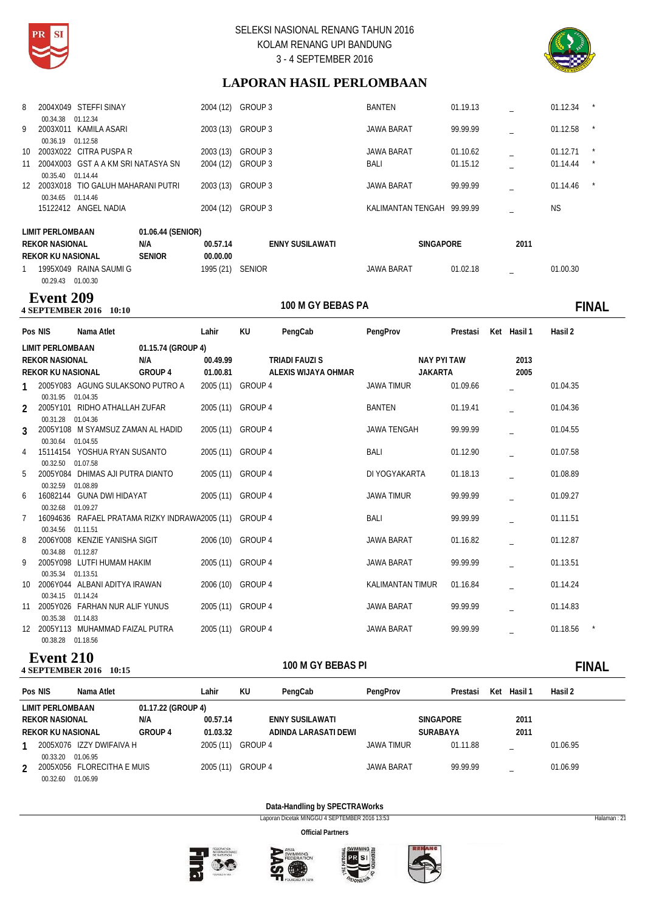



# **LAPORAN HASIL PERLOMBAAN**

| 8  | 2004X049 STEFFI SINAY                            |                   | 2004 (12) | GROUP 3                | <b>BANTEN</b>              | 01.19.13 |      | 01.12.34  | $\star$ |
|----|--------------------------------------------------|-------------------|-----------|------------------------|----------------------------|----------|------|-----------|---------|
| 9  | 01.12.34<br>00.34.38<br>KAMILA ASARI<br>2003X011 |                   | 2003 (13) | GROUP 3                | <b>JAWA BARAT</b>          | 99.99.99 |      | 01.12.58  | $\star$ |
|    | 00.36.19<br>01.12.58                             |                   |           |                        |                            |          |      |           |         |
| 10 | 2003X022 CITRA PUSPA R                           |                   | 2003(13)  | GROUP 3                | <b>JAWA BARAT</b>          | 01.10.62 |      | 01.12.71  |         |
| 11 | 2004X003 GST A A KM SRI NATASYA SN               |                   | 2004 (12) | GROUP 3                | BALI                       | 01.15.12 |      | 01.14.44  | $\star$ |
|    | 00.35.40 01.14.44                                |                   |           |                        |                            |          |      |           |         |
| 12 | 2003X018 TIO GALUH MAHARANI PUTRI                |                   | 2003 (13) | GROUP 3                | <b>JAWA BARAT</b>          | 99.99.99 |      | 01.14.46  |         |
|    | 01.14.46<br>00.34.65                             |                   |           |                        |                            |          |      |           |         |
|    | 15122412<br>ANGEL NADIA                          |                   | 2004 (12) | GROUP 3                | KALIMANTAN TENGAH 99.99.99 |          |      | <b>NS</b> |         |
|    |                                                  |                   |           |                        |                            |          |      |           |         |
|    | LIMIT PERLOMBAAN                                 | 01.06.44 (SENIOR) |           |                        |                            |          |      |           |         |
|    | <b>REKOR NASIONAL</b>                            | N/A               | 00.57.14  | <b>ENNY SUSILAWATI</b> | <b>SINGAPORE</b>           |          | 2011 |           |         |
|    | REKOR KU NASIONAL                                | <b>SENIOR</b>     | 00.00.00  |                        |                            |          |      |           |         |
|    | 1995X049<br>RAINA SAUMI G                        |                   | 1995 (21) | <b>SENIOR</b>          | <b>JAWA BARAT</b>          | 01.02.18 |      | 01.00.30  |         |
|    | 00.29.43 01.00.30                                |                   |           |                        |                            |          |      |           |         |

### **4 SEPTEMBER 2016** 10:10 **Event 209**

100 M GY BEBAS PA **FINAL** 

|                | Pos NIS                                | Nama Atlet                                             |                    | Lahir             | KU | PengCab             | PengProv                | Prestasi | Ket Hasil 1 | Hasil 2  |  |
|----------------|----------------------------------------|--------------------------------------------------------|--------------------|-------------------|----|---------------------|-------------------------|----------|-------------|----------|--|
|                | LIMIT PERLOMBAAN                       |                                                        | 01.15.74 (GROUP 4) |                   |    |                     |                         |          |             |          |  |
|                | <b>REKOR NASIONAL</b>                  |                                                        | N/A                | 00.49.99          |    | TRIADI FAUZI S      | NAY PYI TAW             |          | 2013        |          |  |
|                | <b>REKOR KU NASIONAL</b>               |                                                        | GROUP 4            | 01.00.81          |    | ALEXIS WIJAYA OHMAR | JAKARTA                 |          | 2005        |          |  |
|                |                                        | 1 2005Y083 AGUNG SULAKSONO PUTRO A                     |                    | 2005 (11) GROUP 4 |    |                     | <b>JAWA TIMUR</b>       | 01.09.66 |             | 01.04.35 |  |
|                | 00.31.95 01.04.35<br>00.31.28 01.04.36 | 2 2005Y101 RIDHO ATHALLAH ZUFAR                        |                    | 2005 (11) GROUP 4 |    |                     | BANTEN                  | 01.19.41 |             | 01.04.36 |  |
| $\mathcal{L}$  |                                        | 2005Y108 M SYAMSUZ ZAMAN AL HADID                      |                    | 2005 (11) GROUP 4 |    |                     | <b>JAWA TENGAH</b>      | 99.99.99 |             | 01.04.55 |  |
| $\overline{4}$ | 00.30.64 01.04.55<br>00.32.50 01.07.58 | 15114154 YOSHUA RYAN SUSANTO                           |                    | 2005 (11) GROUP 4 |    |                     | BALI                    | 01.12.90 |             | 01.07.58 |  |
| 5              | 00.32.59 01.08.89                      | 2005Y084 DHIMAS AJI PUTRA DIANTO                       |                    | 2005 (11) GROUP 4 |    |                     | DI YOGYAKARTA           | 01.18.13 |             | 01.08.89 |  |
| 6              |                                        | 16082144 GUNA DWI HIDAYAT                              |                    | 2005 (11) GROUP 4 |    |                     | <b>JAWA TIMUR</b>       | 99.99.99 |             | 01.09.27 |  |
| $7^{\circ}$    | 00.32.68 01.09.27<br>00.34.56 01.11.51 | 16094636 RAFAEL PRATAMA RIZKY INDRAWA2005 (11) GROUP 4 |                    |                   |    |                     | BALI                    | 99.99.99 |             | 01.11.51 |  |
| 8              | 00.34.88 01.12.87                      | 2006Y008 KENZIE YANISHA SIGIT                          |                    | 2006 (10) GROUP 4 |    |                     | <b>JAWA BARAT</b>       | 01.16.82 |             | 01.12.87 |  |
| 9              | 00.35.34                               | 2005Y098 LUTFI HUMAM HAKIM<br>01.13.51                 |                    | 2005 (11) GROUP 4 |    |                     | <b>JAWA BARAT</b>       | 99.99.99 |             | 01.13.51 |  |
| 10             |                                        | 2006Y044 ALBANI ADITYA IRAWAN                          |                    | 2006 (10) GROUP 4 |    |                     | <b>KALIMANTAN TIMUR</b> | 01.16.84 |             | 01.14.24 |  |
|                | 00.34.15 01.14.24                      | 11 2005Y026 FARHAN NUR ALIF YUNUS                      |                    | 2005 (11) GROUP 4 |    |                     | <b>JAWA BARAT</b>       | 99.99.99 |             | 01.14.83 |  |
|                | 00.35.38 01.14.83<br>00.38.28 01.18.56 | 12 2005Y113 MUHAMMAD FAIZAL PUTRA                      |                    | 2005 (11) GROUP 4 |    |                     | <b>JAWA BARAT</b>       | 99.99.99 |             | 01.18.56 |  |

# **100 M GEPTEMBER 2016** 10:15 **Event 210**

# **10:15 FINAL**

| Pos NIS |                          | Nama Atlet                                         |                    | ∟ahir     | KU      | PengCab                | PengProv   | Prestasi         | Ket | Hasil 1 | Hasil 2  |
|---------|--------------------------|----------------------------------------------------|--------------------|-----------|---------|------------------------|------------|------------------|-----|---------|----------|
|         | <b>LIMIT PERLOMBAAN</b>  |                                                    | 01.17.22 (GROUP 4) |           |         |                        |            |                  |     |         |          |
|         | <b>REKOR NASIONAL</b>    |                                                    | N/A                | 00.57.14  |         | <b>ENNY SUSILAWATI</b> |            | <b>SINGAPORE</b> |     | 2011    |          |
|         | <b>REKOR KU NASIONAL</b> |                                                    | <b>GROUP 4</b>     | 01.03.32  |         | ADINDA LARASATI DEWI   |            | <b>SURABAYA</b>  |     | 2011    |          |
|         |                          | 2005X076 IZZY DWIFAIVA H                           |                    | 2005 (11) | GROUP 4 |                        | JAWA TIMUR | 01.11.88         |     | -       | 01.06.95 |
|         | 00.33.20<br>00.32.60     | 01.06.95<br>2005X056 FLORECITHA E MUIS<br>01.06.99 |                    | 2005 (11) | GROUP 4 |                        | JAWA BARAT | 99.99.99         |     | -       | 01.06.99 |

### **Data-Handling by SPECTRAWorks**

Laporan Dicetak MINGGU 4 SEPTEMBER 2016 13:53 Halaman : 21









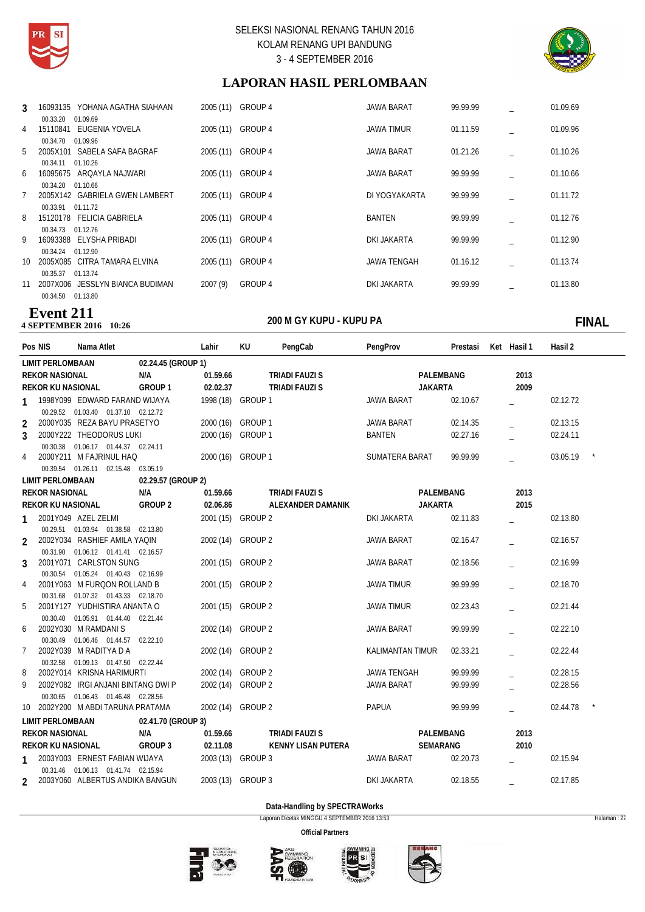



# **LAPORAN HASIL PERLOMBAAN**

| 3  | 00.33.20          | 16093135 YOHANA AGATHA SIAHAAN<br>01.09.69 | 2005 (11)         | GROUP 4 | JAWA BARAT         | 99.99.99 | 01.09.69 |
|----|-------------------|--------------------------------------------|-------------------|---------|--------------------|----------|----------|
| 4  | 15110841          | EUGENIA YOVELA                             | 2005 (11)         | GROUP 4 | JAWA TIMUR         | 01.11.59 | 01.09.96 |
| 5  | 00.34.70          | 01.09.96<br>2005X101 SABELA SAFA BAGRAF    | 2005 (11) GROUP 4 |         | JAWA BARAT         | 01.21.26 | 01.10.26 |
| 6  | 00.34.11 01.10.26 | 16095675 ARQAYLA NAJWARI                   | 2005 (11) GROUP 4 |         | JAWA BARAT         | 99.99.99 | 01.10.66 |
|    | 00.34.20 01.10.66 | 2005X142 GABRIELA GWEN LAMBERT             | 2005 (11)         | GROUP 4 | DI YOGYAKARTA      | 99.99.99 | 01.11.72 |
|    | 00.33.91          | 01.11.72                                   |                   |         |                    |          |          |
| 8  | 00.34.73          | 15120178 FELICIA GABRIELA<br>01.12.76      | 2005 (11)         | GROUP 4 | BANTEN             | 99.99.99 | 01.12.76 |
| 9  | 00.34.24          | 16093388 ELYSHA PRIBADI<br>01.12.90        | 2005 (11)         | GROUP 4 | DKI JAKARTA        | 99.99.99 | 01.12.90 |
| 10 | 00.35.37          | 2005X085 CITRA TAMARA ELVINA<br>01.13.74   | 2005 (11)         | GROUP 4 | <b>JAWA TENGAH</b> | 01.16.12 | 01.13.74 |
| 11 |                   | 2007X006 JESSLYN BIANCA BUDIMAN            | 2007 (9)          | GROUP 4 | DKI JAKARTA        | 99.99.99 | 01.13.80 |
|    | 00.34.50          | 01.13.80                                   |                   |         |                    |          |          |

### **2016** 4 SEPTEMBER 2016 10:26 **Event 211**

**10:26 FINAL**

| Pos NIS                  | Nama Atlet                                                            |                    | Lahir             | KU                 | PengCab                   | PengProv                | Prestasi  | Ket Hasil 1 | Hasil 2  |  |
|--------------------------|-----------------------------------------------------------------------|--------------------|-------------------|--------------------|---------------------------|-------------------------|-----------|-------------|----------|--|
| <b>LIMIT PERLOMBAAN</b>  |                                                                       | 02.24.45 (GROUP 1) |                   |                    |                           |                         |           |             |          |  |
| <b>REKOR NASIONAL</b>    |                                                                       | N/A                | 01.59.66          |                    | <b>TRIADI FAUZI S</b>     |                         | PALEMBANG | 2013        |          |  |
| REKOR KU NASIONAL        |                                                                       | GROUP <sub>1</sub> | 02.02.37          |                    | <b>TRIADI FAUZI S</b>     | <b>JAKARTA</b>          |           | 2009        |          |  |
| 1                        | 1998Y099 EDWARD FARAND WIJAYA                                         |                    | 1998 (18) GROUP 1 |                    |                           | <b>JAWA BARAT</b>       | 02.10.67  |             | 02.12.72 |  |
|                          | 00.29.52  01.03.40  01.37.10  02.12.72                                |                    |                   |                    |                           |                         |           |             |          |  |
| $\overline{2}$           | 2000Y035 REZA BAYU PRASETYO                                           |                    | 2000 (16) GROUP 1 |                    |                           | <b>JAWA BARAT</b>       | 02.14.35  |             | 02.13.15 |  |
| 3                        | 2000Y222 THEODORUS LUKI                                               |                    | 2000 (16) GROUP 1 |                    |                           | <b>BANTEN</b>           | 02.27.16  |             | 02.24.11 |  |
|                          | 00.30.38  01.06.17  01.44.37  02.24.11                                |                    |                   |                    |                           |                         |           |             |          |  |
| 4                        | 2000Y211 M FAJRINUL HAQ                                               |                    | 2000 (16) GROUP 1 |                    |                           | SUMATERA BARAT          | 99.99.99  |             | 03.05.19 |  |
|                          | 00.39.54  01.26.11  02.15.48  03.05.19                                |                    |                   |                    |                           |                         |           |             |          |  |
| <b>LIMIT PERLOMBAAN</b>  |                                                                       | 02.29.57 (GROUP 2) |                   |                    |                           |                         |           |             |          |  |
| <b>REKOR NASIONAL</b>    |                                                                       | N/A                | 01.59.66          |                    | <b>TRIADI FAUZI S</b>     |                         | PALEMBANG | 2013        |          |  |
| <b>REKOR KU NASIONAL</b> |                                                                       | <b>GROUP 2</b>     | 02.06.86          |                    | ALEXANDER DAMANIK         | <b>JAKARTA</b>          |           | 2015        |          |  |
|                          | 2001Y049 AZEL ZELMI                                                   |                    | 2001 (15) GROUP 2 |                    |                           | <b>DKI JAKARTA</b>      | 02.11.83  |             | 02.13.80 |  |
|                          | 00.29.51  01.03.94  01.38.58  02.13.80                                |                    |                   |                    |                           |                         |           |             |          |  |
| $\overline{2}$           | 2002Y034 RASHIEF AMILA YAQIN                                          |                    | 2002 (14) GROUP 2 |                    |                           | <b>JAWA BARAT</b>       | 02.16.47  |             | 02.16.57 |  |
|                          | 00.31.90  01.06.12  01.41.41  02.16.57                                |                    |                   |                    |                           |                         |           |             |          |  |
| 3                        | 2001Y071 CARLSTON SUNG                                                |                    | 2001 (15) GROUP 2 |                    |                           | <b>JAWA BARAT</b>       | 02.18.56  |             | 02.16.99 |  |
|                          | 00.30.54  01.05.24  01.40.43  02.16.99                                |                    |                   |                    |                           |                         |           |             |          |  |
| 4                        | 2001Y063 M FURQON ROLLAND B<br>00.31.68  01.07.32  01.43.33  02.18.70 |                    | 2001 (15)         | GROUP 2            |                           | <b>JAWA TIMUR</b>       | 99.99.99  |             | 02.18.70 |  |
| 5                        | 2001Y127 YUDHISTIRA ANANTA O                                          |                    | 2001 (15)         | GROUP <sub>2</sub> |                           | <b>JAWA TIMUR</b>       | 02.23.43  |             | 02.21.44 |  |
|                          | 00.30.40  01.05.91  01.44.40  02.21.44                                |                    |                   |                    |                           |                         |           |             |          |  |
| 6                        | 2002Y030 M RAMDANIS                                                   |                    | 2002 (14) GROUP 2 |                    |                           | <b>JAWA BARAT</b>       | 99.99.99  |             | 02.22.10 |  |
|                          | 00.30.49  01.06.46  01.44.57  02.22.10                                |                    |                   |                    |                           |                         |           |             |          |  |
| 7                        | 2002Y039 M RADITYA D A                                                |                    | 2002 (14) GROUP 2 |                    |                           | <b>KALIMANTAN TIMUR</b> | 02.33.21  |             | 02.22.44 |  |
|                          | 00.32.58 01.09.13 01.47.50 02.22.44                                   |                    |                   |                    |                           |                         |           |             |          |  |
| 8                        | 2002Y014 KRISNA HARIMURTI                                             |                    | 2002 (14)         | GROUP 2            |                           | <b>JAWA TENGAH</b>      | 99.99.99  |             | 02.28.15 |  |
| 9                        | 2002Y082 IRGI ANJANI BINTANG DWI P                                    |                    | 2002 (14) GROUP 2 |                    |                           | <b>JAWA BARAT</b>       | 99.99.99  |             | 02.28.56 |  |
|                          | 00.30.65  01.06.43  01.46.48  02.28.56                                |                    |                   |                    |                           |                         |           |             |          |  |
|                          | 10 2002Y200 M ABDI TARUNA PRATAMA                                     |                    | 2002 (14) GROUP 2 |                    |                           | PAPUA                   | 99.99.99  |             | 02.44.78 |  |
| <b>LIMIT PERLOMBAAN</b>  |                                                                       | 02.41.70 (GROUP 3) |                   |                    |                           |                         |           |             |          |  |
| <b>REKOR NASIONAL</b>    |                                                                       | N/A                | 01.59.66          |                    | TRIADI FAUZI S            |                         | PALEMBANG | 2013        |          |  |
| <b>REKOR KU NASIONAL</b> |                                                                       | GROUP 3            | 02.11.08          |                    | <b>KENNY LISAN PUTERA</b> |                         | SEMARANG  | 2010        |          |  |
| 1                        | 2003Y003 ERNEST FABIAN WIJAYA                                         |                    | 2003 (13) GROUP 3 |                    |                           | <b>JAWA BARAT</b>       | 02.20.73  |             | 02.15.94 |  |
|                          | 00.31.46 01.06.13 01.41.74 02.15.94                                   |                    |                   |                    |                           |                         |           |             |          |  |
| $\mathcal{P}$            | 2003Y060 ALBERTUS ANDIKA BANGUN                                       |                    | 2003 (13) GROUP 3 |                    |                           | <b>DKI JAKARTA</b>      | 02.18.55  |             | 02.17.85 |  |
|                          |                                                                       |                    |                   |                    |                           |                         |           |             |          |  |

**Data-Handling by SPECTRAWorks**

Laporan Dicetak MINGGU 4 SEPTEMBER 2016 13:53 Halaman : 22







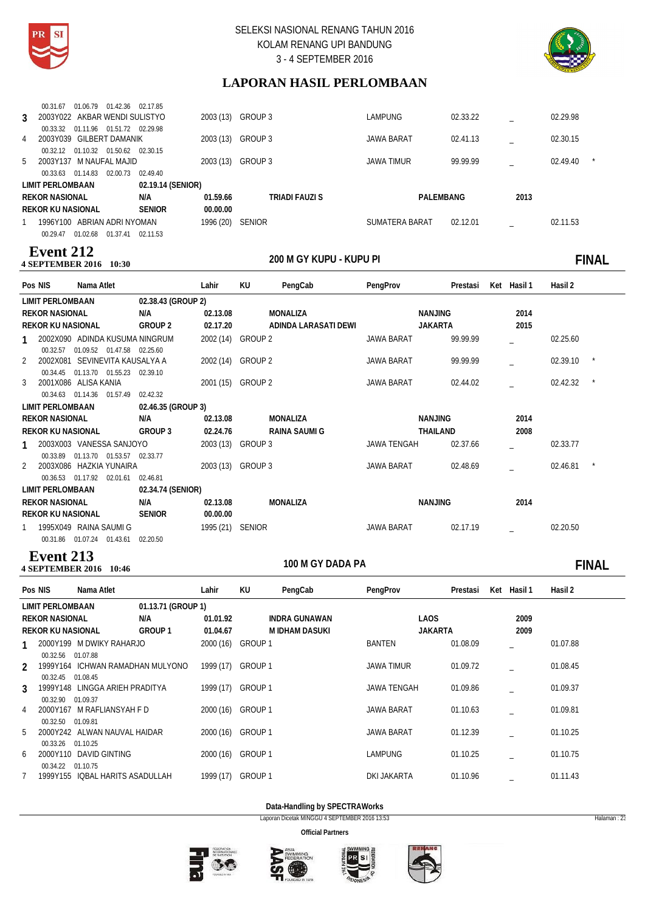



# **LAPORAN HASIL PERLOMBAAN**

| 3 | 00.31.67<br>2003Y022 AKBAR WENDI SULISTYO<br>00.33.32 | 01.06.79 01.42.36    | 01.11.96 01.51.72 02.29.98 | 02.17.85             | 2003 (13) | GROUP 3        | <b>LAMPUNG</b>        | 02.33.22 |      | 02.29.98 |         |
|---|-------------------------------------------------------|----------------------|----------------------------|----------------------|-----------|----------------|-----------------------|----------|------|----------|---------|
| 4 | 2003Y039 GILBERT DAMANIK                              |                      |                            |                      | 2003 (13) | GROUP 3        | <b>JAWA BARAT</b>     | 02.41.13 |      | 02.30.15 |         |
|   | 00.32.12<br>5 2003Y137 M NAUFAL MAJID<br>00.33.63     | 01.10.32<br>01.14.83 | 01.50.62<br>02.00.73       | 02.30.15<br>02.49.40 | 2003 (13) | GROUP 3        | <b>JAWA TIMUR</b>     | 99.99.99 |      | 02.49.40 | $\star$ |
|   | LIMIT PERLOMBAAN                                      |                      |                            | 02.19.14 (SENIOR)    |           |                |                       |          |      |          |         |
|   | <b>REKOR NASIONAL</b>                                 |                      |                            | N/A                  | 01.59.66  | TRIADI FAUZI S | PALEMBANG             |          | 2013 |          |         |
|   | <b>REKOR KU NASIONAL</b>                              |                      |                            | <b>SENIOR</b>        | 00.00.00  |                |                       |          |      |          |         |
|   | 1996Y100 ABRIAN ADRI NYOMAN<br>00.29.47               | 01.02.68             | 01.37.41                   | 02.11.53             | 1996 (20) | <b>SENIOR</b>  | <b>SUMATERA BARAT</b> | 02.12.01 |      | 02.11.53 |         |

### **200 M GHE FIRE AND FIRE 2016** 10:30 **Event 212**

# **10:30 FINAL**

| Pos NIS                  | Nama Atlet                     |                    | Lahir             | KU | PengCab              | PengProv    | Prestasi       | Ket Hasil 1 | Hasil 2  |  |
|--------------------------|--------------------------------|--------------------|-------------------|----|----------------------|-------------|----------------|-------------|----------|--|
| <b>LIMIT PERLOMBAAN</b>  |                                | 02.38.43 (GROUP 2) |                   |    |                      |             |                |             |          |  |
| <b>REKOR NASIONAL</b>    |                                | N/A                | 02.13.08          |    | MONALIZA             |             | NANJING        | 2014        |          |  |
| <b>REKOR KU NASIONAL</b> |                                | GROUP 2            | 02.17.20          |    | ADINDA LARASATI DEWI |             | <b>JAKARTA</b> | 2015        |          |  |
|                          | 2002X090 ADINDA KUSUMA NINGRUM |                    | 2002 (14) GROUP 2 |    |                      | JAWA BARAT  | 99.99.99       |             | 02.25.60 |  |
| 00.32.57                 | 01.09.52 01.47.58              | 02.25.60           |                   |    |                      |             |                |             |          |  |
| 2002X081<br>2            | SEVINEVITA KAUSALYA A          |                    | 2002 (14) GROUP 2 |    |                      | JAWA BARAT  | 99.99.99       |             | 02.39.10 |  |
| 00.34.45                 | 01.13.70 01.55.23              | 02.39.10           |                   |    |                      |             |                |             |          |  |
| 3                        | 2001X086 ALISA KANIA           |                    | 2001 (15) GROUP 2 |    |                      | JAWA BARAT  | 02.44.02       |             | 02.42.32 |  |
|                          | 00.34.63 01.14.36 01.57.49     | 02.42.32           |                   |    |                      |             |                |             |          |  |
| LIMIT PERLOMBAAN         |                                | 02.46.35 (GROUP 3) |                   |    |                      |             |                |             |          |  |
| <b>REKOR NASIONAL</b>    |                                | N/A                | 02.13.08          |    | MONALIZA             |             | NANJING        | 2014        |          |  |
| <b>REKOR KU NASIONAL</b> |                                | GROUP 3            | 02.24.76          |    | RAINA SAUMI G        |             | THAILAND       | 2008        |          |  |
|                          | 2003X003 VANESSA SANJOYO       |                    | 2003 (13) GROUP 3 |    |                      | JAWA TENGAH | 02.37.66       |             | 02.33.77 |  |
| 00.33.89                 | 01.13.70 01.53.57              | 02.33.77           |                   |    |                      |             |                |             |          |  |
|                          | 2003X086 HAZKIA YUNAIRA        |                    | 2003 (13) GROUP 3 |    |                      | JAWA BARAT  | 02.48.69       |             | 02.46.81 |  |
|                          | 00.36.53 01.17.92 02.01.61     | 02.46.81           |                   |    |                      |             |                |             |          |  |
| LIMIT PERLOMBAAN         |                                | 02.34.74 (SENIOR)  |                   |    |                      |             |                |             |          |  |
| <b>REKOR NASIONAL</b>    |                                | N/A                | 02.13.08          |    | MONALIZA             |             | NANJING        | 2014        |          |  |
| <b>REKOR KU NASIONAL</b> |                                | <b>SENIOR</b>      | 00.00.00          |    |                      |             |                |             |          |  |
|                          | 1995X049 RAINA SAUMI G         |                    | 1995 (21) SENIOR  |    |                      | JAWA BARAT  | 02.17.19       |             | 02.20.50 |  |
|                          | 00.31.86 01.07.24 01.43.61     | 02.20.50           |                   |    |                      |             |                |             |          |  |

### **4 SEPTEMBER 2016** 10:46 **Event 213**

# 100 M GY DADA PA **FINAL**

| Pos NIS                    | Nama Atlet                                   |                    | Lahir     | KU             | PengCab              | PengProv           | Prestasi | Ket | Hasil 1 | Hasil 2  |
|----------------------------|----------------------------------------------|--------------------|-----------|----------------|----------------------|--------------------|----------|-----|---------|----------|
| LIMIT PERLOMBAAN           |                                              | 01.13.71 (GROUP 1) |           |                |                      |                    |          |     |         |          |
| <b>REKOR NASIONAL</b>      |                                              | N/A                | 01.01.92  |                | <b>INDRA GUNAWAN</b> | LAOS               |          |     | 2009    |          |
| <b>REKOR KU NASIONAL</b>   |                                              | GROUP <sub>1</sub> | 01.04.67  |                | M IDHAM DASUKI       | <b>JAKARTA</b>     |          |     | 2009    |          |
|                            | 2000Y199 M DWIKY RAHARJO                     |                    | 2000 (16) | <b>GROUP 1</b> |                      | <b>BANTEN</b>      | 01.08.09 |     |         | 01.07.88 |
| 00.32.56<br>$\mathfrak{D}$ | 01.07.88<br>1999Y164 ICHWAN RAMADHAN MULYONO |                    | 1999 (17) | <b>GROUP 1</b> |                      | <b>JAWA TIMUR</b>  | 01.09.72 |     |         | 01.08.45 |
| 00.32.45<br>3              | 01.08.45<br>1999Y148 LINGGA ARIEH PRADITYA   |                    | 1999 (17) | GROUP 1        |                      | <b>JAWA TENGAH</b> | 01.09.86 |     |         | 01.09.37 |
| 00.32.90<br>4              | 01.09.37<br>2000Y167 M RAFLIANSYAH F D       |                    | 2000 (16) | GROUP 1        |                      | <b>JAWA BARAT</b>  | 01.10.63 |     |         | 01.09.81 |
| 00.32.50<br>5              | 01.09.81<br>2000Y242 ALWAN NAUVAL HAIDAR     |                    | 2000 (16) | GROUP 1        |                      | <b>JAWA BARAT</b>  | 01.12.39 |     |         | 01.10.25 |
| 00.33.26<br>6              | 01.10.25<br>2000Y110 DAVID GINTING           |                    | 2000 (16) | <b>GROUP 1</b> |                      | <b>LAMPUNG</b>     | 01.10.25 |     |         | 01.10.75 |
| 00.34.22<br>1999Y155       | 01.10.75<br>IQBAL HARITS ASADULLAH           |                    | 1999 (17) | <b>GROUP1</b>  |                      | DKI JAKARTA        | 01.10.96 |     |         | 01.11.43 |

### **Data-Handling by SPECTRAWorks**

Laporan Dicetak MINGGU 4 SEPTEMBER 2016 13:53 Halaman : 23







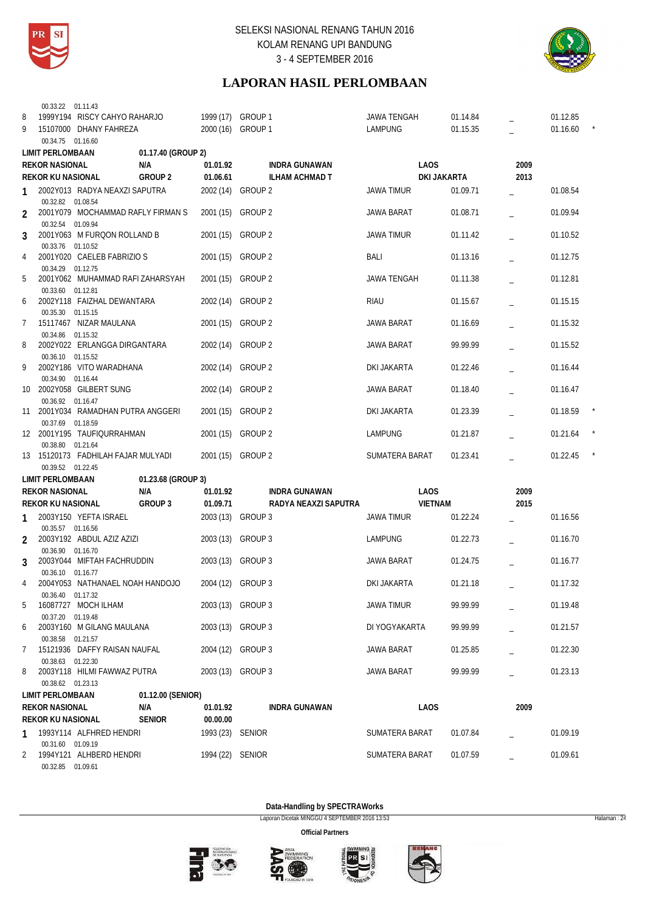



# **LAPORAN HASIL PERLOMBAAN**

|    | 00.33.22 01.11.43        |                                    |                    |                   |                    |                       |                    |             |      |          |  |
|----|--------------------------|------------------------------------|--------------------|-------------------|--------------------|-----------------------|--------------------|-------------|------|----------|--|
| 8  |                          | 1999Y194 RISCY CAHYO RAHARJO       |                    | 1999 (17) GROUP 1 |                    |                       | <b>JAWA TENGAH</b> | 01.14.84    |      | 01.12.85 |  |
| 9  |                          | 15107000 DHANY FAHREZA             |                    | 2000 (16) GROUP 1 |                    |                       | <b>LAMPUNG</b>     | 01.15.35    |      | 01.16.60 |  |
|    | 00.34.75 01.16.60        |                                    |                    |                   |                    |                       |                    |             |      |          |  |
|    | <b>LIMIT PERLOMBAAN</b>  |                                    | 01.17.40 (GROUP 2) |                   |                    |                       |                    |             |      |          |  |
|    | <b>REKOR NASIONAL</b>    |                                    | N/A                | 01.01.92          |                    | <b>INDRA GUNAWAN</b>  | <b>LAOS</b>        |             | 2009 |          |  |
|    |                          |                                    |                    |                   |                    |                       |                    |             |      |          |  |
|    | <b>REKOR KU NASIONAL</b> |                                    | <b>GROUP 2</b>     | 01.06.61          |                    | <b>ILHAM ACHMAD T</b> |                    | DKI JAKARTA | 2013 |          |  |
| 1  | 00.32.82 01.08.54        | 2002Y013 RADYA NEAXZI SAPUTRA      |                    | 2002 (14)         | GROUP 2            |                       | <b>JAWA TIMUR</b>  | 01.09.71    |      | 01.08.54 |  |
| 2  |                          | 2001Y079 MOCHAMMAD RAFLY FIRMAN S  |                    | 2001 (15)         | GROUP 2            |                       | <b>JAWA BARAT</b>  | 01.08.71    |      | 01.09.94 |  |
| 3  | 00.32.54 01.09.94        | 2001Y063 M FURQON ROLLAND B        |                    | 2001(15)          | <b>GROUP 2</b>     |                       | <b>JAWA TIMUR</b>  | 01.11.42    |      | 01.10.52 |  |
| 4  | 00.33.76 01.10.52        | 2001Y020 CAELEB FABRIZIO S         |                    | 2001 (15)         | GROUP <sub>2</sub> |                       | BALI               | 01.13.16    |      | 01.12.75 |  |
| 5  | 00.34.29 01.12.75        | 2001Y062 MUHAMMAD RAFI ZAHARSYAH   |                    | 2001 (15)         | <b>GROUP 2</b>     |                       | JAWA TENGAH        | 01.11.38    |      | 01.12.81 |  |
| 6  | 00.33.60 01.12.81        | 2002Y118 FAIZHAL DEWANTARA         |                    | 2002 (14)         | GROUP 2            |                       | <b>RIAU</b>        | 01.15.67    |      | 01.15.15 |  |
| 7  | 00.35.30 01.15.15        | 15117467 NIZAR MAULANA             |                    | 2001 (15)         | GROUP 2            |                       | JAWA BARAT         | 01.16.69    |      | 01.15.32 |  |
| 8  | 00.34.86 01.15.32        | 2002Y022 ERLANGGA DIRGANTARA       |                    | 2002 (14)         | <b>GROUP 2</b>     |                       | <b>JAWA BARAT</b>  | 99.99.99    |      | 01.15.52 |  |
| 9  | 00.36.10 01.15.52        | 2002Y186 VITO WARADHANA            |                    | 2002 (14)         | GROUP 2            |                       | DKI JAKARTA        | 01.22.46    |      | 01.16.44 |  |
| 10 | 00.34.90 01.16.44        | 2002Y058 GILBERT SUNG              |                    | 2002 (14)         | <b>GROUP 2</b>     |                       | JAWA BARAT         | 01.18.40    |      | 01.16.47 |  |
|    | 00.36.92 01.16.47        | 11 2001Y034 RAMADHAN PUTRA ANGGERI |                    | 2001(15)          | GROUP 2            |                       | DKI JAKARTA        | 01.23.39    |      | 01.18.59 |  |
|    | 00.37.69 01.18.59        | 12 2001Y195 TAUFIQURRAHMAN         |                    | 2001 (15)         | <b>GROUP 2</b>     |                       | LAMPUNG            | 01.21.87    |      | 01.21.64 |  |
|    | 00.38.80 01.21.64        | 13 15120173 FADHILAH FAJAR MULYADI |                    | 2001 (15)         | GROUP 2            |                       | SUMATERA BARAT     | 01.23.41    |      | 01.22.45 |  |
|    | 00.39.52 01.22.45        |                                    |                    |                   |                    |                       |                    |             |      |          |  |
|    | <b>LIMIT PERLOMBAAN</b>  |                                    | 01.23.68 (GROUP 3) |                   |                    |                       |                    |             |      |          |  |
|    | <b>REKOR NASIONAL</b>    |                                    | N/A                | 01.01.92          |                    | <b>INDRA GUNAWAN</b>  | <b>LAOS</b>        |             | 2009 |          |  |
|    | <b>REKOR KU NASIONAL</b> |                                    | GROUP 3            | 01.09.71          |                    | RADYA NEAXZI SAPUTRA  | <b>VIETNAM</b>     |             | 2015 |          |  |
|    |                          |                                    |                    |                   |                    |                       |                    |             |      |          |  |
| 1  | 00.35.57 01.16.56        | 2003Y150 YEFTA ISRAEL              |                    | 2003 (13) GROUP 3 |                    |                       | JAWA TIMUR         | 01.22.24    |      | 01.16.56 |  |
| 2  | 00.36.90 01.16.70        | 2003Y192 ABDUL AZIZ AZIZI          |                    | 2003 (13)         | GROUP 3            |                       | LAMPUNG            | 01.22.73    |      | 01.16.70 |  |
| 3  | 00.36.10 01.16.77        | 2003Y044 MIFTAH FACHRUDDIN         |                    | 2003 (13)         | GROUP 3            |                       | JAWA BARAT         | 01.24.75    |      | 01.16.77 |  |
| 4  |                          | 2004Y053 NATHANAEL NOAH HANDOJO    |                    | 2004 (12) GROUP 3 |                    |                       | DKI JAKARTA        | 01.21.18    |      | 01.17.32 |  |
| 5  | 00.36.40 01.17.32        | 16087727 MOCH ILHAM                |                    | 2003 (13) GROUP 3 |                    |                       | <b>JAWA TIMUR</b>  | 99.99.99    |      | 01.19.48 |  |
| 6  | 00.37.20 01.19.48        | 2003Y160 M GILANG MAULANA          |                    | 2003 (13) GROUP 3 |                    |                       | DI YOGYAKARTA      | 99.99.99    |      | 01.21.57 |  |
| 7  | 00.38.58 01.21.57        | 15121936 DAFFY RAISAN NAUFAL       |                    | 2004 (12) GROUP 3 |                    |                       | JAWA BARAT         | 01.25.85    |      | 01.22.30 |  |
| 8  | 00.38.63 01.22.30        | 2003Y118 HILMI FAWWAZ PUTRA        |                    | 2003 (13) GROUP 3 |                    |                       | <b>JAWA BARAT</b>  | 99.99.99    |      | 01.23.13 |  |
|    | 00.38.62 01.23.13        |                                    |                    |                   |                    |                       |                    |             |      |          |  |
|    | <b>LIMIT PERLOMBAAN</b>  |                                    | 01.12.00 (SENIOR)  |                   |                    |                       |                    |             |      |          |  |
|    | <b>REKOR NASIONAL</b>    |                                    | N/A                | 01.01.92          |                    | INDRA GUNAWAN         | LAOS               |             | 2009 |          |  |
|    | REKOR KU NASIONAL        |                                    | <b>SENIOR</b>      | 00.00.00          |                    |                       |                    |             |      |          |  |
| 1  | 00.31.60 01.09.19        | 1993Y114 ALFHRED HENDRI            |                    | 1993 (23) SENIOR  |                    |                       | SUMATERA BARAT     | 01.07.84    |      | 01.09.19 |  |
| 2  |                          | 1994Y121 ALHBERD HENDRI            |                    | 1994 (22) SENIOR  |                    |                       | SUMATERA BARAT     | 01.07.59    |      | 01.09.61 |  |
|    | 00.32.85 01.09.61        |                                    |                    |                   |                    |                       |                    |             |      |          |  |

**Data-Handling by SPECTRAWorks**

Laporan Dicetak MINGGU 4 SEPTEMBER 2016 13:53 Halaman : 24







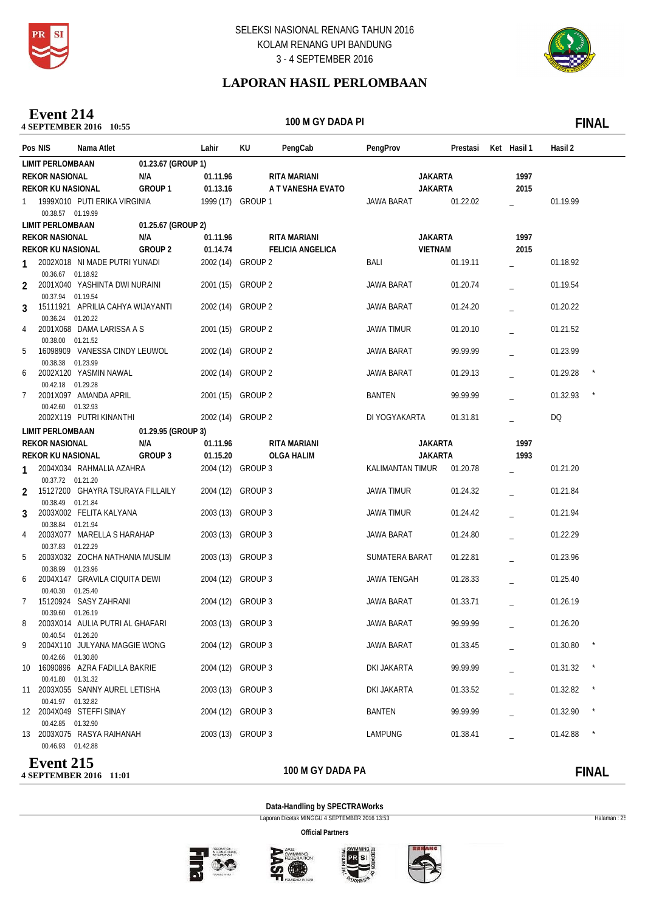

**4 SEPTEMBER 2016** 11:01

# SELEKSI NASIONAL RENANG TAHUN 2016 KOLAM RENANG UPI BANDUNG 3 - 4 SEPTEMBER 2016



# **LAPORAN HASIL PERLOMBAAN**

**10:55**<br>**10:55 Event 214**

100 M GY DADA PI **I 100 M** GY DADA PI **I** 

| Pos NIS                  | Nama Atlet                       |                    | Lahir             | KU      | PengCab                 | PengProv           | Prestasi Ket Hasil 1 |      | Hasil 2  |              |
|--------------------------|----------------------------------|--------------------|-------------------|---------|-------------------------|--------------------|----------------------|------|----------|--------------|
| <b>LIMIT PERLOMBAAN</b>  |                                  | 01.23.67 (GROUP 1) |                   |         |                         |                    |                      |      |          |              |
| <b>REKOR NASIONAL</b>    |                                  | N/A                | 01.11.96          |         | RITA MARIANI            | <b>JAKARTA</b>     |                      | 1997 |          |              |
| <b>REKOR KU NASIONAL</b> |                                  | GROUP <sub>1</sub> | 01.13.16          |         | A T VANESHA EVATO       | <b>JAKARTA</b>     |                      | 2015 |          |              |
| 1                        | 1999X010 PUTI ERIKA VIRGINIA     |                    | 1999 (17) GROUP 1 |         |                         | JAWA BARAT         | 01.22.02             |      | 01.19.99 |              |
| 00.38.57 01.19.99        |                                  |                    |                   |         |                         |                    |                      |      |          |              |
| <b>LIMIT PERLOMBAAN</b>  |                                  | 01.25.67 (GROUP 2) |                   |         |                         |                    |                      |      |          |              |
| <b>REKOR NASIONAL</b>    |                                  | N/A                | 01.11.96          |         | RITA MARIANI            | <b>JAKARTA</b>     |                      | 1997 |          |              |
| <b>REKOR KU NASIONAL</b> |                                  | GROUP 2            | 01.14.74          |         | <b>FELICIA ANGELICA</b> | <b>VIETNAM</b>     |                      | 2015 |          |              |
| 1                        | 2002X018 NI MADE PUTRI YUNADI    |                    | 2002 (14) GROUP 2 |         |                         | BALI               | 01.19.11             |      | 01.18.92 |              |
| 00.36.67 01.18.92        |                                  |                    |                   |         |                         |                    |                      |      |          |              |
| 2<br>00.37.94 01.19.54   | 2001X040 YASHINTA DWI NURAINI    |                    | 2001 (15) GROUP 2 |         |                         | <b>JAWA BARAT</b>  | 01.20.74             |      | 01.19.54 |              |
| 3                        | 15111921 APRILIA CAHYA WIJAYANTI |                    | 2002 (14) GROUP 2 |         |                         | JAWA BARAT         | 01.24.20             |      | 01.20.22 |              |
| 00.36.24 01.20.22        |                                  |                    |                   |         |                         |                    |                      |      |          |              |
| 4<br>00.38.00 01.21.52   | 2001X068 DAMA LARISSA A S        |                    | 2001 (15) GROUP 2 |         |                         | <b>JAWA TIMUR</b>  | 01.20.10             |      | 01.21.52 |              |
| 5<br>00.38.38 01.23.99   | 16098909 VANESSA CINDY LEUWOL    |                    | 2002 (14) GROUP 2 |         |                         | JAWA BARAT         | 99.99.99             |      | 01.23.99 |              |
| 6                        | 2002X120 YASMIN NAWAL            |                    | 2002 (14) GROUP 2 |         |                         | JAWA BARAT         | 01.29.13             |      | 01.29.28 |              |
| 00.42.18 01.29.28<br>7   | 2001X097 AMANDA APRIL            |                    | 2001 (15) GROUP 2 |         |                         | <b>BANTEN</b>      | 99.99.99             |      | 01.32.93 |              |
| 00.42.60 01.32.93        | 2002X119 PUTRI KINANTHI          |                    | 2002 (14) GROUP 2 |         |                         | DI YOGYAKARTA      | 01.31.81             |      | DQ       |              |
| LIMIT PERLOMBAAN         |                                  | 01.29.95 (GROUP 3) |                   |         |                         |                    |                      |      |          |              |
| <b>REKOR NASIONAL</b>    |                                  | N/A                | 01.11.96          |         | <b>RITA MARIANI</b>     | <b>JAKARTA</b>     |                      | 1997 |          |              |
| <b>REKOR KU NASIONAL</b> |                                  | GROUP 3            | 01.15.20          |         | <b>OLGA HALIM</b>       | <b>JAKARTA</b>     |                      | 1993 |          |              |
|                          | 2004X034 RAHMALIA AZAHRA         |                    | 2004 (12) GROUP 3 |         |                         | KALIMANTAN TIMUR   | 01.20.78             |      | 01.21.20 |              |
| 00.37.72 01.21.20<br>2   | 15127200 GHAYRA TSURAYA FILLAILY |                    | 2004 (12) GROUP 3 |         |                         | <b>JAWA TIMUR</b>  | 01.24.32             |      | 01.21.84 |              |
| 00.38.49 01.21.84        |                                  |                    |                   |         |                         |                    |                      |      |          |              |
| 3<br>00.38.84 01.21.94   | 2003X002 FELITA KALYANA          |                    | 2003 (13) GROUP 3 |         |                         | <b>JAWA TIMUR</b>  | 01.24.42             |      | 01.21.94 |              |
| 4                        | 2003X077 MARELLA S HARAHAP       |                    | 2003 (13) GROUP 3 |         |                         | JAWA BARAT         | 01.24.80             |      | 01.22.29 |              |
| 00.37.83 01.22.29<br>5   | 2003X032 ZOCHA NATHANIA MUSLIM   |                    | 2003 (13) GROUP 3 |         |                         | SUMATERA BARAT     | 01.22.81             |      | 01.23.96 |              |
| 00.38.99 01.23.96<br>6   | 2004X147 GRAVILA CIQUITA DEWI    |                    | 2004 (12)         | GROUP 3 |                         | <b>JAWA TENGAH</b> | 01.28.33             |      | 01.25.40 |              |
| 00.40.30 01.25.40<br>7   | 15120924 SASY ZAHRANI            |                    | 2004 (12) GROUP 3 |         |                         | <b>JAWA BARAT</b>  | 01.33.71             |      | 01.26.19 |              |
| 00.39.60 01.26.19        |                                  |                    |                   |         |                         |                    |                      |      |          |              |
| 8<br>00.40.54 01.26.20   | 2003X014 AULIA PUTRI AL GHAFARI  |                    | 2003 (13) GROUP 3 |         |                         | JAWA BARAT         | 99.99.99             |      | 01.26.20 |              |
| 9                        | 2004X110 JULYANA MAGGIE WONG     |                    | 2004 (12) GROUP 3 |         |                         | JAWA BARAT         | 01.33.45             |      | 01.30.80 |              |
| 00.42.66 01.30.80        | 10 16090896 AZRA FADILLA BAKRIE  |                    | 2004 (12) GROUP 3 |         |                         | DKI JAKARTA        | 99.99.99             |      | 01.31.32 |              |
| 00.41.80 01.31.32        | 11 2003X055 SANNY AUREL LETISHA  |                    | 2003 (13) GROUP 3 |         |                         | DKI JAKARTA        | 01.33.52             |      | 01.32.82 |              |
| 00.41.97 01.32.82        | 12 2004X049 STEFFI SINAY         |                    | 2004 (12) GROUP 3 |         |                         | BANTEN             | 99.99.99             |      | 01.32.90 |              |
| 00.42.85 01.32.90        | 13 2003X075 RASYA RAIHANAH       |                    | 2003 (13) GROUP 3 |         |                         | LAMPUNG            | 01.38.41             |      | 01.42.88 | $\star$      |
| 00.46.93 01.42.88        |                                  |                    |                   |         |                         |                    |                      |      |          |              |
| <b>Event 215</b>         |                                  |                    |                   |         | ,,,,,,,,,,,,            |                    |                      |      |          | <b>FINIA</b> |

# 100 M GY DADA PA **FINAL**

**Data-Handling by SPECTRAWorks**

Laporan Dicetak MINGGU 4 SEPTEMBER 2016 13:53 Halaman : 25





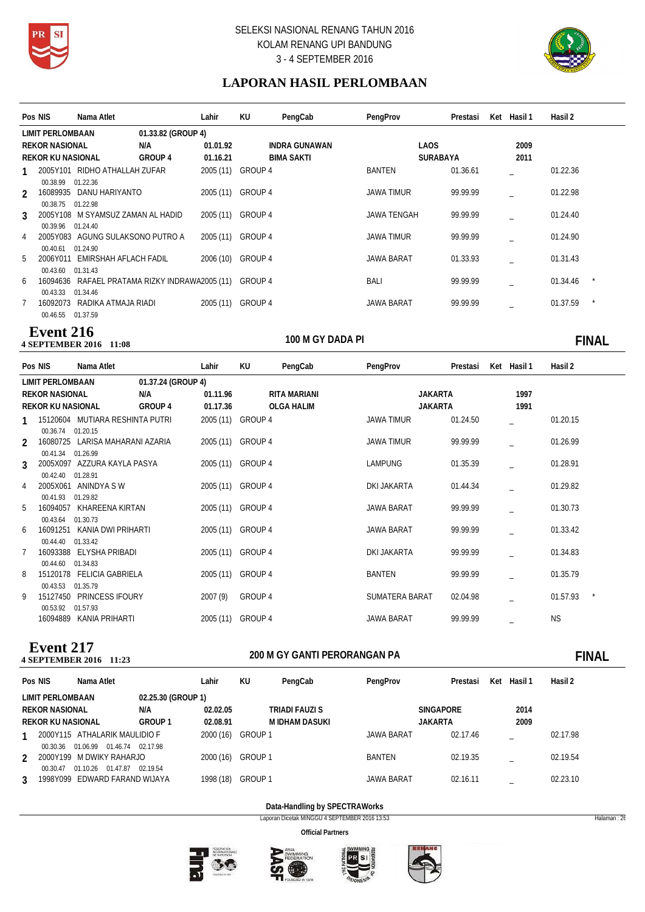



# **LAPORAN HASIL PERLOMBAAN**

|   | Pos NIS                  | Nama Atlet                                             |                    | Lahir             | KU      | PengCab              | PengProv           | Prestasi | Ket Hasil 1 | Hasil 2  |  |
|---|--------------------------|--------------------------------------------------------|--------------------|-------------------|---------|----------------------|--------------------|----------|-------------|----------|--|
|   | LIMIT PERLOMBAAN         |                                                        | 01.33.82 (GROUP 4) |                   |         |                      |                    |          |             |          |  |
|   | <b>REKOR NASIONAL</b>    |                                                        | N/A                | 01.01.92          |         | <b>INDRA GUNAWAN</b> | <b>LAOS</b>        |          | 2009        |          |  |
|   | <b>REKOR KU NASIONAL</b> |                                                        | GROUP 4            | 01.16.21          |         | <b>BIMA SAKTI</b>    | <b>SURABAYA</b>    |          | 2011        |          |  |
|   |                          | 2005Y101 RIDHO ATHALLAH ZUFAR                          |                    | 2005 (11)         | GROUP 4 |                      | <b>BANTEN</b>      | 01.36.61 |             | 01.22.36 |  |
|   | 00.38.99                 | 01.22.36                                               |                    |                   |         |                      |                    |          |             |          |  |
| 2 | 16089935                 | DANU HARIYANTO                                         |                    | 2005 (11)         | GROUP 4 |                      | <b>JAWA TIMUR</b>  | 99.99.99 |             | 01.22.98 |  |
|   | 00.38.75                 | 01.22.98                                               |                    |                   |         |                      |                    |          |             |          |  |
| 3 |                          | 2005Y108 M SYAMSUZ ZAMAN AL HADID                      |                    | 2005 (11)         | GROUP 4 |                      | <b>JAWA TENGAH</b> | 99.99.99 |             | 01.24.40 |  |
|   | 00.39.96 01.24.40        |                                                        |                    |                   |         |                      |                    |          |             |          |  |
| 4 |                          | 2005Y083 AGUNG SULAKSONO PUTRO A                       |                    | 2005 (11)         | GROUP 4 |                      | <b>JAWA TIMUR</b>  | 99.99.99 |             | 01.24.90 |  |
| 5 | 00.40.61                 | 01.24.90<br>2006Y011 EMIRSHAH AFLACH FADIL             |                    | 2006 (10)         | GROUP 4 |                      | <b>JAWA BARAT</b>  | 01.33.93 |             | 01.31.43 |  |
|   | 00.43.60                 | 01.31.43                                               |                    |                   |         |                      |                    |          |             |          |  |
| 6 |                          | 16094636 RAFAEL PRATAMA RIZKY INDRAWA2005 (11) GROUP 4 |                    |                   |         |                      | <b>BALI</b>        | 99.99.99 |             | 01.34.46 |  |
|   | 00.43.33                 | 01.34.46                                               |                    |                   |         |                      |                    |          |             |          |  |
|   | 16092073                 | RADIKA ATMAJA RIADI                                    |                    | 2005 (11) GROUP 4 |         |                      | <b>JAWA BARAT</b>  | 99.99.99 |             | 01.37.59 |  |
|   | 00.46.55 01.37.59        |                                                        |                    |                   |         |                      |                    |          |             |          |  |

### **100 M GY DADA PI 4 SEPTEMBER 2016** 11:08 **Event 216**

**Event 217**<br>4 SEPTEMBER 2016 11:23

100 M GY DADA PI **100 M** GY DADA PI **100 M** 

|                | Pos NIS                  | Nama Atlet                          |                    | Lahir             | KU      | PengCab      | PengProv          | Prestasi | Ket Hasil 1 | Hasil 2   |  |
|----------------|--------------------------|-------------------------------------|--------------------|-------------------|---------|--------------|-------------------|----------|-------------|-----------|--|
|                | LIMIT PERLOMBAAN         |                                     | 01.37.24 (GROUP 4) |                   |         |              |                   |          |             |           |  |
|                | <b>REKOR NASIONAL</b>    |                                     | N/A                | 01.11.96          |         | RITA MARIANI | <b>JAKARTA</b>    |          | 1997        |           |  |
|                | <b>REKOR KU NASIONAL</b> |                                     | GROUP 4            | 01.17.36          |         | OLGA HALIM   | <b>JAKARTA</b>    |          | 1991        |           |  |
| 1              |                          | 15120604 MUTIARA RESHINTA PUTRI     |                    | 2005 (11) GROUP 4 |         |              | <b>JAWA TIMUR</b> | 01.24.50 |             | 01.20.15  |  |
|                | 00.36.74 01.20.15        |                                     |                    |                   |         |              |                   |          |             |           |  |
| $\mathfrak{D}$ |                          | 16080725 LARISA MAHARANI AZARIA     |                    | 2005 (11) GROUP 4 |         |              | <b>JAWA TIMUR</b> | 99.99.99 |             | 01.26.99  |  |
| $\mathbf{3}$   | 00.41.34 01.26.99        | 2005X097 AZZURA KAYLA PASYA         |                    | 2005 (11) GROUP 4 |         |              | LAMPUNG           | 01.35.39 |             | 01.28.91  |  |
| 4              | 00.42.40<br>2005X061     | 01.28.91<br>ANINDYA S W             |                    | 2005 (11) GROUP 4 |         |              | DKI JAKARTA       | 01.44.34 |             | 01.29.82  |  |
| 5              | 00.41.93<br>16094057     | 01.29.82<br>KHAREENA KIRTAN         |                    | 2005 (11) GROUP 4 |         |              | <b>JAWA BARAT</b> | 99.99.99 |             | 01.30.73  |  |
|                | 00.43.64                 | 01.30.73                            |                    |                   |         |              |                   |          |             |           |  |
| 6              | 16091251                 | KANIA DWI PRIHARTI                  |                    | 2005 (11) GROUP 4 |         |              | <b>JAWA BARAT</b> | 99.99.99 |             | 01.33.42  |  |
|                | 00.44.40                 | 01.33.42                            |                    |                   |         |              |                   |          |             |           |  |
| 7              | 16093388                 | ELYSHA PRIBADI                      |                    | 2005 (11) GROUP 4 |         |              | DKI JAKARTA       | 99.99.99 |             | 01.34.83  |  |
| 8              | 00.44.60<br>15120178     | 01.34.83<br><b>FELICIA GABRIELA</b> |                    | 2005 (11) GROUP 4 |         |              | <b>BANTEN</b>     | 99.99.99 |             | 01.35.79  |  |
|                | 00.43.53                 | 01.35.79                            |                    |                   |         |              |                   |          |             |           |  |
| 9              | 15127450                 | <b>PRINCESS IFOURY</b>              |                    | 2007 (9)          | GROUP 4 |              | SUMATERA BARAT    | 02.04.98 |             | 01.57.93  |  |
|                | 00.53.92<br>16094889     | 01.57.93<br>KANIA PRIHARTI          |                    | 2005 (11) GROUP 4 |         |              | <b>JAWA BARAT</b> | 99.99.99 |             | <b>NS</b> |  |
|                |                          |                                     |                    |                   |         |              |                   |          |             |           |  |

# **200 M GY GANTI PERORANGAN PA 4 SEPTEMBER 2016 11:23 FINAL**

| Pos NIS       |                          | Nama Atlet                                                               |                      | Lahir     | KU      | PengCab               | PengProv          | Prestasi         | Ket | Hasil 1 | Hasil 2  |
|---------------|--------------------------|--------------------------------------------------------------------------|----------------------|-----------|---------|-----------------------|-------------------|------------------|-----|---------|----------|
|               | <b>LIMIT PERLOMBAAN</b>  |                                                                          | 02.25.30 (GROUP 1)   |           |         |                       |                   |                  |     |         |          |
|               | <b>REKOR NASIONAL</b>    |                                                                          | N/A                  | 02.02.05  |         | <b>TRIADI FAUZI S</b> |                   | <b>SINGAPORE</b> |     | 2014    |          |
|               | <b>REKOR KU NASIONAL</b> |                                                                          | GROUP <sub>1</sub>   | 02.08.91  |         | M IDHAM DASUKI        |                   | <b>JAKARTA</b>   |     | 2009    |          |
|               |                          | 2000Y115 ATHALARIK MAULIDIO F                                            |                      | 2000 (16) | GROUP 1 |                       | JAWA BARAT        | 02.17.46         |     |         | 02.17.98 |
| $\mathcal{P}$ | 00.30.36<br>00.30.47     | 01.46.74<br>01.06.99<br>2000Y199 M DWIKY RAHARJO<br>01.47.87<br>01.10.26 | 02.17.98<br>02.19.54 | 2000 (16) | GROUP 1 |                       | BANTEN            | 02.19.35         |     |         | 02.19.54 |
| 3             | 1998Y099                 | EDWARD FARAND WIJAYA                                                     |                      | 1998 (18) | GROUP 1 |                       | <b>JAWA BARAT</b> | 02.16.11         |     |         | 02.23.10 |

# **Data-Handling by SPECTRAWorks**

Laporan Dicetak MINGGU 4 SEPTEMBER 2016 13:53 Halaman : 26











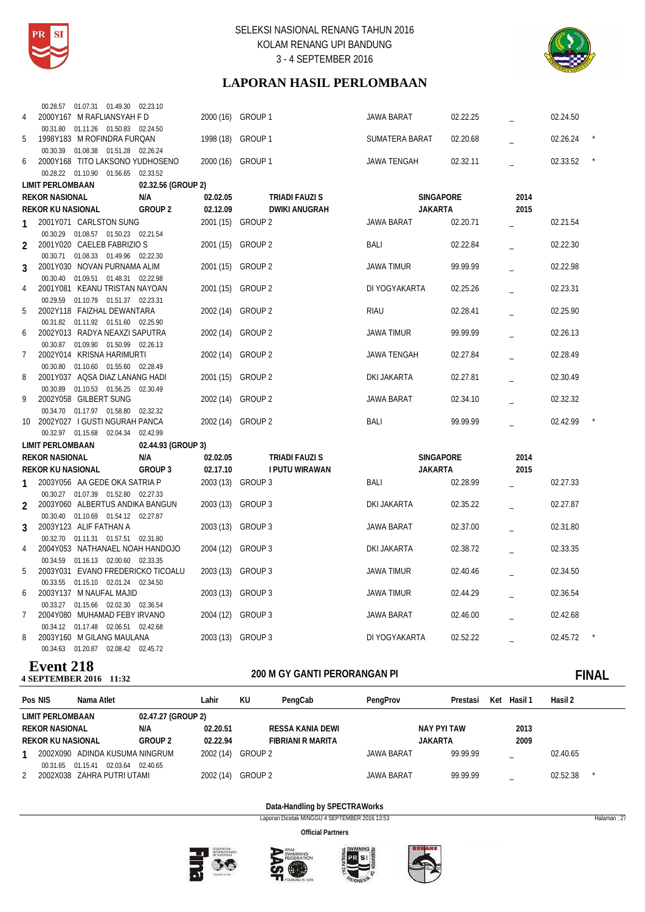



# **LAPORAN HASIL PERLOMBAAN**

|               | 00.28.57  01.07.31  01.49.30  02.23.10                              |                            |                      |                    |          |      |          |  |
|---------------|---------------------------------------------------------------------|----------------------------|----------------------|--------------------|----------|------|----------|--|
| 4             | 2000Y167 M RAFLIANSYAH F D                                          |                            | 2000 (16) GROUP 1    | <b>JAWA BARAT</b>  | 02.22.25 |      | 02.24.50 |  |
|               | 00.31.80  01.11.26  01.50.83  02.24.50                              |                            |                      |                    |          |      |          |  |
| 5             | 1998Y183 M ROFINDRA FURQAN                                          | 1998 (18)                  | GROUP 1              | SUMATERA BARAT     | 02.20.68 |      | 02.26.24 |  |
|               | 00.30.39  01.08.38  01.51.28  02.26.24                              |                            |                      |                    |          |      |          |  |
| 6             | 2000Y168 TITO LAKSONO YUDHOSENO                                     |                            | 2000 (16) GROUP 1    | <b>JAWA TENGAH</b> | 02.32.11 |      | 02.33.52 |  |
|               | 00.28.22  01.10.90  01.56.65  02.33.52                              |                            |                      |                    |          |      |          |  |
|               | <b>LIMIT PERLOMBAAN</b>                                             | 02.32.56 (GROUP 2)         |                      |                    |          |      |          |  |
|               | <b>REKOR NASIONAL</b>                                               | N/A<br>02.02.05            | TRIADI FAUZI S       | <b>SINGAPORE</b>   |          | 2014 |          |  |
|               | <b>REKOR KU NASIONAL</b>                                            | <b>GROUP 2</b><br>02.12.09 | <b>DWIKI ANUGRAH</b> | <b>JAKARTA</b>     |          | 2015 |          |  |
|               | 2001Y071 CARLSTON SUNG                                              |                            | 2001 (15) GROUP 2    | <b>JAWA BARAT</b>  | 02.20.71 |      | 02.21.54 |  |
|               | 00.30.29  01.08.57  01.50.23  02.21.54                              |                            |                      |                    |          |      |          |  |
| 2             | 2001Y020 CAELEB FABRIZIO S                                          |                            | 2001 (15) GROUP 2    | BALI               | 02.22.84 |      | 02.22.30 |  |
|               | 00.30.71  01.08.33  01.49.96  02.22.30                              |                            |                      |                    |          |      |          |  |
| 3             | 2001Y030 NOVAN PURNAMA ALIM                                         |                            | 2001 (15) GROUP 2    | <b>JAWA TIMUR</b>  | 99.99.99 |      | 02.22.98 |  |
|               | 00.30.40  01.09.51  01.48.31  02.22.98                              |                            |                      |                    |          |      |          |  |
| 4             | 2001Y081 KEANU TRISTAN NAYOAN                                       |                            | 2001 (15) GROUP 2    | DI YOGYAKARTA      | 02.25.26 |      | 02.23.31 |  |
|               | 00.29.59  01.10.79  01.51.37  02.23.31                              |                            |                      |                    |          |      |          |  |
| 5             | 2002Y118 FAIZHAL DEWANTARA                                          | 2002 (14)                  | <b>GROUP 2</b>       | <b>RIAU</b>        | 02.28.41 |      | 02.25.90 |  |
|               | 00.31.82  01.11.92  01.51.60  02.25.90                              |                            |                      |                    |          |      |          |  |
| 6             | 2002Y013 RADYA NEAXZI SAPUTRA                                       |                            | 2002 (14) GROUP 2    | JAWA TIMUR         | 99.99.99 |      | 02.26.13 |  |
|               | 00.30.87  01.09.90  01.50.99  02.26.13                              |                            |                      |                    |          |      |          |  |
| 7             | 2002Y014 KRISNA HARIMURTI                                           |                            | 2002 (14) GROUP 2    | <b>JAWA TENGAH</b> | 02.27.84 |      | 02.28.49 |  |
|               | 00.30.80  01.10.60  01.55.60  02.28.49                              |                            |                      |                    |          |      |          |  |
| 8             | 2001Y037 AQSA DIAZ LANANG HADI                                      |                            | 2001 (15) GROUP 2    | DKI JAKARTA        | 02.27.81 |      | 02.30.49 |  |
|               | 00.30.89  01.10.53  01.56.25  02.30.49                              |                            |                      |                    |          |      |          |  |
| 9             | 2002Y058 GILBERT SUNG                                               |                            | 2002 (14) GROUP 2    | <b>JAWA BARAT</b>  | 02.34.10 |      | 02.32.32 |  |
|               | 00.34.70  01.17.97  01.58.80  02.32.32                              |                            |                      |                    |          |      |          |  |
|               | 10 2002Y027 I GUSTI NGURAH PANCA                                    |                            | 2002 (14) GROUP 2    | BALI               | 99.99.99 |      | 02.42.99 |  |
|               | 00.32.97  01.15.68  02.04.34                                        | 02.42.99                   |                      |                    |          |      |          |  |
|               | <b>LIMIT PERLOMBAAN</b>                                             | 02.44.93 (GROUP 3)         |                      |                    |          |      |          |  |
|               | <b>REKOR NASIONAL</b>                                               | N/A<br>02.02.05            | TRIADI FAUZI S       | SINGAPORE          |          | 2014 |          |  |
|               | <b>REKOR KU NASIONAL</b>                                            | GROUP 3<br>02.17.10        | I PUTU WIRAWAN       | <b>JAKARTA</b>     |          | 2015 |          |  |
| 1             | 2003Y056 AA GEDE OKA SATRIA P                                       |                            | 2003 (13) GROUP 3    | BALI               | 02.28.99 |      | 02.27.33 |  |
|               | 00.30.27 01.07.39 01.52.80 02.27.33                                 |                            |                      |                    |          |      |          |  |
| $\mathcal{P}$ | 2003Y060 ALBERTUS ANDIKA BANGUN                                     |                            | 2003 (13) GROUP 3    | DKI JAKARTA        | 02.35.22 |      | 02.27.87 |  |
|               | 00.30.40  01.10.69  01.54.12  02.27.87                              |                            |                      |                    |          |      |          |  |
| 3             | 2003Y123 ALIF FATHAN A                                              |                            | 2003 (13) GROUP 3    | JAWA BARAT         | 02.37.00 |      | 02.31.80 |  |
|               | 00.32.70  01.11.31  01.57.51  02.31.80                              |                            |                      |                    |          |      |          |  |
| 4             | 2004Y053 NATHANAEL NOAH HANDOJO                                     | 2004 (12)                  | GROUP 3              | DKI JAKARTA        | 02.38.72 |      | 02.33.35 |  |
|               | 00.34.59  01.16.13  02.00.60  02.33.35                              |                            |                      |                    |          |      |          |  |
| 5             | 2003Y031 EVANO FREDERICKO TICOALU                                   |                            | 2003 (13) GROUP 3    | <b>JAWA TIMUR</b>  | 02.40.46 |      | 02.34.50 |  |
|               | 00.33.55  01.15.10  02.01.24  02.34.50                              |                            |                      |                    |          |      |          |  |
| 6             | 2003Y137 M NAUFAL MAJID                                             | 2003 (13)                  | GROUP 3              | <b>JAWA TIMUR</b>  | 02.44.29 |      | 02.36.54 |  |
|               | 00.33.27  01.15.66  02.02.30  02.36.54                              |                            |                      |                    |          |      |          |  |
| 7             | 2004Y080 MUHAMAD FEBY IRVANO<br>00.34.12 01.17.48 02.06.51 02.42.68 |                            | 2004 (12) GROUP 3    | JAWA BARAT         | 02.46.00 |      | 02.42.68 |  |
| 8             | 2003Y160 M GILANG MAULANA                                           |                            | 2003 (13) GROUP 3    | DI YOGYAKARTA      | 02.52.22 |      | 02.45.72 |  |
|               |                                                                     |                            |                      |                    |          |      |          |  |
|               | 00.34.63  01.20.87  02.08.42  02.45.72                              |                            |                      |                    |          |      |          |  |

# **Event 218**<br>4 SEPTEMBER 2016 11:32

# **200 M GY GANTI PERORANGAN PI 4 SEPTEMBER 2016 11:32 FINAL**

| Pos NIS           | Nama Atlet                                      |                    | Lahir     | KU      | PengCab           | PengProv          | Prestasi    | Ket | Hasil 1 | Hasil 2  |  |
|-------------------|-------------------------------------------------|--------------------|-----------|---------|-------------------|-------------------|-------------|-----|---------|----------|--|
| LIMIT PERLOMBAAN  |                                                 | 02.47.27 (GROUP 2) |           |         |                   |                   |             |     |         |          |  |
| REKOR NASIONAL    |                                                 | N/A                | 02.20.51  |         | RESSA KANIA DEWI  |                   | NAY PYI TAW |     | 2013    |          |  |
| REKOR KU NASIONAL |                                                 | <b>GROUP 2</b>     | 02.22.94  |         | FIBRIANI R MARITA |                   | JAKARTA     |     | 2009    |          |  |
|                   | 2002X090 ADINDA KUSUMA NINGRUM                  |                    | 2002 (14) | GROUP 2 |                   | <b>JAWA BARAT</b> | 99.99.99    |     |         | 02.40.65 |  |
| 00.31.65 01.15.41 | 02.03.64 02.40.65<br>2002X038 ZAHRA PUTRI UTAMI |                    | 2002 (14) | GROUP 2 |                   | <b>JAWA BARAT</b> | 99.99.99    |     |         | 02.52.38 |  |

### **Data-Handling by SPECTRAWorks**

Laporan Dicetak MINGGU 4 SEPTEMBER 2016 13:53 Halaman : 27







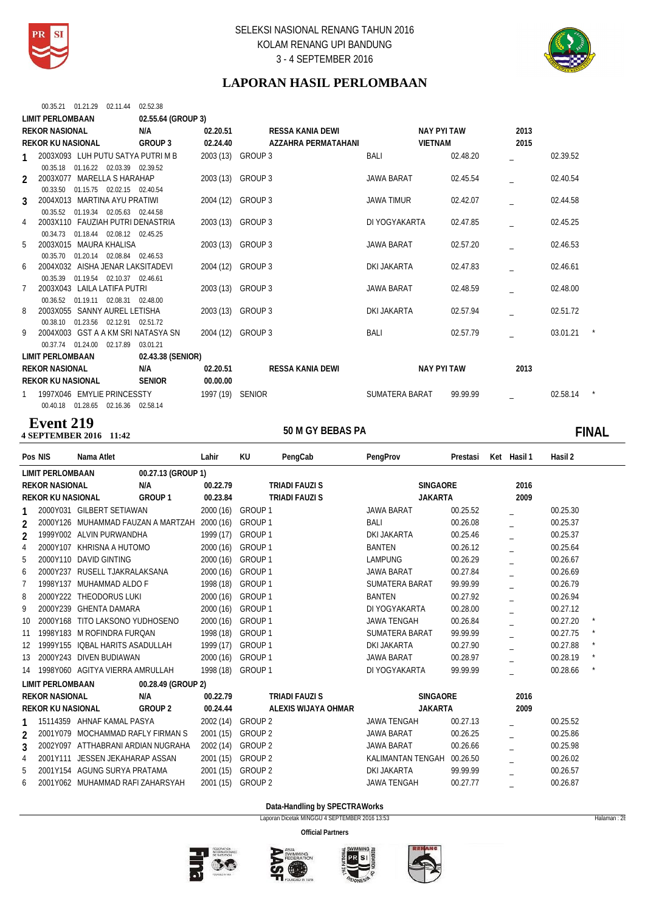



# **LAPORAN HASIL PERLOMBAAN**

|               | 00.35.21 01.21.29 02.11.44   |                                        | 02.52.38                           |                   |                         |                   |                |      |          |
|---------------|------------------------------|----------------------------------------|------------------------------------|-------------------|-------------------------|-------------------|----------------|------|----------|
|               | <b>LIMIT PERLOMBAAN</b>      |                                        | 02.55.64 (GROUP 3)                 |                   |                         |                   |                |      |          |
|               | <b>REKOR NASIONAL</b>        |                                        | N/A                                | 02.20.51          | RESSA KANIA DEWI        |                   | NAY PYI TAW    | 2013 |          |
|               | <b>REKOR KU NASIONAL</b>     |                                        | GROUP 3                            | 02.24.40          | AZZAHRA PERMATAHANI     |                   | <b>VIETNAM</b> | 2015 |          |
| 1             |                              |                                        | 2003X093 LUH PUTU SATYA PUTRI M B  | 2003 (13) GROUP 3 |                         | BALI              | 02.48.20       |      | 02.39.52 |
|               | 00.35.18                     | 01.16.22 02.03.39 02.39.52             |                                    |                   |                         |                   |                |      |          |
| $\mathcal{P}$ | 2003X077 MARELLA S HARAHAP   |                                        |                                    | 2003 (13) GROUP 3 |                         | <b>JAWA BARAT</b> | 02.45.54       |      | 02.40.54 |
|               | 00.33.50                     | 01.15.75 02.02.15 02.40.54             |                                    |                   |                         |                   |                |      |          |
| 3             | 2004X013 MARTINA AYU PRATIWI |                                        |                                    | 2004 (12) GROUP 3 |                         | <b>JAWA TIMUR</b> | 02.42.07       |      | 02.44.58 |
|               |                              | 00.35.52 01.19.34 02.05.63 02.44.58    |                                    |                   |                         |                   |                |      |          |
| 4             |                              |                                        | 2003X110 FAUZIAH PUTRI DENASTRIA   | 2003 (13) GROUP 3 |                         | DI YOGYAKARTA     | 02.47.85       |      | 02.45.25 |
|               | 00.34.73                     | 01.18.44 02.08.12 02.45.25             |                                    |                   |                         |                   |                |      |          |
| 5             | 2003X015 MAURA KHALISA       |                                        |                                    | 2003 (13) GROUP 3 |                         | <b>JAWA BARAT</b> | 02.57.20       |      | 02.46.53 |
|               | 00.35.70                     | 01.20.14 02.08.84 02.46.53             |                                    |                   |                         |                   |                |      |          |
| 6             |                              |                                        | 2004X032 AISHA JENAR LAKSITADEVI   | 2004 (12) GROUP 3 |                         | DKI JAKARTA       | 02.47.83       |      | 02.46.61 |
|               | 00.35.39                     | 01.19.54 02.10.37 02.46.61             |                                    |                   |                         |                   |                |      |          |
|               | 2003X043 LAILA LATIFA PUTRI  |                                        |                                    | 2003 (13) GROUP 3 |                         | <b>JAWA BARAT</b> | 02.48.59       |      | 02.48.00 |
|               | 00.36.52                     | 01.19.11 02.08.31 02.48.00             |                                    |                   |                         |                   |                |      |          |
| 8             | 2003X055 SANNY AUREL LETISHA |                                        |                                    | 2003 (13) GROUP 3 |                         | DKI JAKARTA       | 02.57.94       |      | 02.51.72 |
|               |                              | 00.38.10 01.23.56 02.12.91 02.51.72    |                                    |                   |                         |                   |                |      |          |
| 9             |                              |                                        | 2004X003 GST A A KM SRI NATASYA SN | 2004 (12) GROUP 3 |                         | BALI              | 02.57.79       |      | 03.01.21 |
|               | 00.37.74 01.24.00            | 02.17.89                               | 03.01.21                           |                   |                         |                   |                |      |          |
|               | <b>LIMIT PERLOMBAAN</b>      |                                        | 02.43.38 (SENIOR)                  |                   |                         |                   |                |      |          |
|               | <b>REKOR NASIONAL</b>        |                                        | N/A                                | 02.20.51          | <b>RESSA KANIA DEWI</b> |                   | NAY PYI TAW    | 2013 |          |
|               | <b>REKOR KU NASIONAL</b>     |                                        | <b>SENIOR</b>                      | 00.00.00          |                         |                   |                |      |          |
|               | 1997X046 EMYLIE PRINCESSTY   |                                        |                                    | 1997 (19) SENIOR  |                         | SUMATERA BARAT    | 99.99.99       |      | 02.58.14 |
|               |                              | 00.40.18  01.28.65  02.16.36  02.58.14 |                                    |                   |                         |                   |                |      |          |

### **50 M GY BEBAS PA 4 SEPTEMBER 2016 Event 219**

# 100 M GY BEBAS PA **12:42 M GY BEBAS PA**

|                | Pos NIS                  | Nama Atlet                         |                                    | Lahir     | KU                 | PengCab               | PengProv              | Prestasi | Ket Hasil 1 | Hasil 2  |         |
|----------------|--------------------------|------------------------------------|------------------------------------|-----------|--------------------|-----------------------|-----------------------|----------|-------------|----------|---------|
|                | <b>LIMIT PERLOMBAAN</b>  |                                    | 00.27.13 (GROUP 1)                 |           |                    |                       |                       |          |             |          |         |
|                | <b>REKOR NASIONAL</b>    |                                    | N/A                                | 00.22.79  |                    | <b>TRIADI FAUZI S</b> | <b>SINGAORE</b>       |          | 2016        |          |         |
|                | <b>REKOR KU NASIONAL</b> |                                    | GROUP 1                            | 00.23.84  |                    | <b>TRIADI FAUZI S</b> | <b>JAKARTA</b>        |          | 2009        |          |         |
|                |                          | 2000Y031 GILBERT SETIAWAN          |                                    | 2000 (16) | GROUP 1            |                       | <b>JAWA BARAT</b>     | 00.25.52 |             | 00.25.30 |         |
| 2              |                          |                                    | 2000Y126 MUHAMMAD FAUZAN A MARTZAH | 2000 (16) | GROUP <sub>1</sub> |                       | BALI                  | 00.26.08 |             | 00.25.37 |         |
| $\overline{2}$ |                          | 1999Y002 ALVIN PURWANDHA           |                                    | 1999 (17) | GROUP 1            |                       | <b>DKI JAKARTA</b>    | 00.25.46 |             | 00.25.37 |         |
| 4              |                          | 2000Y107 KHRISNA A HUTOMO          |                                    | 2000(16)  | GROUP 1            |                       | <b>BANTEN</b>         | 00.26.12 |             | 00.25.64 |         |
| 5              |                          | 2000Y110 DAVID GINTING             |                                    | 2000 (16) | GROUP <sub>1</sub> |                       | <b>LAMPUNG</b>        | 00.26.29 |             | 00.26.67 |         |
| 6              |                          | 2000Y237 RUSELL TJAKRALAKSANA      |                                    | 2000 (16) | GROUP 1            |                       | <b>JAWA BARAT</b>     | 00.27.84 |             | 00.26.69 |         |
| 7              |                          | 1998Y137 MUHAMMAD ALDO F           |                                    | 1998 (18) | GROUP <sub>1</sub> |                       | <b>SUMATERA BARAT</b> | 99.99.99 |             | 00.26.79 |         |
| 8              |                          | 2000Y222 THEODORUS LUKI            |                                    | 2000 (16) | GROUP 1            |                       | <b>BANTEN</b>         | 00.27.92 |             | 00.26.94 |         |
| 9              |                          | 2000Y239 GHENTA DAMARA             |                                    | 2000(16)  | GROUP <sub>1</sub> |                       | DI YOGYAKARTA         | 00.28.00 |             | 00.27.12 |         |
| 10             |                          | 2000Y168 TITO LAKSONO YUDHOSENO    |                                    | 2000 (16) | GROUP <sub>1</sub> |                       | <b>JAWA TENGAH</b>    | 00.26.84 |             | 00.27.20 |         |
| 11             |                          | 1998Y183 M ROFINDRA FURQAN         |                                    | 1998 (18) | GROUP 1            |                       | SUMATERA BARAT        | 99.99.99 |             | 00.27.75 |         |
| 12             |                          | 1999Y155 IQBAL HARITS ASADULLAH    |                                    | 1999 (17) | GROUP 1            |                       | <b>DKI JAKARTA</b>    | 00.27.90 |             | 00.27.88 |         |
| 13             |                          | 2000Y243 DIVEN BUDIAWAN            |                                    | 2000 (16) | GROUP 1            |                       | <b>JAWA BARAT</b>     | 00.28.97 |             | 00.28.19 | $\star$ |
| 14             |                          | 1998Y060 AGITYA VIERRA AMRULLAH    |                                    | 1998 (18) | GROUP 1            |                       | DI YOGYAKARTA         | 99.99.99 |             | 00.28.66 |         |
|                | <b>LIMIT PERLOMBAAN</b>  |                                    | 00.28.49 (GROUP 2)                 |           |                    |                       |                       |          |             |          |         |
|                | <b>REKOR NASIONAL</b>    |                                    | N/A                                | 00.22.79  |                    | <b>TRIADI FAUZI S</b> | <b>SINGAORE</b>       |          | 2016        |          |         |
|                | <b>REKOR KU NASIONAL</b> |                                    | GROUP 2                            | 00.24.44  |                    | ALEXIS WIJAYA OHMAR   | <b>JAKARTA</b>        |          | 2009        |          |         |
|                |                          | 15114359 AHNAF KAMAL PASYA         |                                    | 2002 (14) | <b>GROUP 2</b>     |                       | <b>JAWA TENGAH</b>    | 00.27.13 |             | 00.25.52 |         |
| $\overline{2}$ |                          | 2001Y079 MOCHAMMAD RAFLY FIRMAN S  |                                    | 2001(15)  | GROUP <sub>2</sub> |                       | <b>JAWA BARAT</b>     | 00.26.25 |             | 00.25.86 |         |
| 3              |                          | 2002Y097 ATTHABRANI ARDIAN NUGRAHA |                                    | 2002 (14) | GROUP <sub>2</sub> |                       | <b>JAWA BARAT</b>     | 00.26.66 |             | 00.25.98 |         |
| 4              |                          | 2001Y111 JESSEN JEKAHARAP ASSAN    |                                    | 2001 (15) | <b>GROUP 2</b>     |                       | KALIMANTAN TENGAH     | 00.26.50 |             | 00.26.02 |         |
| 5              |                          | 2001Y154 AGUNG SURYA PRATAMA       |                                    | 2001 (15) | <b>GROUP 2</b>     |                       | <b>DKI JAKARTA</b>    | 99.99.99 |             | 00.26.57 |         |
| 6              |                          | 2001Y062 MUHAMMAD RAFI ZAHARSYAH   |                                    | 2001 (15) | <b>GROUP 2</b>     |                       | <b>JAWA TENGAH</b>    | 00.27.77 |             | 00.26.87 |         |
|                |                          |                                    |                                    |           |                    |                       |                       |          |             |          |         |

**Data-Handling by SPECTRAWorks**

Laporan Dicetak MINGGU 4 SEPTEMBER 2016 13:53 Halaman : 28







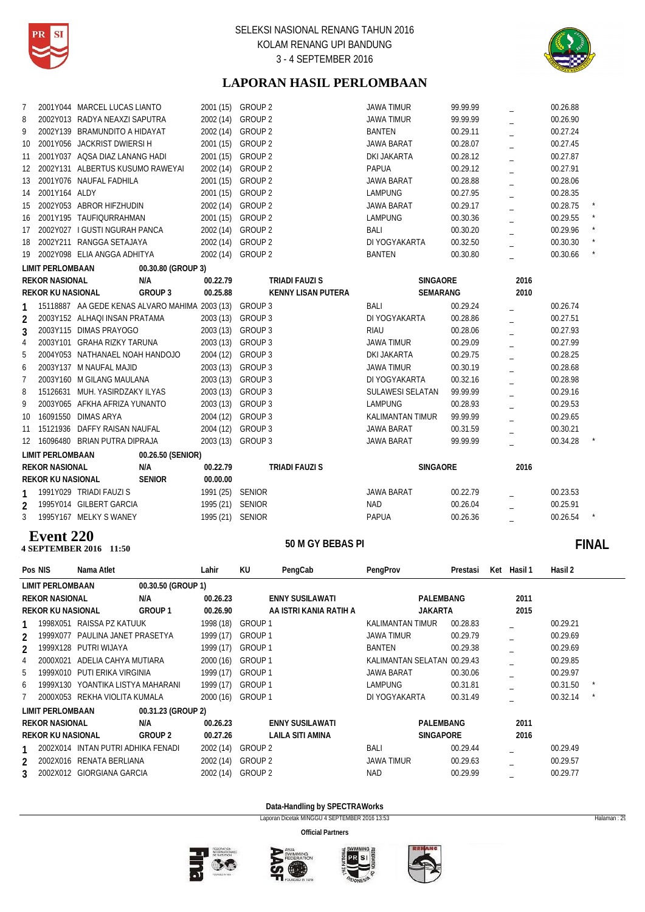



# **LAPORAN HASIL PERLOMBAAN**

| 7  |                          | 2001Y044 MARCEL LUCAS LIANTO                                   |                    | 2001 (15) GROUP 2 |                    |                           | <b>JAWA TIMUR</b>       | 99.99.99        |                | 00.26.88 |  |
|----|--------------------------|----------------------------------------------------------------|--------------------|-------------------|--------------------|---------------------------|-------------------------|-----------------|----------------|----------|--|
| 8  |                          | 2002Y013 RADYA NEAXZI SAPUTRA<br>2002Y139 BRAMUNDITO A HIDAYAT |                    | 2002 (14)         | <b>GROUP 2</b>     |                           | <b>JAWA TIMUR</b>       | 99.99.99        |                | 00.26.90 |  |
| 9  |                          |                                                                |                    | 2002 (14)         | <b>GROUP 2</b>     |                           | <b>BANTEN</b>           | 00.29.11        |                | 00.27.24 |  |
| 10 |                          | 2001Y056 JACKRIST DWIERSI H                                    |                    | 2001 (15)         | GROUP <sub>2</sub> |                           | <b>JAWA BARAT</b>       | 00.28.07        |                | 00.27.45 |  |
| 11 |                          | 2001Y037 AQSA DIAZ LANANG HADI                                 |                    | 2001 (15)         | GROUP <sub>2</sub> |                           | <b>DKI JAKARTA</b>      | 00.28.12        |                | 00.27.87 |  |
| 12 |                          | 2002Y131 ALBERTUS KUSUMO RAWEYAI                               |                    | 2002 (14)         | GROUP <sub>2</sub> |                           | <b>PAPUA</b>            | 00.29.12        | $\overline{a}$ | 00.27.91 |  |
| 13 |                          | 2001Y076 NAUFAL FADHILA                                        |                    | 2001 (15)         | GROUP <sub>2</sub> |                           | <b>JAWA BARAT</b>       | 00.28.88        |                | 00.28.06 |  |
| 14 | 2001Y164 ALDY            |                                                                |                    | 2001 (15)         | GROUP <sub>2</sub> |                           | <b>LAMPUNG</b>          | 00.27.95        |                | 00.28.35 |  |
| 15 |                          | 2002Y053 ABROR HIFZHUDIN                                       |                    | 2002 (14)         | GROUP <sub>2</sub> |                           | <b>JAWA BARAT</b>       | 00.29.17        |                | 00.28.75 |  |
| 16 |                          | 2001Y195 TAUFIQURRAHMAN                                        |                    | 2001 (15)         | GROUP <sub>2</sub> |                           | <b>LAMPUNG</b>          | 00.30.36        |                | 00.29.55 |  |
| 17 |                          | 2002Y027 I GUSTI NGURAH PANCA                                  |                    | 2002 (14)         | GROUP <sub>2</sub> |                           | <b>BALI</b>             | 00.30.20        |                | 00.29.96 |  |
| 18 |                          | 2002Y211 RANGGA SETAJAYA                                       |                    | 2002 (14)         | <b>GROUP 2</b>     |                           | DI YOGYAKARTA           | 00.32.50        |                | 00.30.30 |  |
| 19 |                          | 2002Y098 ELIA ANGGA ADHITYA                                    |                    | 2002 (14)         | GROUP 2            |                           | <b>BANTEN</b>           | 00.30.80        |                | 00.30.66 |  |
|    | <b>LIMIT PERLOMBAAN</b>  |                                                                | 00.30.80 (GROUP 3) |                   |                    |                           |                         |                 |                |          |  |
|    | <b>REKOR NASIONAL</b>    |                                                                | N/A                | 00.22.79          |                    | <b>TRIADI FAUZI S</b>     |                         | SINGAORE        | 2016           |          |  |
|    | <b>REKOR KU NASIONAL</b> |                                                                | GROUP 3            | 00.25.88          |                    | <b>KENNY LISAN PUTERA</b> |                         | <b>SEMARANG</b> | 2010           |          |  |
|    |                          | 15118887 AA GEDE KENAS ALVARO MAHIMA 2003 (13)                 |                    |                   | <b>GROUP 3</b>     |                           | <b>BALI</b>             | 00.29.24        |                | 00.26.74 |  |
| 2  |                          | 2003Y152 ALHAQI INSAN PRATAMA                                  |                    | 2003 (13)         | GROUP 3            |                           | DI YOGYAKARTA           | 00.28.86        |                | 00.27.51 |  |
| 3  |                          | 2003Y115 DIMAS PRAYOGO                                         |                    | 2003 (13)         | GROUP 3            |                           | <b>RIAU</b>             | 00.28.06        |                | 00.27.93 |  |
| 4  |                          | 2003Y101 GRAHA RIZKY TARUNA                                    |                    | 2003 (13)         | GROUP 3            |                           | <b>JAWA TIMUR</b>       | 00.29.09        |                | 00.27.99 |  |
| 5  |                          | 2004Y053 NATHANAEL NOAH HANDOJO                                |                    | 2004 (12)         | <b>GROUP 3</b>     |                           | <b>DKI JAKARTA</b>      | 00.29.75        |                | 00.28.25 |  |
| 6  |                          | 2003Y137 M NAUFAL MAJID                                        |                    | 2003 (13)         | GROUP 3            |                           | <b>JAWA TIMUR</b>       | 00.30.19        |                | 00.28.68 |  |
| 7  |                          | 2003Y160 M GILANG MAULANA                                      |                    | 2003 (13)         | GROUP 3            |                           | DI YOGYAKARTA           | 00.32.16        |                | 00.28.98 |  |
| 8  | 15126631                 | MUH. YASIRDZAKY ILYAS                                          |                    | 2003 (13)         | GROUP 3            |                           | <b>SULAWESI SELATAN</b> | 99.99.99        |                | 00.29.16 |  |
| 9  |                          | 2003Y065 AFKHA AFRIZA YUNANTO                                  |                    | 2003 (13)         | GROUP 3            |                           | <b>LAMPUNG</b>          | 00.28.93        |                | 00.29.53 |  |
| 10 |                          | 16091550 DIMAS ARYA                                            |                    | 2004 (12)         | GROUP 3            |                           | <b>KALIMANTAN TIMUR</b> | 99.99.99        |                | 00.29.65 |  |
| 11 |                          | 15121936 DAFFY RAISAN NAUFAL                                   |                    | 2004 (12) GROUP 3 |                    |                           | <b>JAWA BARAT</b>       | 00.31.59        |                | 00.30.21 |  |
| 12 |                          | 16096480 BRIAN PUTRA DIPRAJA                                   |                    | 2003 (13)         | GROUP 3            |                           | <b>JAWA BARAT</b>       | 99.99.99        |                | 00.34.28 |  |
|    | <b>LIMIT PERLOMBAAN</b>  |                                                                | 00.26.50 (SENIOR)  |                   |                    |                           |                         |                 |                |          |  |
|    | <b>REKOR NASIONAL</b>    |                                                                | N/A                | 00.22.79          |                    | <b>TRIADI FAUZI S</b>     |                         | SINGAORE        | 2016           |          |  |
|    | <b>REKOR KU NASIONAL</b> |                                                                | <b>SENIOR</b>      | 00.00.00          |                    |                           |                         |                 |                |          |  |
| 1  |                          | 1991Y029 TRIADI FAUZI S                                        |                    | 1991 (25) SENIOR  |                    |                           | <b>JAWA BARAT</b>       | 00.22.79        |                | 00.23.53 |  |
| 2  |                          | 1995Y014 GILBERT GARCIA                                        |                    | 1995 (21) SENIOR  |                    |                           | <b>NAD</b>              | 00.26.04        |                | 00.25.91 |  |
| 3  |                          | 1995Y167 MELKY S WANEY                                         |                    | 1995 (21) SENIOR  |                    |                           | <b>PAPUA</b>            | 00.26.36        |                | 00.26.54 |  |
|    |                          |                                                                |                    |                   |                    |                           |                         |                 |                |          |  |

### **4 SEPTEMBER 2016** 11:50 **Event 220**

# **11:50 FINAL**

| Pos NIS                   | Nama Atlet                         |                    | Lahir     | KU                 | PengCab                | PengProv                    | Prestasi | Ket | Hasil 1 | Hasil 2  |  |
|---------------------------|------------------------------------|--------------------|-----------|--------------------|------------------------|-----------------------------|----------|-----|---------|----------|--|
| <b>LIMIT PERLOMBAAN</b>   |                                    | 00.30.50 (GROUP 1) |           |                    |                        |                             |          |     |         |          |  |
| <b>REKOR NASIONAL</b>     |                                    | N/A                | 00.26.23  |                    | <b>ENNY SUSILAWATI</b> | PALEMBANG                   |          |     | 2011    |          |  |
| <b>REKOR KU NASIONAL</b>  |                                    | GROUP <sub>1</sub> | 00.26.90  |                    | AA ISTRI KANIA RATIH A | <b>JAKARTA</b>              |          |     | 2015    |          |  |
| 1998X051                  | RAISSA PZ KATUUK                   |                    | 1998 (18) | GROUP 1            |                        | <b>KALIMANTAN TIMUR</b>     | 00.28.83 |     |         | 00.29.21 |  |
| 1999X077<br>$\mathcal{P}$ | PAULINA JANET PRASETYA             |                    | 1999 (17) | GROUP 1            |                        | <b>JAWA TIMUR</b>           | 00.29.79 |     |         | 00.29.69 |  |
| 1999X128<br>$\mathfrak z$ | PUTRI WIJAYA                       |                    | 1999 (17) | GROUP 1            |                        | <b>BANTEN</b>               | 00.29.38 |     |         | 00.29.69 |  |
| 2000X021<br>4             | ADELIA CAHYA MUTIARA               |                    | 2000 (16) | GROUP 1            |                        | KALIMANTAN SELATAN 00.29.43 |          |     |         | 00.29.85 |  |
| 1999X010<br>5             | PUTI ERIKA VIRGINIA                |                    | 1999 (17) | GROUP 1            |                        | <b>JAWA BARAT</b>           | 00.30.06 |     |         | 00.29.97 |  |
| 1999X130<br>6             | YOANTIKA LISTYA MAHARANI           |                    | 1999 (17) | GROUP 1            |                        | <b>LAMPUNG</b>              | 00.31.81 |     |         | 00.31.50 |  |
| 2000X053                  | REKHA VIOLITA KUMALA               |                    | 2000 (16) | GROUP 1            |                        | DI YOGYAKARTA               | 00.31.49 |     |         | 00.32.14 |  |
| <b>LIMIT PERLOMBAAN</b>   |                                    | 00.31.23 (GROUP 2) |           |                    |                        |                             |          |     |         |          |  |
| <b>REKOR NASIONAL</b>     |                                    | N/A                | 00.26.23  |                    | <b>ENNY SUSILAWATI</b> | PALEMBANG                   |          |     | 2011    |          |  |
| <b>REKOR KU NASIONAL</b>  |                                    | <b>GROUP 2</b>     | 00.27.26  |                    | LAILA SITI AMINA       | <b>SINGAPORE</b>            |          |     | 2016    |          |  |
|                           | 2002X014 INTAN PUTRI ADHIKA FENADI |                    | 2002 (14) | GROUP 2            |                        | <b>BALI</b>                 | 00.29.44 |     |         | 00.29.49 |  |
| $\mathcal{P}$             | 2002X016 RENATA BERLIANA           |                    | 2002 (14) | GROUP 2            |                        | <b>JAWA TIMUR</b>           | 00.29.63 |     |         | 00.29.57 |  |
| 2002X012<br>3             | <b>GIORGIANA GARCIA</b>            |                    | 2002 (14) | GROUP <sub>2</sub> |                        | <b>NAD</b>                  | 00.29.99 |     |         | 00.29.77 |  |

### **Data-Handling by SPECTRAWorks**

Laporan Dicetak MINGGU 4 SEPTEMBER 2016 13:53 Halaman : 29







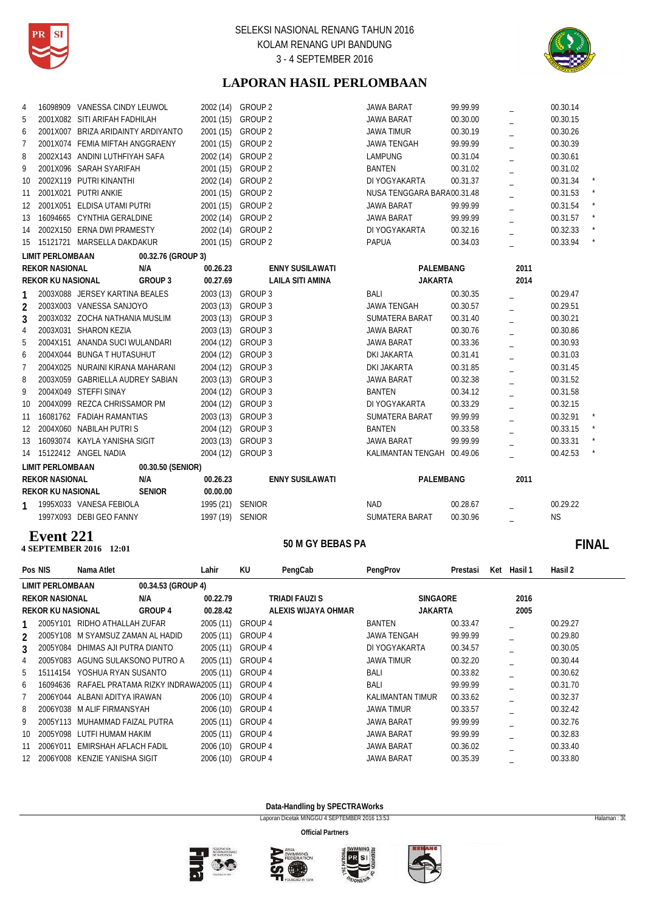



# **LAPORAN HASIL PERLOMBAAN**

| 4  |                          | 16098909 VANESSA CINDY LEUWOL      |                   |                                    | 2002 (14) GROUP 2  |                         | <b>JAWA BARAT</b>          | 99.99.99 |      | 00.30.14  |         |
|----|--------------------------|------------------------------------|-------------------|------------------------------------|--------------------|-------------------------|----------------------------|----------|------|-----------|---------|
| 5  |                          | 2001X082 SITI ARIFAH FADHILAH      |                   |                                    | 2001 (15) GROUP 2  |                         | <b>JAWA BARAT</b>          | 00.30.00 |      | 00.30.15  |         |
| 6  |                          | 2001X007 BRIZA ARIDAINTY ARDIYANTO |                   |                                    | 2001 (15) GROUP 2  |                         | <b>JAWA TIMUR</b>          | 00.30.19 |      | 00.30.26  |         |
| 7  |                          | 2001X074 FEMIA MIFTAH ANGGRAENY    |                   | 2001 (15)                          | GROUP <sub>2</sub> |                         | <b>JAWA TENGAH</b>         | 99.99.99 |      | 00.30.39  |         |
| 8  |                          | 2002X143 ANDINI LUTHFIYAH SAFA     |                   | 2002 (14)                          | <b>GROUP 2</b>     |                         | <b>LAMPUNG</b>             | 00.31.04 |      | 00.30.61  |         |
| 9  |                          | 2001X096 SARAH SYARIFAH            |                   |                                    | 2001 (15) GROUP 2  |                         | <b>BANTEN</b>              | 00.31.02 | L.   | 00.31.02  |         |
| 10 |                          | 2002X119 PUTRI KINANTHI            |                   | 2002 (14)                          | <b>GROUP 2</b>     |                         | DI YOGYAKARTA              | 00.31.37 |      | 00.31.34  |         |
| 11 |                          | 2001X021 PUTRI ANKIE               |                   |                                    | 2001 (15) GROUP 2  |                         | NUSA TENGGARA BARA00.31.48 |          |      | 00.31.53  |         |
| 12 |                          | 2001X051 ELDISA UTAMI PUTRI        |                   |                                    | 2001 (15) GROUP 2  |                         | <b>JAWA BARAT</b>          | 99.99.99 |      | 00.31.54  |         |
| 13 |                          | 16094665 CYNTHIA GERALDINE         |                   | 2002 (14)                          | GROUP 2            |                         | <b>JAWA BARAT</b>          | 99.99.99 |      | 00.31.57  | $\star$ |
| 14 |                          | 2002X150 ERNA DWI PRAMESTY         |                   |                                    | 2002 (14) GROUP 2  |                         | DI YOGYAKARTA              | 00.32.16 |      | 00.32.33  |         |
| 15 |                          | 15121721 MARSELLA DAKDAKUR         |                   |                                    | 2001 (15) GROUP 2  |                         | <b>PAPUA</b>               | 00.34.03 |      | 00.33.94  |         |
|    | <b>LIMIT PERLOMBAAN</b>  | 00.32.76 (GROUP 3)                 |                   |                                    |                    |                         |                            |          |      |           |         |
|    | <b>REKOR NASIONAL</b>    | N/A                                |                   | 00.26.23<br><b>ENNY SUSILAWATI</b> |                    |                         | PALEMBANG                  |          | 2011 |           |         |
|    | <b>REKOR KU NASIONAL</b> | GROUP 3                            |                   | 00.27.69                           |                    | <b>LAILA SITI AMINA</b> | <b>JAKARTA</b>             |          | 2014 |           |         |
|    |                          | 2003X088 JERSEY KARTINA BEALES     |                   |                                    | 2003 (13) GROUP 3  |                         | <b>BALI</b>                | 00.30.35 |      | 00.29.47  |         |
| 2  |                          | 2003X003 VANESSA SANJOYO           |                   |                                    | 2003 (13) GROUP 3  |                         | <b>JAWA TENGAH</b>         | 00.30.57 |      | 00.29.51  |         |
| 3  |                          | 2003X032 ZOCHA NATHANIA MUSLIM     |                   |                                    | 2003 (13) GROUP 3  |                         | <b>SUMATERA BARAT</b>      | 00.31.40 |      | 00.30.21  |         |
| 4  |                          | 2003X031 SHARON KEZIA              |                   |                                    | 2003 (13) GROUP 3  |                         | <b>JAWA BARAT</b>          | 00.30.76 |      | 00.30.86  |         |
| 5  |                          | 2004X151 ANANDA SUCI WULANDARI     |                   |                                    | 2004 (12) GROUP 3  |                         | <b>JAWA BARAT</b>          | 00.33.36 |      | 00.30.93  |         |
| 6  |                          | 2004X044 BUNGA T HUTASUHUT         |                   | 2004 (12)                          | GROUP 3            |                         | <b>DKI JAKARTA</b>         | 00.31.41 |      | 00.31.03  |         |
| 7  |                          | 2004X025 NURAINI KIRANA MAHARANI   |                   | 2004 (12)                          | GROUP 3            |                         | DKI JAKARTA                | 00.31.85 |      | 00.31.45  |         |
| 8  |                          | 2003X059 GABRIELLA AUDREY SABIAN   |                   |                                    | 2003 (13) GROUP 3  |                         | <b>JAWA BARAT</b>          | 00.32.38 |      | 00.31.52  |         |
| 9  |                          | 2004X049 STEFFI SINAY              |                   |                                    | 2004 (12) GROUP 3  |                         | <b>BANTEN</b>              | 00.34.12 |      | 00.31.58  |         |
| 10 |                          | 2004X099 REZCA CHRISSAMOR PM       |                   |                                    | 2004 (12) GROUP 3  |                         | DI YOGYAKARTA              | 00.33.29 |      | 00.32.15  |         |
| 11 |                          | 16081762 FADIAH RAMANTIAS          |                   |                                    | 2003 (13) GROUP 3  |                         | SUMATERA BARAT             | 99.99.99 |      | 00.32.91  |         |
| 12 |                          | 2004X060 NABILAH PUTRIS            |                   | 2004 (12)                          | GROUP 3            |                         | <b>BANTEN</b>              | 00.33.58 |      | 00.33.15  |         |
| 13 |                          | 16093074 KAYLA YANISHA SIGIT       |                   | 2003 (13)                          | GROUP 3            |                         | <b>JAWA BARAT</b>          | 99.99.99 |      | 00.33.31  |         |
| 14 |                          | 15122412 ANGEL NADIA               |                   |                                    | 2004 (12) GROUP 3  |                         | KALIMANTAN TENGAH 00.49.06 |          |      | 00.42.53  |         |
|    | <b>LIMIT PERLOMBAAN</b>  |                                    | 00.30.50 (SENIOR) |                                    |                    |                         |                            |          |      |           |         |
|    | <b>REKOR NASIONAL</b>    |                                    | N/A               | 00.26.23                           |                    | <b>ENNY SUSILAWATI</b>  | PALEMBANG                  |          | 2011 |           |         |
|    | <b>REKOR KU NASIONAL</b> |                                    | <b>SENIOR</b>     | 00.00.00                           |                    |                         |                            |          |      |           |         |
|    |                          | 1995X033 VANESA FEBIOLA            |                   | 1995 (21) SENIOR                   |                    |                         | <b>NAD</b>                 | 00.28.67 |      | 00.29.22  |         |
|    |                          | 1997X093 DEBI GEO FANNY            |                   | 1997 (19) SENIOR                   |                    |                         | <b>SUMATERA BARAT</b>      | 00.30.96 |      | <b>NS</b> |         |
|    |                          |                                    |                   |                                    |                    |                         |                            |          |      |           |         |

# **50 M GY BEBAS PA 4 SEPTEMBER 2016 Event 221**

# **12:00 M GY BEBAS PA 60 M GY BEBAS PA 60 M GY BEBAS PA**

|                          | Pos NIS                 | Nama Atlet                        |                                       | Lahir     | KU                    | PengCab | PengProv           | Prestasi | Ket  | Hasil 1 | Hasil 2  |
|--------------------------|-------------------------|-----------------------------------|---------------------------------------|-----------|-----------------------|---------|--------------------|----------|------|---------|----------|
|                          | <b>LIMIT PERLOMBAAN</b> |                                   | 00.34.53 (GROUP 4)                    |           |                       |         |                    |          |      |         |          |
| <b>REKOR NASIONAL</b>    |                         |                                   | N/A                                   | 00.22.79  | <b>TRIADI FAUZI S</b> |         | <b>SINGAORE</b>    |          |      | 2016    |          |
| <b>REKOR KU NASIONAL</b> |                         |                                   | GROUP 4                               | 00.28.42  | ALEXIS WIJAYA OHMAR   |         | <b>JAKARTA</b>     |          | 2005 |         |          |
|                          | 2005Y101                | RIDHO ATHALLAH ZUFAR              |                                       | 2005 (11) | GROUP 4               |         | <b>BANTEN</b>      | 00.33.47 |      |         | 00.29.27 |
| $\mathfrak{D}$           |                         | 2005Y108 M SYAMSUZ ZAMAN AL HADID |                                       | 2005 (11) | GROUP 4               |         | <b>JAWA TENGAH</b> | 99.99.99 |      |         | 00.29.80 |
| 3                        | 2005Y084                | DHIMAS AJI PUTRA DIANTO           |                                       | 2005 (11) | GROUP 4               |         | DI YOGYAKARTA      | 00.34.57 |      |         | 00.30.05 |
| 4                        | 2005Y083                | AGUNG SULAKSONO PUTRO A           |                                       | 2005 (11) | GROUP 4               |         | <b>JAWA TIMUR</b>  | 00.32.20 |      |         | 00.30.44 |
| 5                        | 15114154                | YOSHUA RYAN SUSANTO               |                                       | 2005 (11) | GROUP 4               |         | <b>BALI</b>        | 00.33.82 |      |         | 00.30.62 |
| 6                        | 16094636                |                                   | RAFAEL PRATAMA RIZKY INDRAWA2005 (11) |           | GROUP 4               |         | <b>BALI</b>        | 99.99.99 |      |         | 00.31.70 |
|                          | 2006Y044                | ALBANI ADITYA IRAWAN              |                                       | 2006 (10) | GROUP 4               |         | KALIMANTAN TIMUR   | 00.33.62 |      |         | 00.32.37 |
| 8                        |                         | 2006Y038 M ALIF FIRMANSYAH        |                                       | 2006 (10) | GROUP 4               |         | <b>JAWA TIMUR</b>  | 00.33.57 |      |         | 00.32.42 |
| 9                        | 2005Y113                | MUHAMMAD FAIZAL PUTRA             |                                       | 2005 (11) | GROUP 4               |         | <b>JAWA BARAT</b>  | 99.99.99 |      |         | 00.32.76 |
| 10                       | 2005Y098                | LUTFI HUMAM HAKIM                 |                                       | 2005 (11) | GROUP 4               |         | JAWA BARAT         | 99.99.99 |      |         | 00.32.83 |
| 11                       | 2006Y011                | EMIRSHAH AFLACH FADIL             |                                       | 2006 (10) | GROUP 4               |         | <b>JAWA BARAT</b>  | 00.36.02 |      |         | 00.33.40 |
| 12                       | 2006Y008                | KENZIE YANISHA SIGIT              |                                       | 2006 (10) | GROUP 4               |         | <b>JAWA BARAT</b>  | 00.35.39 |      |         | 00.33.80 |

**Data-Handling by SPECTRAWorks**

Laporan Dicetak MINGGU 4 SEPTEMBER 2016 13:53 Halaman : 30







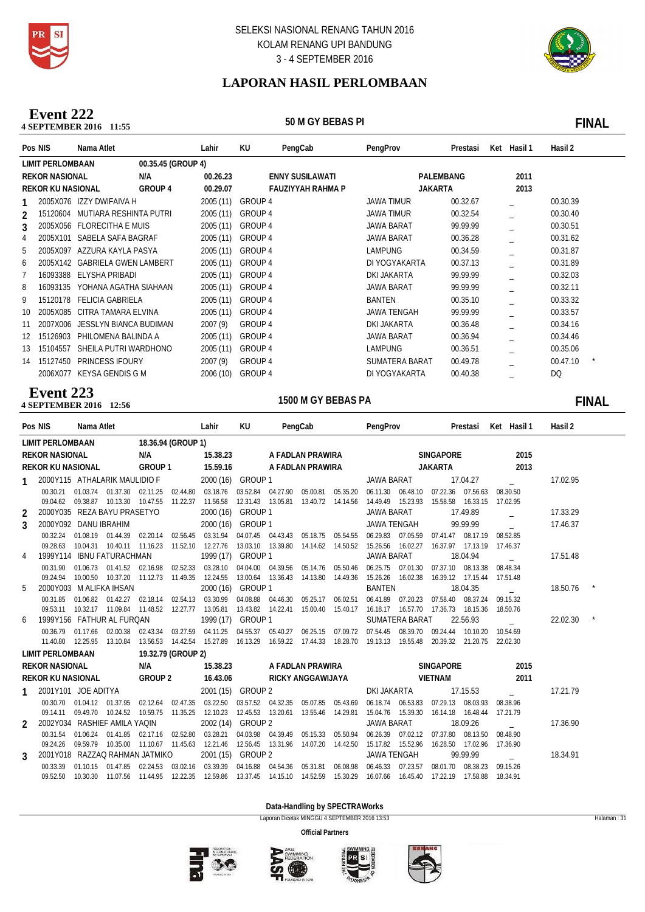



# **LAPORAN HASIL PERLOMBAAN**

### 4 **SEPTEMBER 2016** 11:55 **Event 222**

**11:50 M GY BEBAS PI 12:55** 

|                                               | Pos NIS  | Nama Atlet                    |         | Lahir     | KU                       | PengCab | PengProv           | Prestasi | Ket  | Hasil 1 | Hasil 2  |
|-----------------------------------------------|----------|-------------------------------|---------|-----------|--------------------------|---------|--------------------|----------|------|---------|----------|
| 00.35.45 (GROUP 4)<br><b>LIMIT PERLOMBAAN</b> |          |                               |         |           |                          |         |                    |          |      |         |          |
| <b>REKOR NASIONAL</b>                         |          |                               | N/A     | 00.26.23  | <b>ENNY SUSILAWATI</b>   |         | PALEMBANG          |          | 2011 |         |          |
| <b>REKOR KU NASIONAL</b>                      |          |                               | GROUP 4 | 00.29.07  | <b>FAUZIYYAH RAHMA P</b> |         | <b>JAKARTA</b>     |          |      | 2013    |          |
|                                               |          | 2005X076 IZZY DWIFAIVA H      |         | 2005 (11) | GROUP 4                  |         | <b>JAWA TIMUR</b>  | 00.32.67 |      |         | 00.30.39 |
| $\mathcal{P}$                                 | 15120604 | MUTIARA RESHINTA PUTRI        |         | 2005(11)  | GROUP 4                  |         | <b>JAWA TIMUR</b>  | 00.32.54 |      |         | 00.30.40 |
| 3                                             |          | 2005X056 FLORECITHA E MUIS    |         | 2005 (11) | GROUP 4                  |         | <b>JAWA BARAT</b>  | 99.99.99 |      |         | 00.30.51 |
| 4                                             | 2005X101 | SABELA SAFA BAGRAF            |         | 2005(11)  | GROUP 4                  |         | <b>JAWA BARAT</b>  | 00.36.28 |      |         | 00.31.62 |
| 5                                             | 2005X097 | AZZURA KAYLA PASYA            |         | 2005 (11) | GROUP 4                  |         | <b>LAMPUNG</b>     | 00.34.59 |      |         | 00.31.87 |
| 6                                             | 2005X142 | <b>GABRIELA GWEN LAMBERT</b>  |         | 2005 (11) | GROUP 4                  |         | DI YOGYAKARTA      | 00.37.13 |      |         | 00.31.89 |
|                                               | 16093388 | ELYSHA PRIBADI                |         | 2005 (11) | GROUP 4                  |         | DKI JAKARTA        | 99.99.99 |      |         | 00.32.03 |
| 8                                             | 16093135 | YOHANA AGATHA SIAHAAN         |         | 2005 (11) | GROUP 4                  |         | <b>JAWA BARAT</b>  | 99.99.99 |      |         | 00.32.11 |
| 9                                             | 15120178 | <b>FELICIA GABRIELA</b>       |         | 2005 (11) | GROUP 4                  |         | BANTEN             | 00.35.10 |      |         | 00.33.32 |
| 10                                            | 2005X085 | CITRA TAMARA ELVINA           |         | 2005 (11) | GROUP 4                  |         | <b>JAWA TENGAH</b> | 99.99.99 |      |         | 00.33.57 |
| 11                                            | 2007X006 | <b>JESSLYN BIANCA BUDIMAN</b> |         | 2007(9)   | GROUP 4                  |         | DKI JAKARTA        | 00.36.48 |      |         | 00.34.16 |
| 12                                            | 15126903 | PHILOMENA BALINDA A           |         | 2005 (11) | GROUP 4                  |         | JAWA BARAT         | 00.36.94 |      |         | 00.34.46 |
| 13                                            | 15104557 | SHEILA PUTRI WARDHONO         |         | 2005 (11) | GROUP 4                  |         | <b>LAMPUNG</b>     | 00.36.51 |      |         | 00.35.06 |
| 14                                            | 15127450 | <b>PRINCESS IFOURY</b>        |         | 2007(9)   | GROUP 4                  |         | SUMATERA BARAT     | 00.49.78 |      |         | 00.47.10 |
|                                               | 2006X077 | <b>KEYSA GENDIS G M</b>       |         | 2006 (10) | GROUP 4                  |         | DI YOGYAKARTA      | 00.40.38 |      |         | DQ       |

# **12:56** M GEPTEMBER 2016 **Event 223**

# 1500 M GY BEBAS PA **FINAL**

|                                               | Pos NIS Nama Atlet  |                                                                                                                               | <b>Example 12 Service Control</b> |                    |                                                                                                                                           | KU               |                  |                              |                                                  |                        |                                                            |                              |          | PengCab PengProv Prestasi Ket Hasil 1 | Hasil 2    |  |
|-----------------------------------------------|---------------------|-------------------------------------------------------------------------------------------------------------------------------|-----------------------------------|--------------------|-------------------------------------------------------------------------------------------------------------------------------------------|------------------|------------------|------------------------------|--------------------------------------------------|------------------------|------------------------------------------------------------|------------------------------|----------|---------------------------------------|------------|--|
| <b>LIMIT PERLOMBAAN</b><br>18.36.94 (GROUP 1) |                     |                                                                                                                               |                                   |                    |                                                                                                                                           |                  |                  |                              |                                                  |                        |                                                            |                              |          |                                       |            |  |
| <b>REKOR NASIONAL</b>                         |                     |                                                                                                                               |                                   | N/A 15.38.23       |                                                                                                                                           | A FADLAN PRAWIRA |                  |                              |                                                  |                        | SINGAPORE                                                  |                              | 2015     |                                       |            |  |
| REKOR KU NASIONAL                             |                     |                                                                                                                               |                                   |                    | GROUP 1 15.59.16                                                                                                                          |                  | A FADLAN PRAWIRA |                              |                                                  |                        |                                                            | JAKARTA                      |          | 2013                                  |            |  |
|                                               |                     | 2000Y115 ATHALARIK MAULIDIO F                                                                                                 |                                   |                    | 2000 (16) GROUP 1                                                                                                                         |                  |                  |                              |                                                  | JAWA BARAT<br>17.04.27 |                                                            |                              |          |                                       | 17.02.95   |  |
| 00.30.21                                      | 01.03.74            | 01.37.30                                                                                                                      | 02.11.25                          | 02.44.80           | 03.18.76                                                                                                                                  |                  |                  |                              |                                                  |                        | 03.52.84  04.27.90  05.00.81  05.35.20  06.11.30  06.48.10 | 07.22.36                     | 07.56.63 | 08.30.50                              |            |  |
| 09.04.62                                      |                     | 09.38.87  10.13.30  10.47.55  11.22.37                                                                                        |                                   |                    | 11.56.58 12.31.43 13.05.81 13.40.72 14.14.56 14.49.49 15.23.93 15.58.58 16.33.15 17.02.95                                                 |                  |                  |                              |                                                  |                        |                                                            |                              |          |                                       |            |  |
| $\mathcal{L}$                                 |                     | 2000Y035 REZA BAYU PRASETYO                                                                                                   |                                   |                    | 2000 (16) GROUP 1                                                                                                                         |                  |                  |                              |                                                  | JAWA BARAT             |                                                            |                              | 17.49.89 | $\mathbf{r}$                          | 17.33.29   |  |
| $\mathcal{S}$                                 |                     | 2000Y092 DANU IBRAHIM                                                                                                         |                                   |                    | 2000 (16) GROUP 1                                                                                                                         |                  |                  |                              |                                                  |                        | JAWA TENGAH                                                |                              | 99.99.99 |                                       | 17.46.37   |  |
| 00.32.24                                      | 01.08.19            | 01.44.39                                                                                                                      |                                   |                    | 02.20.14 02.56.45 03.31.94 04.07.45 04.43.43 05.18.75 05.54.55 06.29.83 07.05.59 07.41.47 08.17.19                                        |                  |                  |                              |                                                  |                        |                                                            |                              |          | 08.52.85                              |            |  |
| 09.28.63                                      | 10.04.31            |                                                                                                                               |                                   |                    | 10.40.11 11.16.23 11.52.10 12.27.76 13.03.10 13.39.80 14.14.62 14.50.52 15.26.56 16.02.27 16.37.97 17.13.19 17.46.37                      |                  |                  |                              |                                                  |                        |                                                            |                              |          |                                       |            |  |
|                                               |                     | 1999Y114 IBNU FATURACHMAN                                                                                                     |                                   |                    | 1999 (17) GROUP 1                                                                                                                         |                  |                  |                              |                                                  | <b>JAWA BARAT</b>      |                                                            |                              | 18.04.94 |                                       | 17.51.48   |  |
| 00.31.90                                      | 01.06.73            |                                                                                                                               |                                   |                    | 01.41.52 02.16.98 02.52.33 03.28.10 04.04.00 04.39.56 05.14.76 05.50.46 06.25.75 07.01.30 07.37.10 08.13.38 08.48.34                      |                  |                  |                              |                                                  |                        |                                                            |                              |          |                                       |            |  |
| 09.24.94                                      |                     | 10.00.50 10.37.20 11.12.73 11.49.35 12.24.55 13.00.64 13.36.43 14.13.80 14.49.36 15.26.26 16.02.38 16.39.12 17.15.44 17.51.48 |                                   |                    |                                                                                                                                           |                  |                  |                              |                                                  |                        |                                                            |                              |          |                                       |            |  |
| 5                                             |                     | 2000Y003 M ALIFKA IHSAN                                                                                                       |                                   |                    | 2000 (16) GROUP 1                                                                                                                         |                  |                  |                              |                                                  | <b>BANTEN</b>          |                                                            |                              | 18.04.35 |                                       | 18.50.76 * |  |
| 00.31.85<br>09.53.11                          | 01.06.82            | 10.32.17 11.09.84 11.48.52 12.27.77 13.05.81 13.43.82 14.22.41 15.00.40 15.40.17 16.18.17 16.57.70 17.36.73 18.15.36 18.50.76 | 01.42.27 02.18.14                 |                    | 02.54.13 03.30.99                                                                                                                         |                  |                  |                              | 04.08.88  04.46.30  05.25.17  06.02.51           | 06.41.89               | 07.20.23                                                   | 07.58.40                     | 08.37.24 | 09.15.32                              |            |  |
| 6                                             |                     | 1999Y156 FATHUR AL FURQAN                                                                                                     |                                   |                    | 1999 (17) GROUP 1                                                                                                                         |                  |                  |                              |                                                  |                        | <b>SUMATERA BARAT</b>                                      |                              | 22.56.93 |                                       | 22.02.30   |  |
| 00.36.79                                      | 01.17.66            | 02.00.38                                                                                                                      | 02.43.34                          |                    | 03.27.59 04.11.25                                                                                                                         |                  |                  |                              | 04.55.37  05.40.27  06.25.15  07.09.72  07.54.45 |                        | 08.39.70 09.24.44 10.10.20                                 |                              |          | 10.54.69                              |            |  |
|                                               | 11.40.80  12.25.95  | 13.10.84                                                                                                                      |                                   |                    | 13.56.53 14.42.54 15.27.89 16.13.29 16.59.22 17.44.33 18.28.70 19.13.13 19.55.48 20.39.32 21.20.75 22.02.30                               |                  |                  |                              |                                                  |                        |                                                            |                              |          |                                       |            |  |
| <b>LIMIT PERLOMBAAN</b>                       |                     |                                                                                                                               |                                   | 19.32.79 (GROUP 2) |                                                                                                                                           |                  |                  |                              |                                                  |                        |                                                            |                              |          |                                       |            |  |
| <b>REKOR NASIONAL</b>                         |                     |                                                                                                                               | N/A 15.38.23                      |                    |                                                                                                                                           |                  |                  | A FADLAN PRAWIRA             |                                                  | SINGAPORE              |                                                            |                              |          | 2015                                  |            |  |
|                                               |                     | REKOR KU NASIONAL GROUP 2                                                                                                     |                                   |                    | 16.43.06                                                                                                                                  |                  |                  | RICKY ANGGAWIJAYA            |                                                  | VIETNAM                |                                                            |                              | 2011     |                                       |            |  |
|                                               |                     |                                                                                                                               |                                   |                    |                                                                                                                                           |                  |                  |                              |                                                  |                        |                                                            |                              |          |                                       |            |  |
|                                               | 2001Y101 JOE ADITYA |                                                                                                                               |                                   |                    | 2001 (15) GROUP 2                                                                                                                         |                  |                  |                              |                                                  | DKI JAKARTA            |                                                            |                              | 17.15.53 |                                       | 17.21.79   |  |
| 00.30.70                                      |                     | 01.04.12 01.37.95                                                                                                             |                                   | 02.12.64 02.47.35  | 03.22.50                                                                                                                                  |                  |                  |                              |                                                  |                        | 03.57.52  04.32.35  05.07.85  05.43.69  06.18.74  06.53.83 | 07.29.13                     | 08.03.93 | 08.38.96                              |            |  |
| 09.14.11                                      | 09.49.70            | 2002Y034 RASHIEF AMILA YAQIN                                                                                                  |                                   |                    | 10.24.52 10.59.75 11.35.25 12.10.23 12.45.53 13.20.61 13.55.46 14.29.81 15.04.76 15.39.30 16.14.18 16.48.44 17.21.79<br>2002 (14) GROUP 2 |                  |                  |                              |                                                  | <b>JAWA BARAT</b>      |                                                            |                              | 18.09.26 |                                       | 17.36.90   |  |
| $\mathcal{P}$<br>00.31.54                     | 01.06.24            | 01.41.85                                                                                                                      |                                   |                    | 02.17.16 02.52.80 03.28.21                                                                                                                |                  |                  |                              |                                                  |                        | 04.03.98  04.39.49  05.15.33  05.50.94  06.26.39  07.02.12 | 07.37.80                     | 08.13.50 | 08.48.90                              |            |  |
| 09.24.26                                      | 09.59.79            |                                                                                                                               |                                   |                    | 10.35.00 11.10.67 11.45.63 12.21.46 12.56.45 13.31.96 14.07.20 14.42.50 15.17.82 15.52.96 16.28.50 17.02.96 17.36.90                      |                  |                  |                              |                                                  |                        |                                                            |                              |          |                                       |            |  |
| 3                                             |                     | 2001Y018 RAZZAQ RAHMAN JATMIKO                                                                                                |                                   |                    | 2001 (15) GROUP 2                                                                                                                         |                  |                  |                              |                                                  | <b>JAWA TENGAH</b>     |                                                            |                              | 99.99.99 |                                       | 18.34.91   |  |
| 00.33.39                                      | 01.10.15            | 01.47.85                                                                                                                      | 02.24.53                          | 03.02.16           | 03.39.39                                                                                                                                  | 04.16.88         |                  | 04.54.36  05.31.81  06.08.98 |                                                  | 06.46.33               | 07.23.57                                                   | 08.01.70                     | 08.38.23 | 09.15.26                              |            |  |
| 09.52.50                                      | 10.30.30            |                                                                                                                               |                                   |                    | 11.07.56 11.44.95 12.22.35 12.59.86 13.37.45 14.15.10 14.52.59 15.30.29 16.07.66                                                          |                  |                  |                              |                                                  |                        |                                                            | 16.45.40  17.22.19  17.58.88 |          | 18.34.91                              |            |  |
|                                               |                     |                                                                                                                               |                                   |                    |                                                                                                                                           |                  |                  |                              |                                                  |                        |                                                            |                              |          |                                       |            |  |

**Data-Handling by SPECTRAWorks**

Laporan Dicetak MINGGU 4 SEPTEMBER 2016 13:53 Halaman : 31